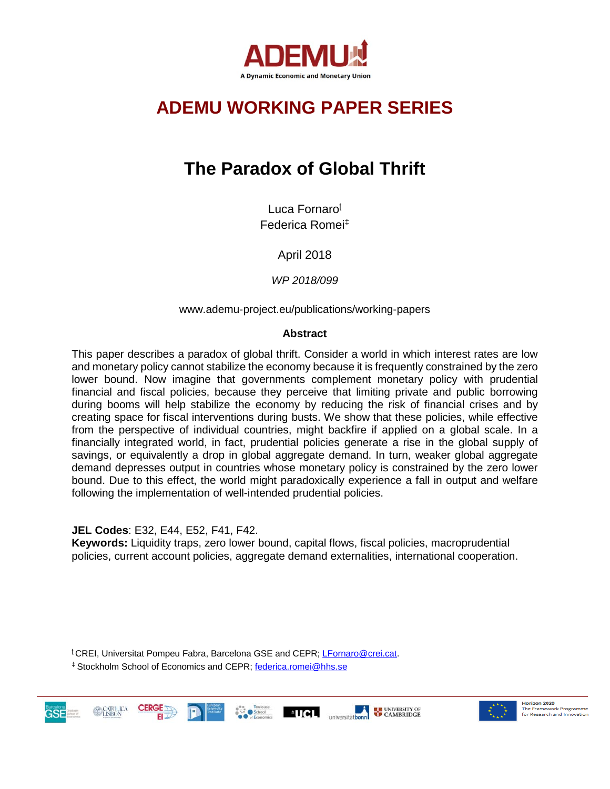

# **ADEMU WORKING PAPER SERIES**

# **The Paradox of Global Thrift**

Luca Fornaro<sup>ʈ</sup> Federica Romei‡

April 2018

*WP 2018/099*

www.ademu-project.eu/publications/working-papers

## **Abstract**

This paper describes a paradox of global thrift. Consider a world in which interest rates are low and monetary policy cannot stabilize the economy because it is frequently constrained by the zero lower bound. Now imagine that governments complement monetary policy with prudential financial and fiscal policies, because they perceive that limiting private and public borrowing during booms will help stabilize the economy by reducing the risk of financial crises and by creating space for fiscal interventions during busts. We show that these policies, while effective from the perspective of individual countries, might backfire if applied on a global scale. In a financially integrated world, in fact, prudential policies generate a rise in the global supply of savings, or equivalently a drop in global aggregate demand. In turn, weaker global aggregate demand depresses output in countries whose monetary policy is constrained by the zero lower bound. Due to this effect, the world might paradoxically experience a fall in output and welfare following the implementation of well-intended prudential policies.

**JEL Codes**: E32, E44, E52, F41, F42.

**Keywords:** Liquidity traps, zero lower bound, capital flows, fiscal policies, macroprudential policies, current account policies, aggregate demand externalities, international cooperation.

<sup>ʈ</sup> CREI, Universitat Pompeu Fabra, Barcelona GSE and CEPR[; LFornaro@crei.cat.](mailto:LFornaro@crei.cat) 

‡ Stockholm School of Economics and CEPR; [federica.romei@hhs.se](mailto:federica.romei@hhs.se)







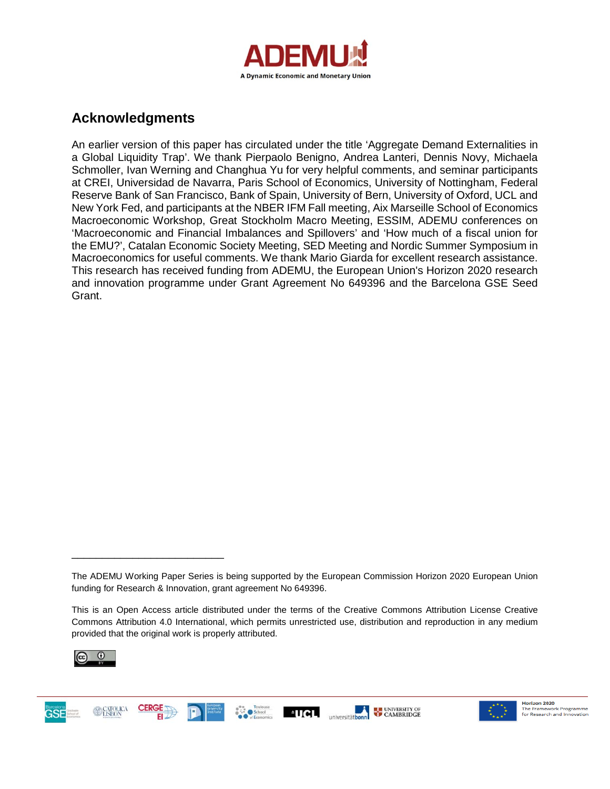

# **Acknowledgments**

An earlier version of this paper has circulated under the title 'Aggregate Demand Externalities in a Global Liquidity Trap'. We thank Pierpaolo Benigno, Andrea Lanteri, Dennis Novy, Michaela Schmoller, Ivan Werning and Changhua Yu for very helpful comments, and seminar participants at CREI, Universidad de Navarra, Paris School of Economics, University of Nottingham, Federal Reserve Bank of San Francisco, Bank of Spain, University of Bern, University of Oxford, UCL and New York Fed, and participants at the NBER IFM Fall meeting, Aix Marseille School of Economics Macroeconomic Workshop, Great Stockholm Macro Meeting, ESSIM, ADEMU conferences on 'Macroeconomic and Financial Imbalances and Spillovers' and 'How much of a fiscal union for the EMU?', Catalan Economic Society Meeting, SED Meeting and Nordic Summer Symposium in Macroeconomics for useful comments. We thank Mario Giarda for excellent research assistance. This research has received funding from ADEMU, the European Union's Horizon 2020 research and innovation programme under Grant Agreement No 649396 and the Barcelona GSE Seed Grant.

This is an Open Access article distributed under the terms of the Creative Commons Attribution License Creative Commons Attribution 4.0 International, which permits unrestricted use, distribution and reproduction in any medium provided that the original work is properly attributed.



**GSE** 

\_\_\_\_\_\_\_\_\_\_\_\_\_\_\_\_\_\_\_\_\_\_\_\_\_





The ADEMU Working Paper Series is being supported by the European Commission Horizon 2020 European Union funding for Research & Innovation, grant agreement No 649396.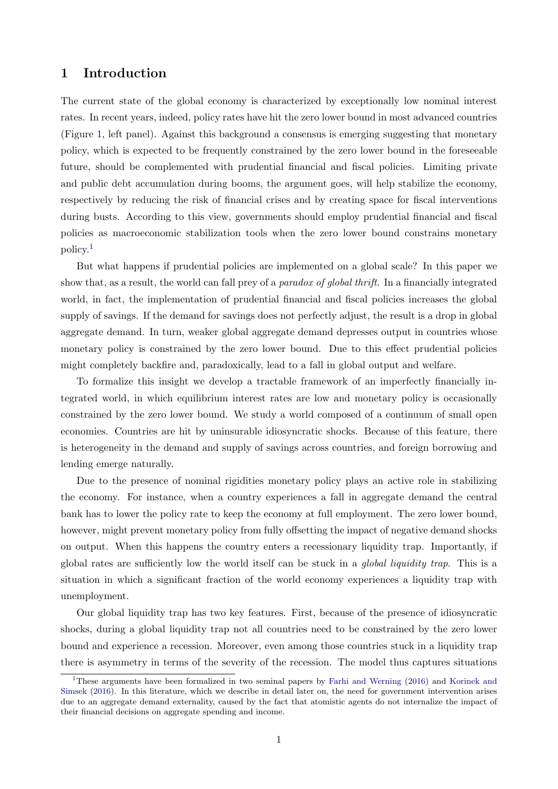## 1 Introduction

The current state of the global economy is characterized by exceptionally low nominal interest rates. In recent years, indeed, policy rates have hit the zero lower bound in most advanced countries (Figure [1,](#page-3-0) left panel). Against this background a consensus is emerging suggesting that monetary policy, which is expected to be frequently constrained by the zero lower bound in the foreseeable future, should be complemented with prudential financial and fiscal policies. Limiting private and public debt accumulation during booms, the argument goes, will help stabilize the economy, respectively by reducing the risk of financial crises and by creating space for fiscal interventions during busts. According to this view, governments should employ prudential financial and fiscal policies as macroeconomic stabilization tools when the zero lower bound constrains monetary policy.[1](#page-2-0)

But what happens if prudential policies are implemented on a global scale? In this paper we show that, as a result, the world can fall prey of a *paradox of global thrift*. In a financially integrated world, in fact, the implementation of prudential financial and fiscal policies increases the global supply of savings. If the demand for savings does not perfectly adjust, the result is a drop in global aggregate demand. In turn, weaker global aggregate demand depresses output in countries whose monetary policy is constrained by the zero lower bound. Due to this effect prudential policies might completely backfire and, paradoxically, lead to a fall in global output and welfare.

To formalize this insight we develop a tractable framework of an imperfectly financially integrated world, in which equilibrium interest rates are low and monetary policy is occasionally constrained by the zero lower bound. We study a world composed of a continuum of small open economies. Countries are hit by uninsurable idiosyncratic shocks. Because of this feature, there is heterogeneity in the demand and supply of savings across countries, and foreign borrowing and lending emerge naturally.

Due to the presence of nominal rigidities monetary policy plays an active role in stabilizing the economy. For instance, when a country experiences a fall in aggregate demand the central bank has to lower the policy rate to keep the economy at full employment. The zero lower bound, however, might prevent monetary policy from fully offsetting the impact of negative demand shocks on output. When this happens the country enters a recessionary liquidity trap. Importantly, if global rates are sufficiently low the world itself can be stuck in a global liquidity trap. This is a situation in which a significant fraction of the world economy experiences a liquidity trap with unemployment.

Our global liquidity trap has two key features. First, because of the presence of idiosyncratic shocks, during a global liquidity trap not all countries need to be constrained by the zero lower bound and experience a recession. Moreover, even among those countries stuck in a liquidity trap there is asymmetry in terms of the severity of the recession. The model thus captures situations

<span id="page-2-0"></span><sup>&</sup>lt;sup>1</sup>These arguments have been formalized in two seminal papers by [Farhi and Werning](#page-55-0) [\(2016\)](#page-55-0) and [Korinek and](#page-55-1) [Simsek](#page-55-1) [\(2016\)](#page-55-1). In this literature, which we describe in detail later on, the need for government intervention arises due to an aggregate demand externality, caused by the fact that atomistic agents do not internalize the impact of their financial decisions on aggregate spending and income.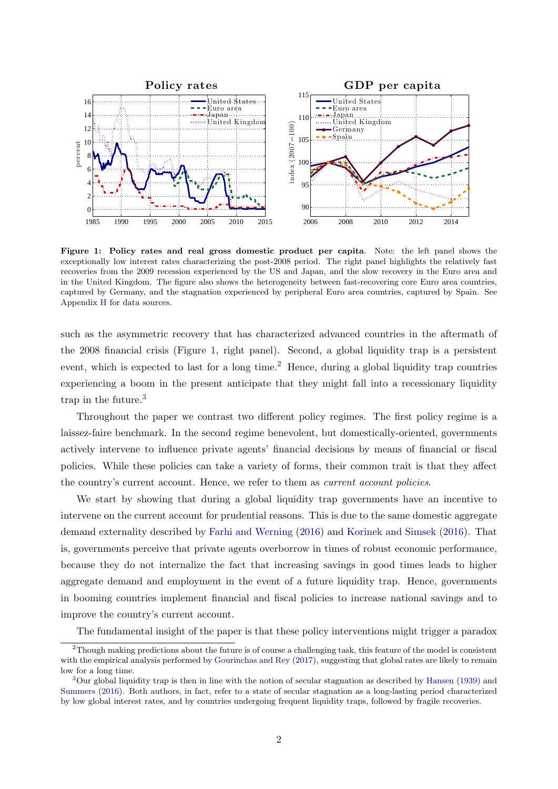<span id="page-3-0"></span>

Figure 1: Policy rates and real gross domestic product per capita. Note: the left panel shows the exceptionally low interest rates characterizing the post-2008 period. The right panel highlights the relatively fast recoveries from the 2009 recession experienced by the US and Japan, and the slow recovery in the Euro area and in the United Kingdom. The figure also shows the heterogeneity between fast-recovering core Euro area countries, captured by Germany, and the stagnation experienced by peripheral Euro area countries, captured by Spain. See Appendix [H](#page-52-0) for data sources.

such as the asymmetric recovery that has characterized advanced countries in the aftermath of the 2008 financial crisis (Figure [1,](#page-3-0) right panel). Second, a global liquidity trap is a persistent event, which is expected to last for a long time.<sup>[2](#page-3-1)</sup> Hence, during a global liquidity trap countries experiencing a boom in the present anticipate that they might fall into a recessionary liquidity trap in the future.[3](#page-3-2)

Throughout the paper we contrast two different policy regimes. The first policy regime is a laissez-faire benchmark. In the second regime benevolent, but domestically-oriented, governments actively intervene to influence private agents' financial decisions by means of financial or fiscal policies. While these policies can take a variety of forms, their common trait is that they affect the country's current account. Hence, we refer to them as current account policies.

We start by showing that during a global liquidity trap governments have an incentive to intervene on the current account for prudential reasons. This is due to the same domestic aggregate demand externality described by [Farhi and Werning](#page-55-0) [\(2016\)](#page-55-0) and [Korinek and Simsek](#page-55-1) [\(2016\)](#page-55-1). That is, governments perceive that private agents overborrow in times of robust economic performance, because they do not internalize the fact that increasing savings in good times leads to higher aggregate demand and employment in the event of a future liquidity trap. Hence, governments in booming countries implement financial and fiscal policies to increase national savings and to improve the country's current account.

The fundamental insight of the paper is that these policy interventions might trigger a paradox

<span id="page-3-1"></span> $2$ Though making predictions about the future is of course a challenging task, this feature of the model is consistent with the empirical analysis performed by [Gourinchas and Rey](#page-55-2) [\(2017\)](#page-55-2), suggesting that global rates are likely to remain low for a long time.

<span id="page-3-2"></span><sup>3</sup>Our global liquidity trap is then in line with the notion of secular stagnation as described by [Hansen](#page-55-3) [\(1939\)](#page-55-3) and [Summers](#page-56-0) [\(2016\)](#page-56-0). Both authors, in fact, refer to a state of secular stagnation as a long-lasting period characterized by low global interest rates, and by countries undergoing frequent liquidity traps, followed by fragile recoveries.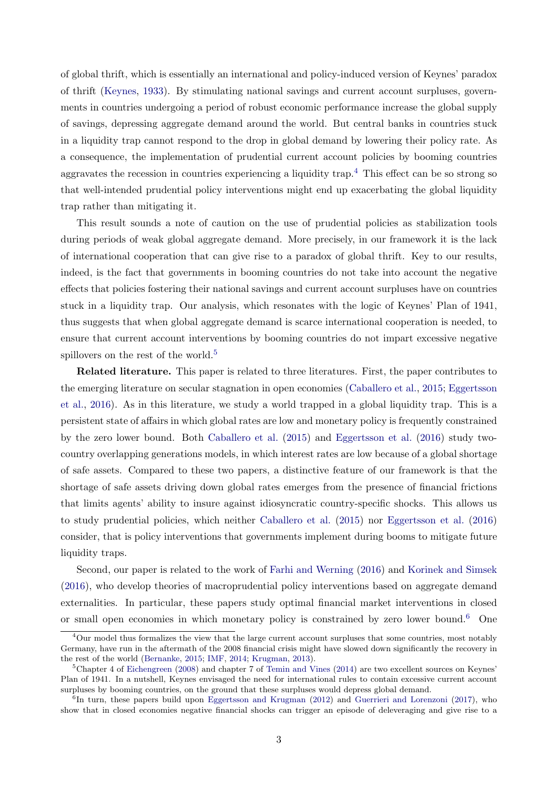of global thrift, which is essentially an international and policy-induced version of Keynes' paradox of thrift [\(Keynes,](#page-55-4) [1933\)](#page-55-4). By stimulating national savings and current account surpluses, governments in countries undergoing a period of robust economic performance increase the global supply of savings, depressing aggregate demand around the world. But central banks in countries stuck in a liquidity trap cannot respond to the drop in global demand by lowering their policy rate. As a consequence, the implementation of prudential current account policies by booming countries aggravates the recession in countries experiencing a liquidity trap.<sup>[4](#page-4-0)</sup> This effect can be so strong so that well-intended prudential policy interventions might end up exacerbating the global liquidity trap rather than mitigating it.

This result sounds a note of caution on the use of prudential policies as stabilization tools during periods of weak global aggregate demand. More precisely, in our framework it is the lack of international cooperation that can give rise to a paradox of global thrift. Key to our results, indeed, is the fact that governments in booming countries do not take into account the negative effects that policies fostering their national savings and current account surpluses have on countries stuck in a liquidity trap. Our analysis, which resonates with the logic of Keynes' Plan of 1941, thus suggests that when global aggregate demand is scarce international cooperation is needed, to ensure that current account interventions by booming countries do not impart excessive negative spillovers on the rest of the world.<sup>[5](#page-4-1)</sup>

Related literature. This paper is related to three literatures. First, the paper contributes to the emerging literature on secular stagnation in open economies [\(Caballero et al.,](#page-54-0) [2015;](#page-54-0) [Eggertsson](#page-54-1) [et al.,](#page-54-1) [2016\)](#page-54-1). As in this literature, we study a world trapped in a global liquidity trap. This is a persistent state of affairs in which global rates are low and monetary policy is frequently constrained by the zero lower bound. Both [Caballero et al.](#page-54-0) [\(2015\)](#page-54-0) and [Eggertsson et al.](#page-54-1) [\(2016\)](#page-54-1) study twocountry overlapping generations models, in which interest rates are low because of a global shortage of safe assets. Compared to these two papers, a distinctive feature of our framework is that the shortage of safe assets driving down global rates emerges from the presence of financial frictions that limits agents' ability to insure against idiosyncratic country-specific shocks. This allows us to study prudential policies, which neither [Caballero et al.](#page-54-0) [\(2015\)](#page-54-0) nor [Eggertsson et al.](#page-54-1) [\(2016\)](#page-54-1) consider, that is policy interventions that governments implement during booms to mitigate future liquidity traps.

Second, our paper is related to the work of [Farhi and Werning](#page-55-0) [\(2016\)](#page-55-0) and [Korinek and Simsek](#page-55-1) [\(2016\)](#page-55-1), who develop theories of macroprudential policy interventions based on aggregate demand externalities. In particular, these papers study optimal financial market interventions in closed or small open economies in which monetary policy is constrained by zero lower bound.<sup>[6](#page-4-2)</sup> One

<span id="page-4-0"></span><sup>&</sup>lt;sup>4</sup>Our model thus formalizes the view that the large current account surpluses that some countries, most notably Germany, have run in the aftermath of the 2008 financial crisis might have slowed down significantly the recovery in the rest of the world [\(Bernanke,](#page-54-2) [2015;](#page-54-2) [IMF,](#page-55-5) [2014;](#page-55-5) [Krugman,](#page-55-6) [2013\)](#page-55-6).

<span id="page-4-1"></span> ${}^{5}$ Chapter 4 of [Eichengreen](#page-54-3) [\(2008\)](#page-54-3) and chapter 7 of [Temin and Vines](#page-56-1) [\(2014\)](#page-56-1) are two excellent sources on Keynes' Plan of 1941. In a nutshell, Keynes envisaged the need for international rules to contain excessive current account surpluses by booming countries, on the ground that these surpluses would depress global demand.

<span id="page-4-2"></span><sup>&</sup>lt;sup>6</sup>In turn, these papers build upon [Eggertsson and Krugman](#page-54-4) [\(2012\)](#page-54-4) and [Guerrieri and Lorenzoni](#page-55-7) [\(2017\)](#page-55-7), who show that in closed economies negative financial shocks can trigger an episode of deleveraging and give rise to a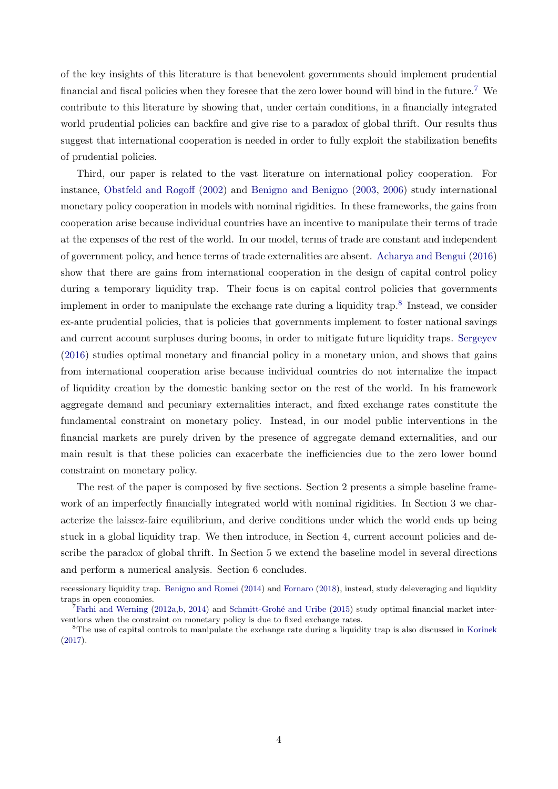of the key insights of this literature is that benevolent governments should implement prudential financial and fiscal policies when they foresee that the zero lower bound will bind in the future.[7](#page-5-0) We contribute to this literature by showing that, under certain conditions, in a financially integrated world prudential policies can backfire and give rise to a paradox of global thrift. Our results thus suggest that international cooperation is needed in order to fully exploit the stabilization benefits of prudential policies.

Third, our paper is related to the vast literature on international policy cooperation. For instance, [Obstfeld and Rogoff](#page-56-2) [\(2002\)](#page-56-2) and [Benigno and Benigno](#page-54-5) [\(2003,](#page-54-5) [2006\)](#page-54-6) study international monetary policy cooperation in models with nominal rigidities. In these frameworks, the gains from cooperation arise because individual countries have an incentive to manipulate their terms of trade at the expenses of the rest of the world. In our model, terms of trade are constant and independent of government policy, and hence terms of trade externalities are absent. [Acharya and Bengui](#page-53-0) [\(2016\)](#page-53-0) show that there are gains from international cooperation in the design of capital control policy during a temporary liquidity trap. Their focus is on capital control policies that governments implement in order to manipulate the exchange rate during a liquidity trap.<sup>[8](#page-5-1)</sup> Instead, we consider ex-ante prudential policies, that is policies that governments implement to foster national savings and current account surpluses during booms, in order to mitigate future liquidity traps. [Sergeyev](#page-56-3) [\(2016\)](#page-56-3) studies optimal monetary and financial policy in a monetary union, and shows that gains from international cooperation arise because individual countries do not internalize the impact of liquidity creation by the domestic banking sector on the rest of the world. In his framework aggregate demand and pecuniary externalities interact, and fixed exchange rates constitute the fundamental constraint on monetary policy. Instead, in our model public interventions in the financial markets are purely driven by the presence of aggregate demand externalities, and our main result is that these policies can exacerbate the inefficiencies due to the zero lower bound constraint on monetary policy.

The rest of the paper is composed by five sections. Section 2 presents a simple baseline framework of an imperfectly financially integrated world with nominal rigidities. In Section 3 we characterize the laissez-faire equilibrium, and derive conditions under which the world ends up being stuck in a global liquidity trap. We then introduce, in Section 4, current account policies and describe the paradox of global thrift. In Section 5 we extend the baseline model in several directions and perform a numerical analysis. Section 6 concludes.

recessionary liquidity trap. [Benigno and Romei](#page-54-7) [\(2014\)](#page-54-7) and [Fornaro](#page-55-8) [\(2018\)](#page-55-8), instead, study deleveraging and liquidity traps in open economies.

<span id="page-5-0"></span> ${}^{7}$ [Farhi and Werning](#page-54-8) [\(2012a,](#page-54-8)[b,](#page-54-9) [2014\)](#page-54-10) and Schmitt-Grohé and Uribe [\(2015\)](#page-56-4) study optimal financial market interventions when the constraint on monetary policy is due to fixed exchange rates.

<span id="page-5-1"></span><sup>&</sup>lt;sup>8</sup>The use of capital controls to manipulate the exchange rate during a liquidity trap is also discussed in [Korinek](#page-55-9) [\(2017\)](#page-55-9).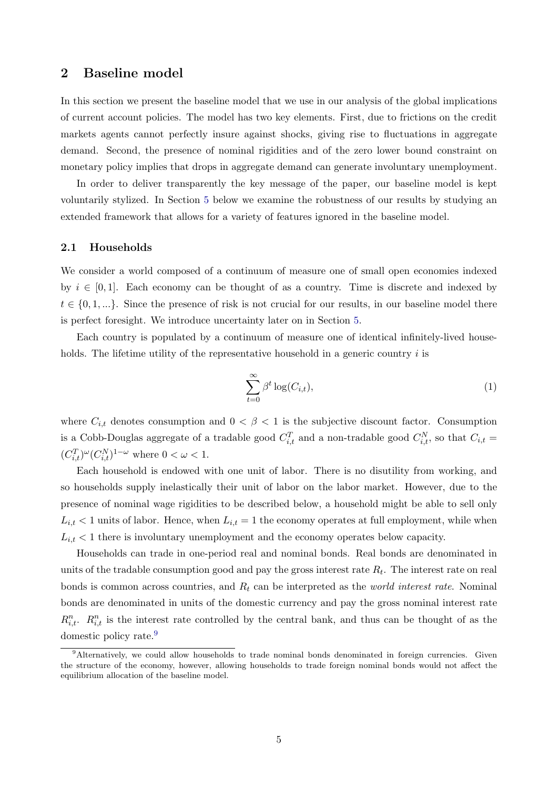## <span id="page-6-2"></span>2 Baseline model

In this section we present the baseline model that we use in our analysis of the global implications of current account policies. The model has two key elements. First, due to frictions on the credit markets agents cannot perfectly insure against shocks, giving rise to fluctuations in aggregate demand. Second, the presence of nominal rigidities and of the zero lower bound constraint on monetary policy implies that drops in aggregate demand can generate involuntary unemployment.

In order to deliver transparently the key message of the paper, our baseline model is kept voluntarily stylized. In Section [5](#page-24-0) below we examine the robustness of our results by studying an extended framework that allows for a variety of features ignored in the baseline model.

#### 2.1 Households

We consider a world composed of a continuum of measure one of small open economies indexed by  $i \in [0, 1]$ . Each economy can be thought of as a country. Time is discrete and indexed by  $t \in \{0, 1, ...\}$ . Since the presence of risk is not crucial for our results, in our baseline model there is perfect foresight. We introduce uncertainty later on in Section [5.](#page-24-0)

Each country is populated by a continuum of measure one of identical infinitely-lived households. The lifetime utility of the representative household in a generic country  $i$  is

<span id="page-6-1"></span>
$$
\sum_{t=0}^{\infty} \beta^t \log(C_{i,t}),\tag{1}
$$

where  $C_{i,t}$  denotes consumption and  $0 < \beta < 1$  is the subjective discount factor. Consumption is a Cobb-Douglas aggregate of a tradable good  $C_{i,t}^T$  and a non-tradable good  $C_{i,t}^N$ , so that  $C_{i,t}$  $(C_{i,t}^T)^{\omega} (C_{i,t}^N)^{1-\omega}$  where  $0 < \omega < 1$ .

Each household is endowed with one unit of labor. There is no disutility from working, and so households supply inelastically their unit of labor on the labor market. However, due to the presence of nominal wage rigidities to be described below, a household might be able to sell only  $L_{i,t}$  < 1 units of labor. Hence, when  $L_{i,t} = 1$  the economy operates at full employment, while when  $L_{i,t}$  < 1 there is involuntary unemployment and the economy operates below capacity.

Households can trade in one-period real and nominal bonds. Real bonds are denominated in units of the tradable consumption good and pay the gross interest rate  $R_t$ . The interest rate on real bonds is common across countries, and  $R_t$  can be interpreted as the *world interest rate*. Nominal bonds are denominated in units of the domestic currency and pay the gross nominal interest rate  $R_{i,t}^n$ .  $R_{i,t}^n$  is the interest rate controlled by the central bank, and thus can be thought of as the domestic policy rate.<sup>[9](#page-6-0)</sup>

<span id="page-6-0"></span><sup>9</sup>Alternatively, we could allow households to trade nominal bonds denominated in foreign currencies. Given the structure of the economy, however, allowing households to trade foreign nominal bonds would not affect the equilibrium allocation of the baseline model.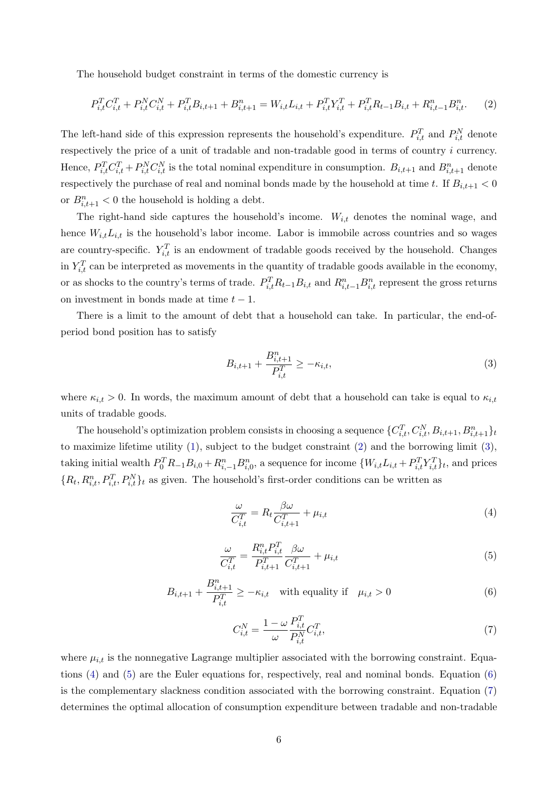The household budget constraint in terms of the domestic currency is

<span id="page-7-0"></span>
$$
P_{i,t}^T C_{i,t}^T + P_{i,t}^N C_{i,t}^N + P_{i,t}^T B_{i,t+1} + B_{i,t+1}^n = W_{i,t} L_{i,t} + P_{i,t}^T Y_{i,t}^T + P_{i,t}^T R_{t-1} B_{i,t} + R_{i,t-1}^n B_{i,t}^n.
$$
 (2)

The left-hand side of this expression represents the household's expenditure.  $P_{i,t}^T$  and  $P_{i,t}^N$  denote respectively the price of a unit of tradable and non-tradable good in terms of country i currency. Hence,  $P_{i,t}^T C_{i,t}^T + P_{i,t}^N C_{i,t}^N$  is the total nominal expenditure in consumption.  $B_{i,t+1}$  and  $B_{i,t+1}^n$  denote respectively the purchase of real and nominal bonds made by the household at time t. If  $B_{i,t+1} < 0$ or  $B_{i,t+1}^n < 0$  the household is holding a debt.

The right-hand side captures the household's income.  $W_{i,t}$  denotes the nominal wage, and hence  $W_{i,t}L_{i,t}$  is the household's labor income. Labor is immobile across countries and so wages are country-specific.  $Y_{i,t}^T$  is an endowment of tradable goods received by the household. Changes in  $Y_{i,t}^T$  can be interpreted as movements in the quantity of tradable goods available in the economy, or as shocks to the country's terms of trade.  $P_{i,t}^T R_{t-1} B_{i,t}$  and  $R_{i,t-1}^n B_{i,t}^n$  represent the gross returns on investment in bonds made at time  $t - 1$ .

There is a limit to the amount of debt that a household can take. In particular, the end-ofperiod bond position has to satisfy

<span id="page-7-1"></span>
$$
B_{i,t+1} + \frac{B_{i,t+1}^n}{P_{i,t}^T} \ge -\kappa_{i,t},
$$
\n(3)

where  $\kappa_{i,t} > 0$ . In words, the maximum amount of debt that a household can take is equal to  $\kappa_{i,t}$ units of tradable goods.

The household's optimization problem consists in choosing a sequence  $\{C_{i,t}^T, C_{i,t}^N, B_{i,t+1}, B_{i,t+1}^n\}_{t=1}^n$ to maximize lifetime utility [\(1\)](#page-6-1), subject to the budget constraint [\(2\)](#page-7-0) and the borrowing limit [\(3\)](#page-7-1), taking initial wealth  $P_0^T R_{-1} B_{i,0}^n + R_{i,-1}^n B_{i,0}^n$ , a sequence for income  $\{W_{i,t} L_{i,t} + P_{i,t}^T Y_{i,t}^T\}_t$ , and prices  $\{R_t, R_{i,t}^n, P_{i,t}^T, P_{i,t}^N\}_t$  as given. The household's first-order conditions can be written as

<span id="page-7-2"></span>
$$
\frac{\omega}{C_{i,t}^T} = R_t \frac{\beta \omega}{C_{i,t+1}^T} + \mu_{i,t} \tag{4}
$$

<span id="page-7-3"></span>
$$
\frac{\omega}{C_{i,t}^T} = \frac{R_{i,t}^n P_{i,t}^T}{P_{i,t+1}^T} \frac{\beta \omega}{C_{i,t+1}^T} + \mu_{i,t}
$$
\n(5)

<span id="page-7-4"></span>
$$
B_{i,t+1} + \frac{B_{i,t+1}^n}{P_{i,t}^T} \ge -\kappa_{i,t} \quad \text{with equality if} \quad \mu_{i,t} > 0 \tag{6}
$$

<span id="page-7-5"></span>
$$
C_{i,t}^N = \frac{1 - \omega}{\omega} \frac{P_{i,t}^T}{P_{i,t}^N} C_{i,t}^T,
$$
\n<sup>(7)</sup>

where  $\mu_{i,t}$  is the nonnegative Lagrange multiplier associated with the borrowing constraint. Equations [\(4\)](#page-7-2) and [\(5\)](#page-7-3) are the Euler equations for, respectively, real and nominal bonds. Equation [\(6\)](#page-7-4) is the complementary slackness condition associated with the borrowing constraint. Equation [\(7\)](#page-7-5) determines the optimal allocation of consumption expenditure between tradable and non-tradable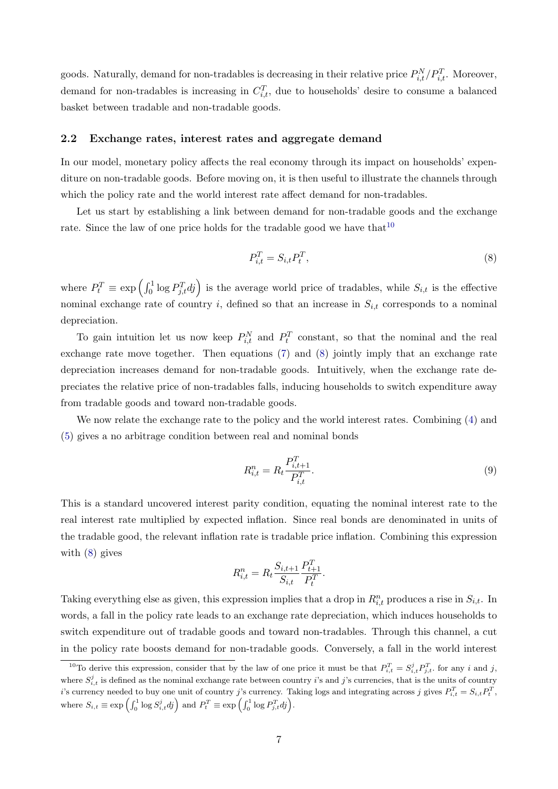goods. Naturally, demand for non-tradables is decreasing in their relative price  $P_{i,t}^{N}/P_{i,t}^{T}$ . Moreover, demand for non-tradables is increasing in  $C_{i,t}^T$ , due to households' desire to consume a balanced basket between tradable and non-tradable goods.

#### 2.2 Exchange rates, interest rates and aggregate demand

In our model, monetary policy affects the real economy through its impact on households' expenditure on non-tradable goods. Before moving on, it is then useful to illustrate the channels through which the policy rate and the world interest rate affect demand for non-tradables.

Let us start by establishing a link between demand for non-tradable goods and the exchange rate. Since the law of one price holds for the tradable good we have that  $10$ 

<span id="page-8-1"></span>
$$
P_{i,t}^T = S_{i,t} P_t^T,\tag{8}
$$

where  $P_t^T \equiv \exp\left(\int_0^1 \log P_{j,t}^T dj\right)$  is the average world price of tradables, while  $S_{i,t}$  is the effective nominal exchange rate of country i, defined so that an increase in  $S_{i,t}$  corresponds to a nominal depreciation.

To gain intuition let us now keep  $P_{i,t}^N$  and  $P_t^T$  constant, so that the nominal and the real exchange rate move together. Then equations [\(7\)](#page-7-5) and [\(8\)](#page-8-1) jointly imply that an exchange rate depreciation increases demand for non-tradable goods. Intuitively, when the exchange rate depreciates the relative price of non-tradables falls, inducing households to switch expenditure away from tradable goods and toward non-tradable goods.

We now relate the exchange rate to the policy and the world interest rates. Combining [\(4\)](#page-7-2) and [\(5\)](#page-7-3) gives a no arbitrage condition between real and nominal bonds

<span id="page-8-2"></span>
$$
R_{i,t}^{n} = R_t \frac{P_{i,t+1}^T}{P_{i,t}^T}.
$$
\n(9)

This is a standard uncovered interest parity condition, equating the nominal interest rate to the real interest rate multiplied by expected inflation. Since real bonds are denominated in units of the tradable good, the relevant inflation rate is tradable price inflation. Combining this expression with [\(8\)](#page-8-1) gives

$$
R_{i,t}^n = R_t \frac{S_{i,t+1}}{S_{i,t}} \frac{P_{t+1}^T}{P_t^T}.
$$

Taking everything else as given, this expression implies that a drop in  $R_{i,t}^n$  produces a rise in  $S_{i,t}$ . In words, a fall in the policy rate leads to an exchange rate depreciation, which induces households to switch expenditure out of tradable goods and toward non-tradables. Through this channel, a cut in the policy rate boosts demand for non-tradable goods. Conversely, a fall in the world interest

<span id="page-8-0"></span><sup>&</sup>lt;sup>10</sup>To derive this expression, consider that by the law of one price it must be that  $P_{i,t}^T = S_{i,t}^j P_{j,t}^T$ , for any i and j, where  $S_{i,t}^j$  is defined as the nominal exchange rate between country i's and j's currencies, that is the units of country i's currency needed to buy one unit of country j's currency. Taking logs and integrating across j gives  $P_{i,t}^T = S_{i,t} P_t^T$ , where  $S_{i,t} \equiv \exp\left(\int_0^1 \log S_{i,t}^j dj\right)$  and  $P_t^T \equiv \exp\left(\int_0^1 \log P_{j,t}^T dj\right)$ .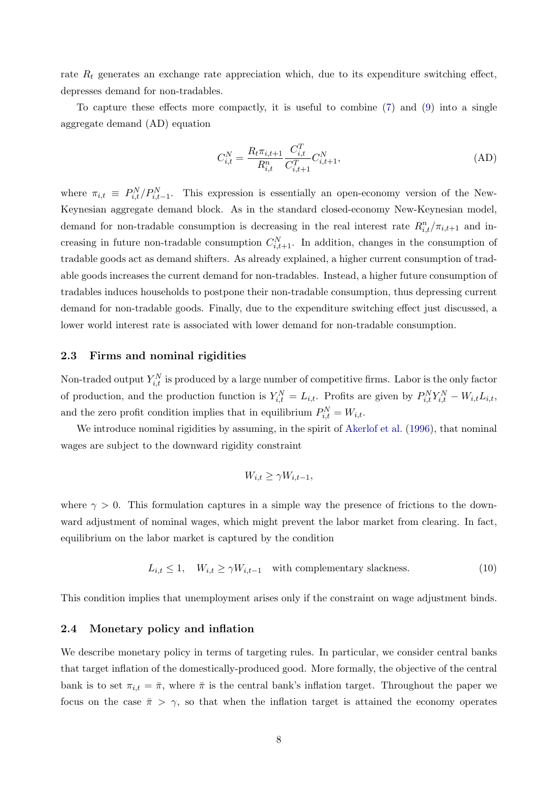rate  $R_t$  generates an exchange rate appreciation which, due to its expenditure switching effect, depresses demand for non-tradables.

To capture these effects more compactly, it is useful to combine [\(7\)](#page-7-5) and [\(9\)](#page-8-2) into a single aggregate demand (AD) equation

<span id="page-9-0"></span>
$$
C_{i,t}^{N} = \frac{R_t \pi_{i,t+1}}{R_{i,t}^{n}} \frac{C_{i,t}^{T}}{C_{i,t+1}^{T}} C_{i,t+1}^{N},
$$
\n(AD)

where  $\pi_{i,t} \equiv P_{i,t}^N / P_{i,t-1}^N$ . This expression is essentially an open-economy version of the New-Keynesian aggregate demand block. As in the standard closed-economy New-Keynesian model, demand for non-tradable consumption is decreasing in the real interest rate  $R_{i,t}^n / \pi_{i,t+1}$  and increasing in future non-tradable consumption  $C_{i,t+1}^N$ . In addition, changes in the consumption of tradable goods act as demand shifters. As already explained, a higher current consumption of tradable goods increases the current demand for non-tradables. Instead, a higher future consumption of tradables induces households to postpone their non-tradable consumption, thus depressing current demand for non-tradable goods. Finally, due to the expenditure switching effect just discussed, a lower world interest rate is associated with lower demand for non-tradable consumption.

#### 2.3 Firms and nominal rigidities

Non-traded output  $Y_{i,t}^N$  is produced by a large number of competitive firms. Labor is the only factor of production, and the production function is  $Y_{i,t}^N = L_{i,t}$ . Profits are given by  $P_{i,t}^N Y_{i,t}^N - W_{i,t} L_{i,t}$ , and the zero profit condition implies that in equilibrium  $P_{i,t}^N = W_{i,t}$ .

We introduce nominal rigidities by assuming, in the spirit of [Akerlof et al.](#page-54-11) [\(1996\)](#page-54-11), that nominal wages are subject to the downward rigidity constraint

$$
W_{i,t} \ge \gamma W_{i,t-1},
$$

where  $\gamma > 0$ . This formulation captures in a simple way the presence of frictions to the downward adjustment of nominal wages, which might prevent the labor market from clearing. In fact, equilibrium on the labor market is captured by the condition

$$
L_{i,t} \le 1, \quad W_{i,t} \ge \gamma W_{i,t-1} \quad \text{with complementary slackness.} \tag{10}
$$

This condition implies that unemployment arises only if the constraint on wage adjustment binds.

#### 2.4 Monetary policy and inflation

We describe monetary policy in terms of targeting rules. In particular, we consider central banks that target inflation of the domestically-produced good. More formally, the objective of the central bank is to set  $\pi_{i,t} = \bar{\pi}$ , where  $\bar{\pi}$  is the central bank's inflation target. Throughout the paper we focus on the case  $\bar{\pi} > \gamma$ , so that when the inflation target is attained the economy operates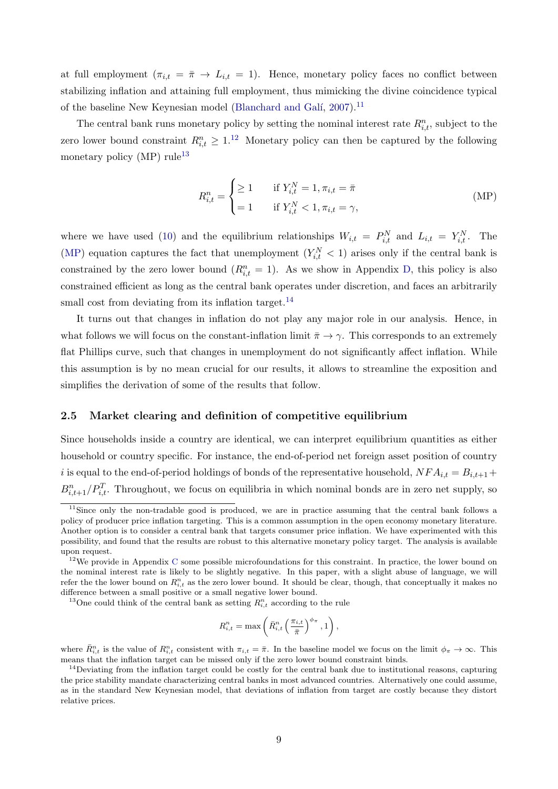at full employment  $(\pi_{i,t} = \bar{\pi} \to L_{i,t} = 1)$ . Hence, monetary policy faces no conflict between stabilizing inflation and attaining full employment, thus mimicking the divine coincidence typical of the baseline New Keynesian model (Blanchard and Galí, [2007\)](#page-54-12).<sup>[11](#page-10-0)</sup>

The central bank runs monetary policy by setting the nominal interest rate  $R_{i,t}^n$ , subject to the zero lower bound constraint  $R_{i,t}^n \geq 1.1^2$  Monetary policy can then be captured by the following monetary policy  $(MP)$  rule<sup>[13](#page-10-2)</sup>

<span id="page-10-5"></span><span id="page-10-3"></span>
$$
R_{i,t}^{n} = \begin{cases} \geq 1 & \text{if } Y_{i,t}^{N} = 1, \pi_{i,t} = \bar{\pi} \\ = 1 & \text{if } Y_{i,t}^{N} < 1, \pi_{i,t} = \gamma, \end{cases} \tag{MP}
$$

where we have used [\(10\)](#page-9-0) and the equilibrium relationships  $W_{i,t} = P_{i,t}^N$  and  $L_{i,t} = Y_{i,t}^N$ . The [\(MP\)](#page-10-3) equation captures the fact that unemployment  $(Y_{i,t}^N < 1)$  arises only if the central bank is constrained by the zero lower bound  $(R_{i,t}^n = 1)$ . As we show in Appendix [D,](#page-43-0) this policy is also constrained efficient as long as the central bank operates under discretion, and faces an arbitrarily small cost from deviating from its inflation target.<sup>[14](#page-10-4)</sup>

It turns out that changes in inflation do not play any major role in our analysis. Hence, in what follows we will focus on the constant-inflation limit  $\bar{\pi} \to \gamma$ . This corresponds to an extremely flat Phillips curve, such that changes in unemployment do not significantly affect inflation. While this assumption is by no mean crucial for our results, it allows to streamline the exposition and simplifies the derivation of some of the results that follow.

#### 2.5 Market clearing and definition of competitive equilibrium

Since households inside a country are identical, we can interpret equilibrium quantities as either household or country specific. For instance, the end-of-period net foreign asset position of country i is equal to the end-of-period holdings of bonds of the representative household,  $NFA_{i,t} = B_{i,t+1} +$  $B_{i,t+1}^n/P_{i,t}^T$ . Throughout, we focus on equilibria in which nominal bonds are in zero net supply, so

$$
R_{i,t}^{n} = \max\left(\bar{R}_{i,t}^{n}\left(\frac{\pi_{i,t}}{\bar{\pi}}\right)^{\phi_{\pi}}, 1\right),\,
$$

<span id="page-10-0"></span><sup>&</sup>lt;sup>11</sup>Since only the non-tradable good is produced, we are in practice assuming that the central bank follows a policy of producer price inflation targeting. This is a common assumption in the open economy monetary literature. Another option is to consider a central bank that targets consumer price inflation. We have experimented with this possibility, and found that the results are robust to this alternative monetary policy target. The analysis is available upon request.

<span id="page-10-1"></span><sup>&</sup>lt;sup>12</sup>We provide in Appendix [C](#page-42-0) some possible microfoundations for this constraint. In practice, the lower bound on the nominal interest rate is likely to be slightly negative. In this paper, with a slight abuse of language, we will refer the the lower bound on  $R_{i,t}^n$  as the zero lower bound. It should be clear, though, that conceptually it makes no difference between a small positive or a small negative lower bound.

<span id="page-10-2"></span><sup>&</sup>lt;sup>13</sup>One could think of the central bank as setting  $R_{i,t}^n$  according to the rule

where  $\bar{R}_{i,t}^n$  is the value of  $R_{i,t}^n$  consistent with  $\pi_{i,t} = \bar{\pi}$ . In the baseline model we focus on the limit  $\phi_{\pi} \to \infty$ . This means that the inflation target can be missed only if the zero lower bound constraint binds.

<span id="page-10-4"></span> $14$ Deviating from the inflation target could be costly for the central bank due to institutional reasons, capturing the price stability mandate characterizing central banks in most advanced countries. Alternatively one could assume, as in the standard New Keynesian model, that deviations of inflation from target are costly because they distort relative prices.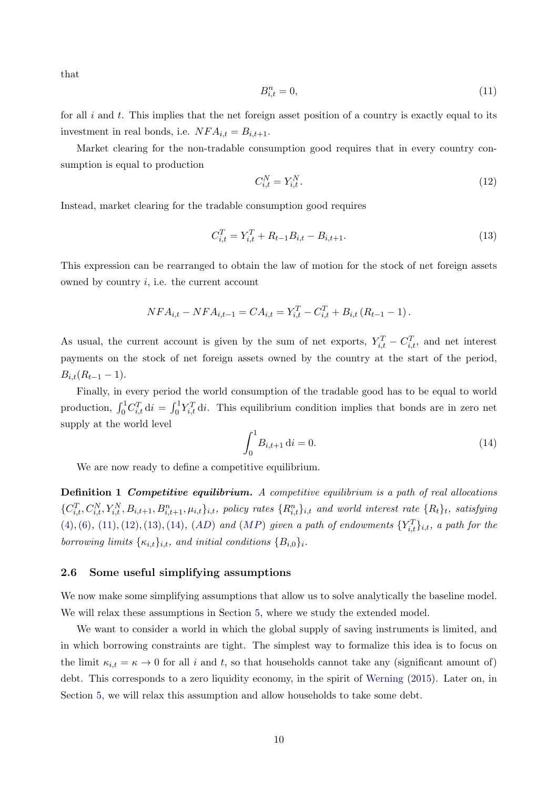that

$$
B_{i,t}^n = 0,\t\t(11)
$$

for all  $i$  and  $t$ . This implies that the net foreign asset position of a country is exactly equal to its investment in real bonds, i.e.  $NFA_{i,t} = B_{i,t+1}.$ 

Market clearing for the non-tradable consumption good requires that in every country consumption is equal to production

<span id="page-11-0"></span>
$$
C_{i,t}^N = Y_{i,t}^N. \tag{12}
$$

Instead, market clearing for the tradable consumption good requires

<span id="page-11-1"></span>
$$
C_{i,t}^T = Y_{i,t}^T + R_{t-1}B_{i,t} - B_{i,t+1}.
$$
\n(13)

This expression can be rearranged to obtain the law of motion for the stock of net foreign assets owned by country  $i$ , i.e. the current account

$$
NFA_{i,t} - NFA_{i,t-1} = CA_{i,t} = Y_{i,t}^T - C_{i,t}^T + B_{i,t} (R_{t-1} - 1).
$$

As usual, the current account is given by the sum of net exports,  $Y_{i,t}^T - C_{i,t}^T$ , and net interest payments on the stock of net foreign assets owned by the country at the start of the period,  $B_{i,t}(R_{t-1}-1).$ 

Finally, in every period the world consumption of the tradable good has to be equal to world production,  $\int_0^1 C_{i,t}^T \, \mathrm{d}i = \int_0^1 Y_{i,t}^T \, \mathrm{d}i$ . This equilibrium condition implies that bonds are in zero net supply at the world level

<span id="page-11-2"></span>
$$
\int_0^1 B_{i,t+1} \, \mathrm{d}i = 0. \tag{14}
$$

We are now ready to define a competitive equilibrium.

Definition 1 Competitive equilibrium. A competitive equilibrium is a path of real allocations  $\{C_{i,t}^T, C_{i,t}^N, Y_{i,t}^N, B_{i,t+1}, B_{i,t+1}^n, \mu_{i,t}\}_{i,t}$ , policy rates  $\{R_{i,t}^n\}_{i,t}$  and world interest rate  $\{R_t\}_t$ , satisfying  $(4), (6), (11), (12), (13), (14), (AD)$  $(4), (6), (11), (12), (13), (14), (AD)$  $(4), (6), (11), (12), (13), (14), (AD)$  $(4), (6), (11), (12), (13), (14), (AD)$  $(4), (6), (11), (12), (13), (14), (AD)$  $(4), (6), (11), (12), (13), (14), (AD)$  $(4), (6), (11), (12), (13), (14), (AD)$  $(4), (6), (11), (12), (13), (14), (AD)$  $(4), (6), (11), (12), (13), (14), (AD)$  $(4), (6), (11), (12), (13), (14), (AD)$  $(4), (6), (11), (12), (13), (14), (AD)$  $(4), (6), (11), (12), (13), (14), (AD)$  $(4), (6), (11), (12), (13), (14), (AD)$  $(4), (6), (11), (12), (13), (14), (AD)$  and  $(MP)$  $(MP)$  $(MP)$  given a path of endowments  ${Y_{i,t}^T}_{i,t}$ , a path for the borrowing limits  $\{\kappa_{i,t}\}_{i,t}$ , and initial conditions  $\{B_{i,0}\}_{i}$ .

#### <span id="page-11-3"></span>2.6 Some useful simplifying assumptions

We now make some simplifying assumptions that allow us to solve analytically the baseline model. We will relax these assumptions in Section [5,](#page-24-0) where we study the extended model.

We want to consider a world in which the global supply of saving instruments is limited, and in which borrowing constraints are tight. The simplest way to formalize this idea is to focus on the limit  $\kappa_{i,t} = \kappa \to 0$  for all i and t, so that households cannot take any (significant amount of) debt. This corresponds to a zero liquidity economy, in the spirit of [Werning](#page-56-5) [\(2015\)](#page-56-5). Later on, in Section [5,](#page-24-0) we will relax this assumption and allow households to take some debt.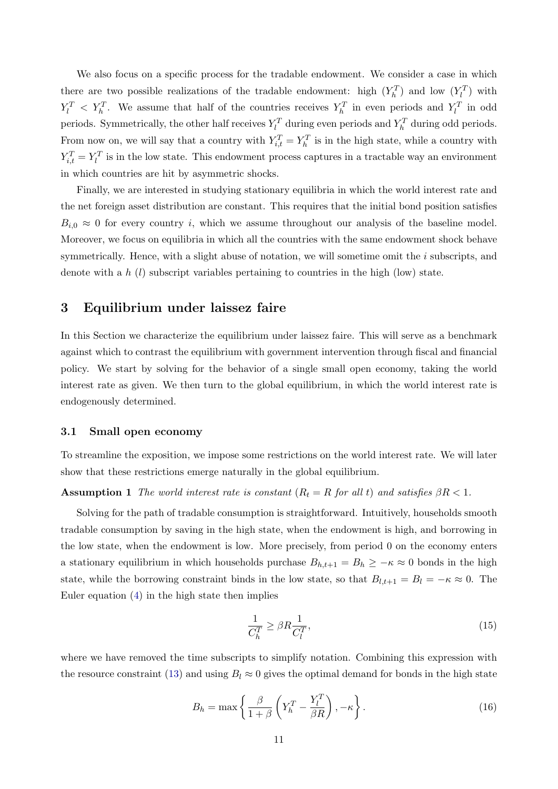We also focus on a specific process for the tradable endowment. We consider a case in which there are two possible realizations of the tradable endowment: high  $(Y_h^T)$  and low  $(Y_l^T)$  with  $Y_l^T$   $\langle Y_l^T \rangle$ . We assume that half of the countries receives  $Y_h^T$  in even periods and  $Y_l^T$  in odd periods. Symmetrically, the other half receives  $Y_l^T$  during even periods and  $Y_h^T$  during odd periods. From now on, we will say that a country with  $Y_{i,t}^T = Y_h^T$  is in the high state, while a country with  $Y_{i,t}^T = Y_l^T$  is in the low state. This endowment process captures in a tractable way an environment in which countries are hit by asymmetric shocks.

Finally, we are interested in studying stationary equilibria in which the world interest rate and the net foreign asset distribution are constant. This requires that the initial bond position satisfies  $B_{i,0} \approx 0$  for every country i, which we assume throughout our analysis of the baseline model. Moreover, we focus on equilibria in which all the countries with the same endowment shock behave symmetrically. Hence, with a slight abuse of notation, we will sometime omit the  $i$  subscripts, and denote with a h  $(l)$  subscript variables pertaining to countries in the high (low) state.

## 3 Equilibrium under laissez faire

In this Section we characterize the equilibrium under laissez faire. This will serve as a benchmark against which to contrast the equilibrium with government intervention through fiscal and financial policy. We start by solving for the behavior of a single small open economy, taking the world interest rate as given. We then turn to the global equilibrium, in which the world interest rate is endogenously determined.

#### 3.1 Small open economy

To streamline the exposition, we impose some restrictions on the world interest rate. We will later show that these restrictions emerge naturally in the global equilibrium.

#### **Assumption 1** The world interest rate is constant  $(R_t = R \text{ for all } t)$  and satisfies  $\beta R < 1$ .

Solving for the path of tradable consumption is straightforward. Intuitively, households smooth tradable consumption by saving in the high state, when the endowment is high, and borrowing in the low state, when the endowment is low. More precisely, from period 0 on the economy enters a stationary equilibrium in which households purchase  $B_{h,t+1} = B_h \geq -\kappa \approx 0$  bonds in the high state, while the borrowing constraint binds in the low state, so that  $B_{l,t+1} = B_l = -\kappa \approx 0$ . The Euler equation [\(4\)](#page-7-2) in the high state then implies

<span id="page-12-1"></span><span id="page-12-0"></span>
$$
\frac{1}{C_h^T} \ge \beta R \frac{1}{C_l^T},\tag{15}
$$

where we have removed the time subscripts to simplify notation. Combining this expression with the resource constraint [\(13\)](#page-11-1) and using  $B_l \approx 0$  gives the optimal demand for bonds in the high state

<span id="page-12-2"></span>
$$
B_h = \max\left\{\frac{\beta}{1+\beta}\left(Y_h^T - \frac{Y_l^T}{\beta R}\right), -\kappa\right\}.
$$
\n(16)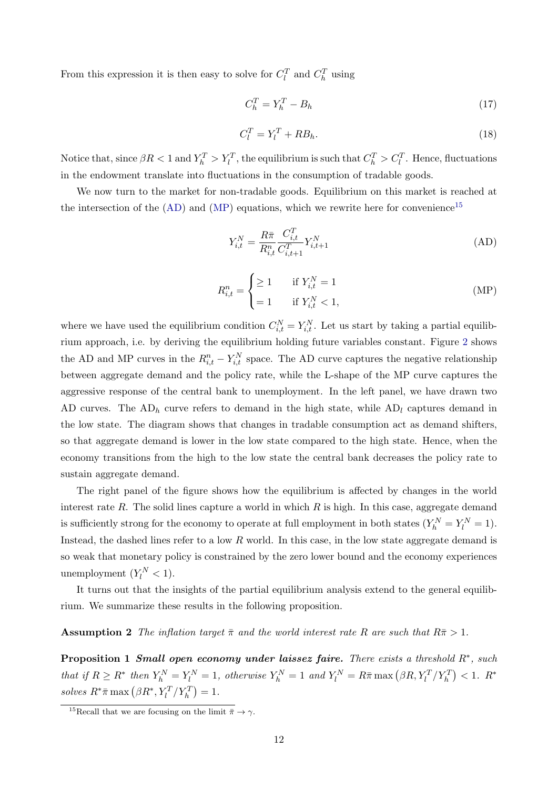From this expression it is then easy to solve for  $C_l^T$  and  $C_h^T$  using

<span id="page-13-5"></span>
$$
C_h^T = Y_h^T - B_h \tag{17}
$$

<span id="page-13-6"></span>
$$
C_l^T = Y_l^T + RB_h. \tag{18}
$$

Notice that, since  $\beta R < 1$  and  $Y_h^T > Y_l^T$ , the equilibrium is such that  $C_h^T > C_l^T$ . Hence, fluctuations in the endowment translate into fluctuations in the consumption of tradable goods.

We now turn to the market for non-tradable goods. Equilibrium on this market is reached at the intersection of the  $(AD)$  and  $(MP)$  equations, which we rewrite here for convenience<sup>[15](#page-13-1)</sup>

<span id="page-13-4"></span><span id="page-13-0"></span>
$$
Y_{i,t}^{N} = \frac{R\bar{\pi}}{R_{i,t}^{n}} \frac{C_{i,t}^{T}}{C_{i,t+1}^{T}} Y_{i,t+1}^{N}
$$
 (AD)

$$
R_{i,t}^{n} = \begin{cases} \geq 1 & \text{if } Y_{i,t}^{N} = 1\\ = 1 & \text{if } Y_{i,t}^{N} < 1, \end{cases} \tag{MP}
$$

where we have used the equilibrium condition  $C_{i,t}^N = Y_{i,t}^N$ . Let us start by taking a partial equilibrium approach, i.e. by deriving the equilibrium holding future variables constant. Figure [2](#page-14-0) shows the AD and MP curves in the  $R_{i,t}^n - Y_{i,t}^N$  space. The AD curve captures the negative relationship between aggregate demand and the policy rate, while the L-shape of the MP curve captures the aggressive response of the central bank to unemployment. In the left panel, we have drawn two AD curves. The  $AD_h$  curve refers to demand in the high state, while  $AD_l$  captures demand in the low state. The diagram shows that changes in tradable consumption act as demand shifters, so that aggregate demand is lower in the low state compared to the high state. Hence, when the economy transitions from the high to the low state the central bank decreases the policy rate to sustain aggregate demand.

The right panel of the figure shows how the equilibrium is affected by changes in the world interest rate  $R$ . The solid lines capture a world in which  $R$  is high. In this case, aggregate demand is sufficiently strong for the economy to operate at full employment in both states  $(Y_h^N = Y_l^N = 1)$ . Instead, the dashed lines refer to a low R world. In this case, in the low state aggregate demand is so weak that monetary policy is constrained by the zero lower bound and the economy experiences unemployment  $(Y_l^N < 1)$ .

It turns out that the insights of the partial equilibrium analysis extend to the general equilibrium. We summarize these results in the following proposition.

#### <span id="page-13-3"></span>**Assumption 2** The inflation target  $\bar{\pi}$  and the world interest rate R are such that  $R\bar{\pi} > 1$ .

<span id="page-13-2"></span>**Proposition 1 Small open economy under laissez faire.** There exists a threshold  $R^*$ , such that if  $R \ge R^*$  then  $Y_h^N = Y_l^N = 1$ , otherwise  $Y_h^N = 1$  and  $Y_l^N = R\overline{\pi} \max(\beta R, Y_l^T / Y_h^T) < 1$ .  $R^*$ solves  $R^*\bar{\pi} \max(\beta R^*, Y_l^T/Y_h^T) = 1.$ 

<span id="page-13-1"></span><sup>&</sup>lt;sup>15</sup>Recall that we are focusing on the limit  $\bar{\pi} \rightarrow \gamma$ .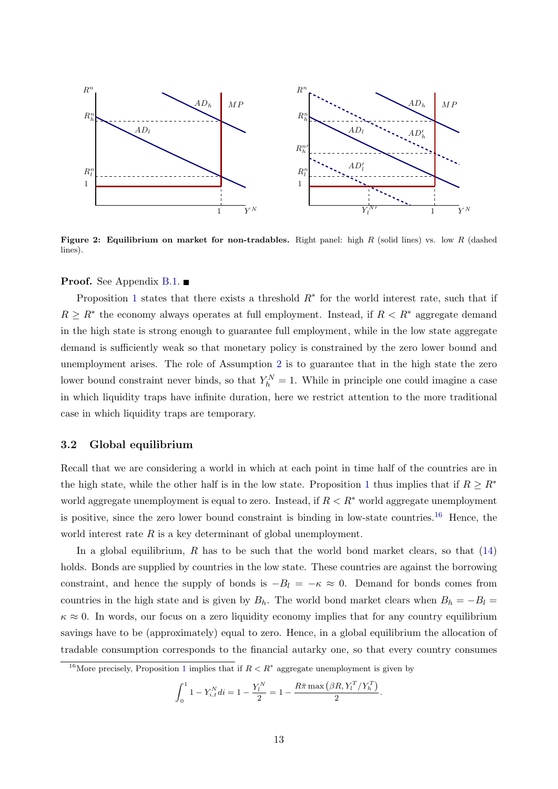<span id="page-14-0"></span>

Figure 2: Equilibrium on market for non-tradables. Right panel: high R (solid lines) vs. low R (dashed lines).

**Proof.** See Appendix [B.1.](#page-38-0)  $\blacksquare$ 

Proposition [1](#page-13-2) states that there exists a threshold  $R^*$  for the world interest rate, such that if  $R \geq R^*$  the economy always operates at full employment. Instead, if  $R < R^*$  aggregate demand in the high state is strong enough to guarantee full employment, while in the low state aggregate demand is sufficiently weak so that monetary policy is constrained by the zero lower bound and unemployment arises. The role of Assumption [2](#page-13-3) is to guarantee that in the high state the zero lower bound constraint never binds, so that  $Y_h^N = 1$ . While in principle one could imagine a case in which liquidity traps have infinite duration, here we restrict attention to the more traditional case in which liquidity traps are temporary.

#### 3.2 Global equilibrium

Recall that we are considering a world in which at each point in time half of the countries are in the high state, while the other half is in the low state. Proposition [1](#page-13-2) thus implies that if  $R \geq R^*$ world aggregate unemployment is equal to zero. Instead, if  $R < R^*$  world aggregate unemployment is positive, since the zero lower bound constraint is binding in low-state countries.<sup>[16](#page-14-1)</sup> Hence, the world interest rate  $R$  is a key determinant of global unemployment.

In a global equilibrium,  $R$  has to be such that the world bond market clears, so that  $(14)$ holds. Bonds are supplied by countries in the low state. These countries are against the borrowing constraint, and hence the supply of bonds is  $-B_l = -\kappa \approx 0$ . Demand for bonds comes from countries in the high state and is given by  $B_h$ . The world bond market clears when  $B_h = -B_l =$  $\kappa \approx 0$ . In words, our focus on a zero liquidity economy implies that for any country equilibrium savings have to be (approximately) equal to zero. Hence, in a global equilibrium the allocation of tradable consumption corresponds to the financial autarky one, so that every country consumes

$$
\int_0^1 1 - Y_{i,t}^N di = 1 - \frac{Y_l^N}{2} = 1 - \frac{R\bar{\pi} \max\left(\beta R, Y_l^T / Y_h^T\right)}{2}.
$$

<span id="page-14-1"></span><sup>&</sup>lt;sup>[1](#page-13-2)6</sup>More precisely, Proposition 1 implies that if  $R < R^*$  aggregate unemployment is given by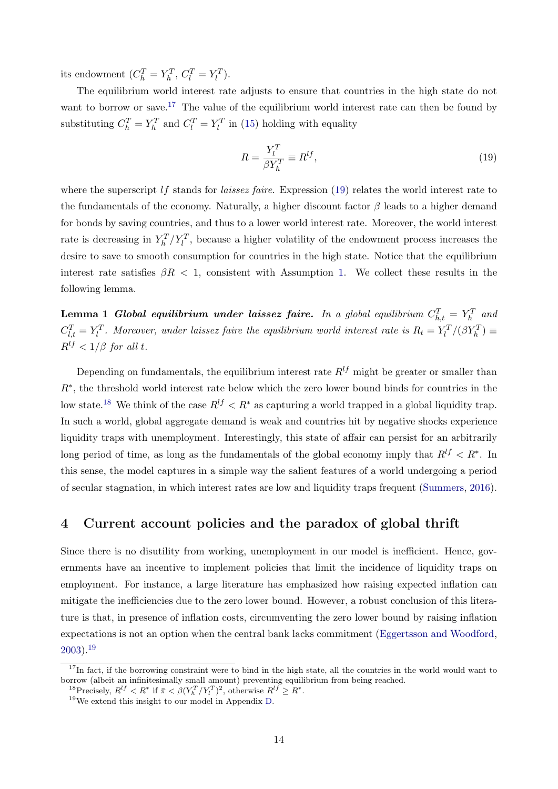its endowment  $(C_h^T = Y_h^T, C_l^T = Y_l^T)$ .

The equilibrium world interest rate adjusts to ensure that countries in the high state do not want to borrow or save.<sup>[17](#page-15-0)</sup> The value of the equilibrium world interest rate can then be found by substituting  $C_h^T = Y_h^T$  and  $C_l^T = Y_l^T$  in [\(15\)](#page-12-0) holding with equality

$$
R = \frac{Y_l^T}{\beta Y_h^T} \equiv R^{lf},\tag{19}
$$

where the superscript  $\iota f$  stands for *laissez faire*. Expression [\(19\)](#page-13-4) relates the world interest rate to the fundamentals of the economy. Naturally, a higher discount factor  $\beta$  leads to a higher demand for bonds by saving countries, and thus to a lower world interest rate. Moreover, the world interest rate is decreasing in  $Y_h^T/Y_l^T$ , because a higher volatility of the endowment process increases the desire to save to smooth consumption for countries in the high state. Notice that the equilibrium interest rate satisfies  $\beta R < 1$ , consistent with Assumption [1.](#page-12-1) We collect these results in the following lemma.

**Lemma 1 Global equilibrium under laissez faire.** In a global equilibrium  $C_{h,t}^T = Y_h^T$  and  $C_{l,t}^T = Y_l^T$ . Moreover, under laissez faire the equilibrium world interest rate is  $R_t = Y_l^T/(\beta Y_h^T) \equiv$  $R^{lf}$  < 1/ $\beta$  for all t.

Depending on fundamentals, the equilibrium interest rate  $R^{lf}$  might be greater or smaller than R∗ , the threshold world interest rate below which the zero lower bound binds for countries in the low state.<sup>[18](#page-15-1)</sup> We think of the case  $R^{lf} < R^*$  as capturing a world trapped in a global liquidity trap. In such a world, global aggregate demand is weak and countries hit by negative shocks experience liquidity traps with unemployment. Interestingly, this state of affair can persist for an arbitrarily long period of time, as long as the fundamentals of the global economy imply that  $R^{lf} < R^*$ . In this sense, the model captures in a simple way the salient features of a world undergoing a period of secular stagnation, in which interest rates are low and liquidity traps frequent [\(Summers,](#page-56-0) [2016\)](#page-56-0).

## 4 Current account policies and the paradox of global thrift

Since there is no disutility from working, unemployment in our model is inefficient. Hence, governments have an incentive to implement policies that limit the incidence of liquidity traps on employment. For instance, a large literature has emphasized how raising expected inflation can mitigate the inefficiencies due to the zero lower bound. However, a robust conclusion of this literature is that, in presence of inflation costs, circumventing the zero lower bound by raising inflation expectations is not an option when the central bank lacks commitment [\(Eggertsson and Woodford,](#page-54-13)  $2003$ ).<sup>[19](#page-15-2)</sup>

<span id="page-15-0"></span> $17$ In fact, if the borrowing constraint were to bind in the high state, all the countries in the world would want to borrow (albeit an infinitesimally small amount) preventing equilibrium from being reached.

<span id="page-15-1"></span><sup>&</sup>lt;sup>18</sup>Precisely,  $R^{lf} < R^*$  if  $\bar{\pi} < \beta (Y_h^T/Y_l^T)^2$ , otherwise  $R^{lf} \ge R^*$ .

<span id="page-15-2"></span> $19\,\text{We extend this insight to our model in Appendix D.}$  $19\,\text{We extend this insight to our model in Appendix D.}$  $19\,\text{We extend this insight to our model in Appendix D.}$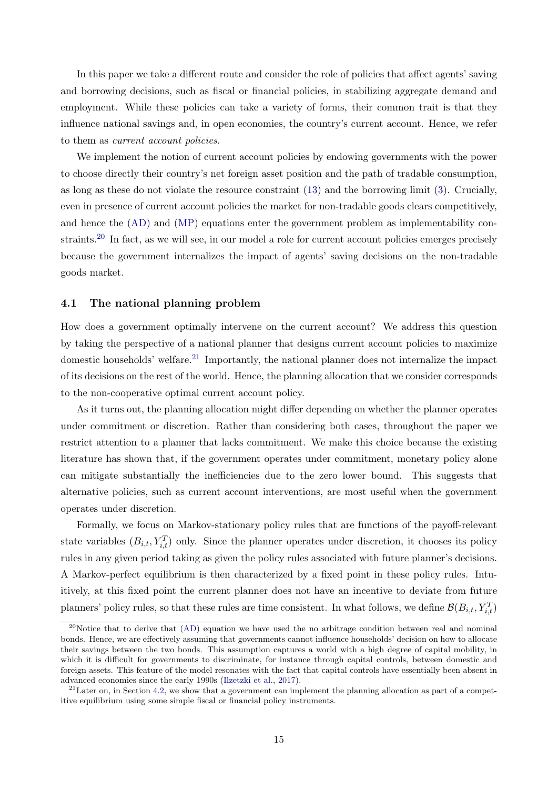In this paper we take a different route and consider the role of policies that affect agents' saving and borrowing decisions, such as fiscal or financial policies, in stabilizing aggregate demand and employment. While these policies can take a variety of forms, their common trait is that they influence national savings and, in open economies, the country's current account. Hence, we refer to them as current account policies.

We implement the notion of current account policies by endowing governments with the power to choose directly their country's net foreign asset position and the path of tradable consumption, as long as these do not violate the resource constraint [\(13\)](#page-11-1) and the borrowing limit [\(3\)](#page-7-1). Crucially, even in presence of current account policies the market for non-tradable goods clears competitively, and hence the [\(AD\)](#page-13-0) and [\(MP\)](#page-10-3) equations enter the government problem as implementability constraints.[20](#page-16-0) In fact, as we will see, in our model a role for current account policies emerges precisely because the government internalizes the impact of agents' saving decisions on the non-tradable goods market.

### 4.1 The national planning problem

How does a government optimally intervene on the current account? We address this question by taking the perspective of a national planner that designs current account policies to maximize domestic households' welfare.<sup>[21](#page-16-1)</sup> Importantly, the national planner does not internalize the impact of its decisions on the rest of the world. Hence, the planning allocation that we consider corresponds to the non-cooperative optimal current account policy.

As it turns out, the planning allocation might differ depending on whether the planner operates under commitment or discretion. Rather than considering both cases, throughout the paper we restrict attention to a planner that lacks commitment. We make this choice because the existing literature has shown that, if the government operates under commitment, monetary policy alone can mitigate substantially the inefficiencies due to the zero lower bound. This suggests that alternative policies, such as current account interventions, are most useful when the government operates under discretion.

Formally, we focus on Markov-stationary policy rules that are functions of the payoff-relevant state variables  $(B_{i,t}, Y_{i,t}^T)$  only. Since the planner operates under discretion, it chooses its policy rules in any given period taking as given the policy rules associated with future planner's decisions. A Markov-perfect equilibrium is then characterized by a fixed point in these policy rules. Intuitively, at this fixed point the current planner does not have an incentive to deviate from future planners' policy rules, so that these rules are time consistent. In what follows, we define  $\mathcal{B}(B_{i,t}, Y_{i,t}^T)$ 

<span id="page-16-0"></span><sup>&</sup>lt;sup>20</sup>Notice that to derive that  $(AD)$  equation we have used the no arbitrage condition between real and nominal bonds. Hence, we are effectively assuming that governments cannot influence households' decision on how to allocate their savings between the two bonds. This assumption captures a world with a high degree of capital mobility, in which it is difficult for governments to discriminate, for instance through capital controls, between domestic and foreign assets. This feature of the model resonates with the fact that capital controls have essentially been absent in advanced economies since the early 1990s [\(Ilzetzki et al.,](#page-55-10) [2017\)](#page-55-10).

<span id="page-16-1"></span> $^{21}$ Later on, in Section [4.2,](#page-18-0) we show that a government can implement the planning allocation as part of a competitive equilibrium using some simple fiscal or financial policy instruments.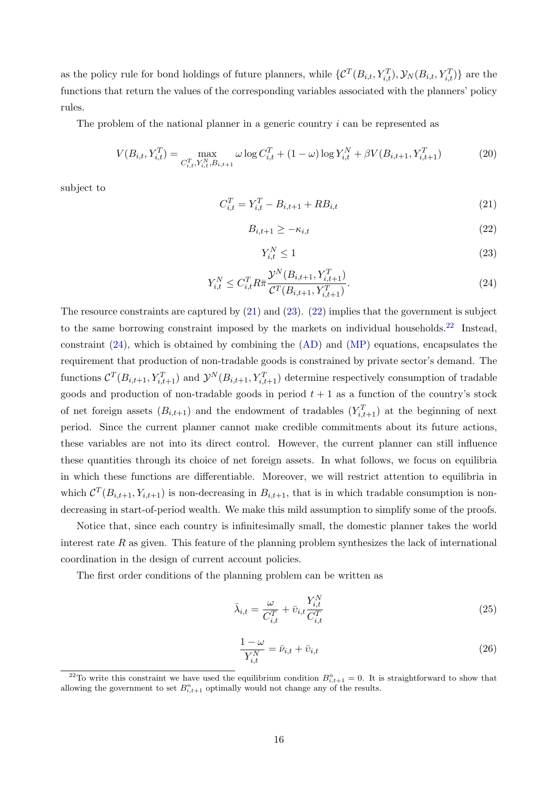as the policy rule for bond holdings of future planners, while  $\{\mathcal{C}^T(B_{i,t}, Y_{i,t}^T), \mathcal{Y}_N(B_{i,t}, Y_{i,t}^T)\}\)$  are the functions that return the values of the corresponding variables associated with the planners' policy rules.

The problem of the national planner in a generic country i can be represented as

$$
V(B_{i,t}, Y_{i,t}^T) = \max_{C_{i,t}^T, Y_{i,t}^N, B_{i,t+1}} \omega \log C_{i,t}^T + (1 - \omega) \log Y_{i,t}^N + \beta V(B_{i,t+1}, Y_{i,t+1}^T)
$$
(20)

subject to

<span id="page-17-0"></span>
$$
C_{i,t}^T = Y_{i,t}^T - B_{i,t+1} + RB_{i,t}
$$
\n(21)

<span id="page-17-2"></span>
$$
B_{i,t+1} \geq -\kappa_{i,t} \tag{22}
$$

<span id="page-17-1"></span>
$$
Y_{i,t}^N \le 1\tag{23}
$$

<span id="page-17-4"></span>
$$
Y_{i,t}^N \le C_{i,t}^T R \bar{\pi} \frac{\mathcal{Y}^N(B_{i,t+1}, Y_{i,t+1}^T)}{\mathcal{C}^T(B_{i,t+1}, Y_{i,t+1}^T)}.
$$
\n(24)

The resource constraints are captured by [\(21\)](#page-17-0) and [\(23\)](#page-17-1). [\(22\)](#page-17-2) implies that the government is subject to the same borrowing constraint imposed by the markets on individual households.<sup>[22](#page-17-3)</sup> Instead, constraint [\(24\)](#page-17-4), which is obtained by combining the [\(AD\)](#page-13-0) and [\(MP\)](#page-10-3) equations, encapsulates the requirement that production of non-tradable goods is constrained by private sector's demand. The functions  $C^{T}(B_{i,t+1}, Y_{i,t+1}^T)$  and  $\mathcal{Y}^{N}(B_{i,t+1}, Y_{i,t+1}^T)$  determine respectively consumption of tradable goods and production of non-tradable goods in period  $t + 1$  as a function of the country's stock of net foreign assets  $(B_{i,t+1})$  and the endowment of tradables  $(Y_{i,t+1}^T)$  at the beginning of next period. Since the current planner cannot make credible commitments about its future actions, these variables are not into its direct control. However, the current planner can still influence these quantities through its choice of net foreign assets. In what follows, we focus on equilibria in which these functions are differentiable. Moreover, we will restrict attention to equilibria in which  $\mathcal{C}^T(B_{i,t+1}, Y_{i,t+1})$  is non-decreasing in  $B_{i,t+1}$ , that is in which tradable consumption is nondecreasing in start-of-period wealth. We make this mild assumption to simplify some of the proofs.

Notice that, since each country is infinitesimally small, the domestic planner takes the world interest rate  $R$  as given. This feature of the planning problem synthesizes the lack of international coordination in the design of current account policies.

The first order conditions of the planning problem can be written as

<span id="page-17-5"></span>
$$
\bar{\lambda}_{i,t} = \frac{\omega}{C_{i,t}^T} + \bar{v}_{i,t} \frac{Y_{i,t}^N}{C_{i,t}^T}
$$
\n(25)

<span id="page-17-6"></span>
$$
\frac{1-\omega}{Y_{i,t}^N} = \bar{\nu}_{i,t} + \bar{\upsilon}_{i,t}
$$
\n
$$
(26)
$$

<span id="page-17-3"></span><sup>&</sup>lt;sup>22</sup>To write this constraint we have used the equilibrium condition  $B_{i,t+1}^n = 0$ . It is straightforward to show that allowing the government to set  $B_{i,t+1}^n$  optimally would not change any of the results.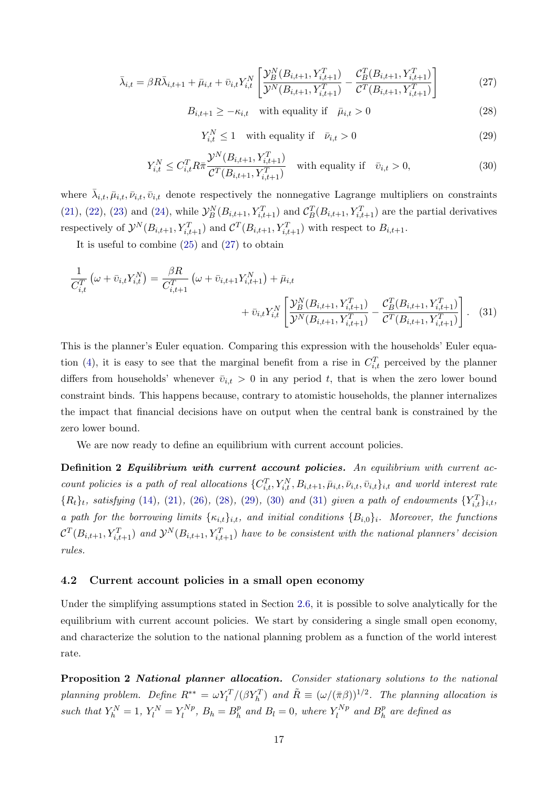<span id="page-18-1"></span>
$$
\bar{\lambda}_{i,t} = \beta R \bar{\lambda}_{i,t+1} + \bar{\mu}_{i,t} + \bar{v}_{i,t} Y_{i,t}^N \left[ \frac{\mathcal{Y}_{B}^N(B_{i,t+1}, Y_{i,t+1}^T)}{\mathcal{Y}^N(B_{i,t+1}, Y_{i,t+1}^T)} - \frac{\mathcal{C}_{B}^T(B_{i,t+1}, Y_{i,t+1}^T)}{\mathcal{C}^T(B_{i,t+1}, Y_{i,t+1}^T)} \right]
$$
(27)

<span id="page-18-2"></span> $B_{i,t+1} \geq -\kappa_{i,t}$  with equality if  $\bar{\mu}_{i,t} > 0$  (28)

<span id="page-18-5"></span><span id="page-18-3"></span>
$$
Y_{i,t}^N \le 1 \quad \text{with equality if} \quad \bar{\nu}_{i,t} > 0 \tag{29}
$$

<span id="page-18-4"></span>
$$
Y_{i,t}^{N} \le C_{i,t}^{T} R \pi \frac{\mathcal{Y}^{N}(B_{i,t+1}, Y_{i,t+1}^{T})}{\mathcal{C}^{T}(B_{i,t+1}, Y_{i,t+1}^{T})} \quad \text{with equality if} \quad \bar{v}_{i,t} > 0,
$$
\n(30)

where  $\bar{\lambda}_{i,t}, \bar{\mu}_{i,t}, \bar{\nu}_{i,t}$  denote respectively the nonnegative Lagrange multipliers on constraints [\(21\)](#page-17-0), [\(22\)](#page-17-2), [\(23\)](#page-17-1) and [\(24\)](#page-17-4), while  $\mathcal{Y}_{B}^{N}(B_{i,t+1}, Y_{i,t+1}^{T})$  and  $\mathcal{C}_{B}^{T}(B_{i,t+1}, Y_{i,t+1}^{T})$  are the partial derivatives respectively of  $\mathcal{Y}^N(B_{i,t+1}, Y_{i,t+1}^T)$  and  $\mathcal{C}^T(B_{i,t+1}, Y_{i,t+1}^T)$  with respect to  $B_{i,t+1}$ .

It is useful to combine [\(25\)](#page-17-5) and [\(27\)](#page-18-1) to obtain

$$
\frac{1}{C_{i,t}^T} \left( \omega + \bar{v}_{i,t} Y_{i,t}^N \right) = \frac{\beta R}{C_{i,t+1}^T} \left( \omega + \bar{v}_{i,t+1} Y_{i,t+1}^N \right) + \bar{\mu}_{i,t} + \bar{v}_{i,t} Y_{i,t}^N \left[ \frac{\mathcal{Y}_{B}^N (B_{i,t+1}, Y_{i,t+1}^T)}{\mathcal{Y}^N (B_{i,t+1}, Y_{i,t+1}^T)} - \frac{\mathcal{C}_{B}^T (B_{i,t+1}, Y_{i,t+1}^T)}{\mathcal{C}^T (B_{i,t+1}, Y_{i,t+1}^T)} \right].
$$
 (31)

This is the planner's Euler equation. Comparing this expression with the households' Euler equa-tion [\(4\)](#page-7-2), it is easy to see that the marginal benefit from a rise in  $C_{i,t}^T$  perceived by the planner differs from households' whenever  $\bar{v}_{i,t} > 0$  in any period t, that is when the zero lower bound constraint binds. This happens because, contrary to atomistic households, the planner internalizes the impact that financial decisions have on output when the central bank is constrained by the zero lower bound.

We are now ready to define an equilibrium with current account policies.

Definition 2 Equilibrium with current account policies. An equilibrium with current account policies is a path of real allocations  $\{C_{i,t}^T, Y_{i,t}^N, B_{i,t+1}, \bar{\mu}_{i,t}, \bar{\nu}_{i,t}, \bar{\nu}_{i,t}\}_{i,t}$  and world interest rate  ${R_t}_t$ , satisfying [\(14\)](#page-11-2), [\(21\)](#page-17-0), [\(26\)](#page-17-6), [\(28\)](#page-18-2), [\(29\)](#page-18-3), [\(30\)](#page-18-4) and [\(31\)](#page-18-5) given a path of endowments  ${Y_{i,t}^T}_{i,t}$ , a path for the borrowing limits  $\{\kappa_{i,t}\}_{i,t}$ , and initial conditions  $\{B_{i,0}\}_{i}$ . Moreover, the functions  $\mathcal{C}^T(B_{i,t+1}, Y_{i,t+1}^T)$  and  $\mathcal{Y}^N(B_{i,t+1}, Y_{i,t+1}^T)$  have to be consistent with the national planners' decision rules.

#### <span id="page-18-0"></span>4.2 Current account policies in a small open economy

Under the simplifying assumptions stated in Section [2.6,](#page-11-3) it is possible to solve analytically for the equilibrium with current account policies. We start by considering a single small open economy, and characterize the solution to the national planning problem as a function of the world interest rate.

<span id="page-18-6"></span>Proposition 2 National planner allocation. Consider stationary solutions to the national planning problem. Define  $R^{**} = \omega Y_l^T/(\beta Y_h^T)$  and  $\tilde{R} \equiv (\omega/(\bar{\pi}\beta))^{1/2}$ . The planning allocation is such that  $Y_h^N = 1$ ,  $Y_l^N = Y_l^{Np}$  $a_l^{Np}$ ,  $B_h = B_h^p$  $h_h^p$  and  $B_l = 0$ , where  $Y_l^{Np}$  $l_l^{Np}$  and  $B_h^p$  $\frac{p}{h}$  are defined as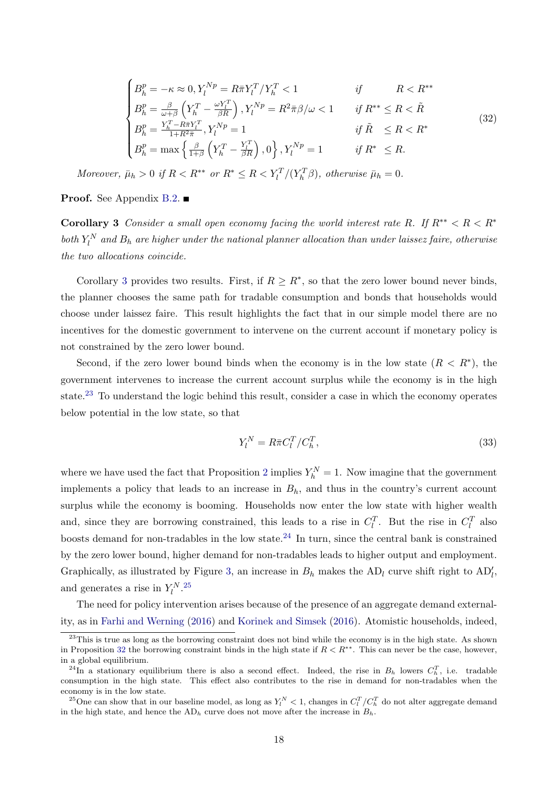<span id="page-19-4"></span>
$$
\begin{cases}\nB_h^p = -\kappa \approx 0, Y_l^{Np} = R\bar{\pi}Y_l^T/Y_h^T < 1 & \text{if } R < R^{**} \\
B_h^p = \frac{\beta}{\omega + \beta} \left( Y_h^T - \frac{\omega Y_l^T}{\beta R} \right), Y_l^{Np} = R^2 \bar{\pi}\beta/\omega < 1 & \text{if } R^{**} \le R < \tilde{R} \\
B_h^p = \frac{Y_h^T - R\bar{\pi}Y_l^T}{1 + R^2 \bar{\pi}}, Y_l^{Np} = 1 & \text{if } \tilde{R} \le R < R^* \\
B_h^p = \max \left\{ \frac{\beta}{1 + \beta} \left( Y_h^T - \frac{Y_l^T}{\beta R} \right), 0 \right\}, Y_l^{Np} = 1 & \text{if } R^* \le R.\n\end{cases}\n\tag{32}
$$

Moreover,  $\bar{\mu}_h > 0$  if  $R < R^{**}$  or  $R^* \le R < Y_l^T/(Y_h^T \beta)$ , otherwise  $\bar{\mu}_h = 0$ .

<span id="page-19-0"></span>**Proof.** See Appendix [B.2.](#page-39-0) ■

Corollary 3 Consider a small open economy facing the world interest rate R. If  $R^{**} < R < R^*$ both  $Y_l^N$  and  $B_h$  are higher under the national planner allocation than under laissez faire, otherwise the two allocations coincide.

Corollary [3](#page-19-0) provides two results. First, if  $R \geq R^*$ , so that the zero lower bound never binds, the planner chooses the same path for tradable consumption and bonds that households would choose under laissez faire. This result highlights the fact that in our simple model there are no incentives for the domestic government to intervene on the current account if monetary policy is not constrained by the zero lower bound.

Second, if the zero lower bound binds when the economy is in the low state  $(R < R^*)$ , the government intervenes to increase the current account surplus while the economy is in the high state.<sup>[23](#page-19-1)</sup> To understand the logic behind this result, consider a case in which the economy operates below potential in the low state, so that

$$
Y_l^N = R\bar{\pi}C_l^T/C_h^T,\tag{33}
$$

where we have used the fact that Proposition [2](#page-18-6) implies  $Y_h^N = 1$ . Now imagine that the government implements a policy that leads to an increase in  $B_h$ , and thus in the country's current account surplus while the economy is booming. Households now enter the low state with higher wealth and, since they are borrowing constrained, this leads to a rise in  $C_l^T$ . But the rise in  $C_l^T$  also boosts demand for non-tradables in the low state.<sup>[24](#page-19-2)</sup> In turn, since the central bank is constrained by the zero lower bound, higher demand for non-tradables leads to higher output and employment. Graphically, as illustrated by Figure [3,](#page-20-0) an increase in  $B_h$  makes the  $AD_l$  curve shift right to  $AD'_l$ , and generates a rise in  $Y_l^{N}$ .<sup>[25](#page-19-3)</sup>

The need for policy intervention arises because of the presence of an aggregate demand externality, as in [Farhi and Werning](#page-55-0) [\(2016\)](#page-55-0) and [Korinek and Simsek](#page-55-1) [\(2016\)](#page-55-1). Atomistic households, indeed,

<span id="page-19-1"></span> $^{23}$ This is true as long as the borrowing constraint does not bind while the economy is in the high state. As shown in Proposition [32](#page-19-4) the borrowing constraint binds in the high state if  $R < R^{**}$ . This can never be the case, however, in a global equilibrium.

<span id="page-19-2"></span><sup>&</sup>lt;sup>24</sup>In a stationary equilibrium there is also a second effect. Indeed, the rise in  $B_h$  lowers  $C_h^T$ , i.e. tradable consumption in the high state. This effect also contributes to the rise in demand for non-tradables when the economy is in the low state.

<span id="page-19-3"></span><sup>&</sup>lt;sup>25</sup>One can show that in our baseline model, as long as  $Y_l^N < 1$ , changes in  $C_l^T/C_h^T$  do not alter aggregate demand in the high state, and hence the  $AD_h$  curve does not move after the increase in  $B_h$ .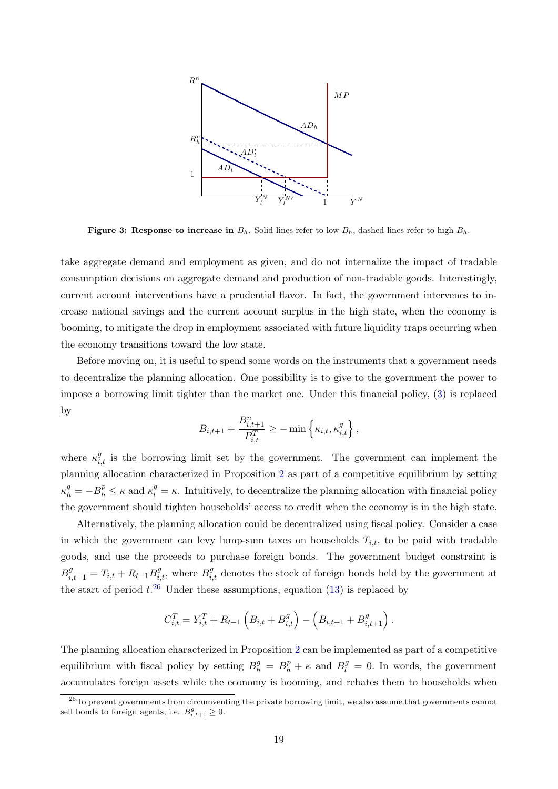<span id="page-20-0"></span>

Figure 3: Response to increase in  $B_h$ . Solid lines refer to low  $B_h$ , dashed lines refer to high  $B_h$ .

take aggregate demand and employment as given, and do not internalize the impact of tradable consumption decisions on aggregate demand and production of non-tradable goods. Interestingly, current account interventions have a prudential flavor. In fact, the government intervenes to increase national savings and the current account surplus in the high state, when the economy is booming, to mitigate the drop in employment associated with future liquidity traps occurring when the economy transitions toward the low state.

Before moving on, it is useful to spend some words on the instruments that a government needs to decentralize the planning allocation. One possibility is to give to the government the power to impose a borrowing limit tighter than the market one. Under this financial policy, [\(3\)](#page-7-1) is replaced by

$$
B_{i,t+1} + \frac{B_{i,t+1}^n}{P_{i,t}^T} \ge -\min\left\{\kappa_{i,t}, \kappa_{i,t}^g\right\},\,
$$

where  $\kappa_{i,t}^{g}$  is the borrowing limit set by the government. The government can implement the planning allocation characterized in Proposition [2](#page-18-6) as part of a competitive equilibrium by setting  $\kappa_h^g = -B_h^p \leq \kappa$  and  $\kappa_l^g = \kappa$ . Intuitively, to decentralize the planning allocation with financial policy the government should tighten households' access to credit when the economy is in the high state.

Alternatively, the planning allocation could be decentralized using fiscal policy. Consider a case in which the government can levy lump-sum taxes on households  $T_{i,t}$ , to be paid with tradable goods, and use the proceeds to purchase foreign bonds. The government budget constraint is  $B_{i,t+1}^g = T_{i,t} + R_{t-1}B_{i,t}^g$ , where  $B_{i,t}^g$  denotes the stock of foreign bonds held by the government at the start of period  $t^{26}$  $t^{26}$  $t^{26}$  Under these assumptions, equation [\(13\)](#page-11-1) is replaced by

$$
C_{i,t}^T = Y_{i,t}^T + R_{t-1} \left( B_{i,t} + B_{i,t}^g \right) - \left( B_{i,t+1} + B_{i,t+1}^g \right).
$$

The planning allocation characterized in Proposition [2](#page-18-6) can be implemented as part of a competitive equilibrium with fiscal policy by setting  $B_h^g = B_h^p + \kappa$  and  $B_l^g = 0$ . In words, the government accumulates foreign assets while the economy is booming, and rebates them to households when

<span id="page-20-1"></span><sup>&</sup>lt;sup>26</sup>To prevent governments from circumventing the private borrowing limit, we also assume that governments cannot sell bonds to foreign agents, i.e.  $B_{i,t+1}^g \geq 0$ .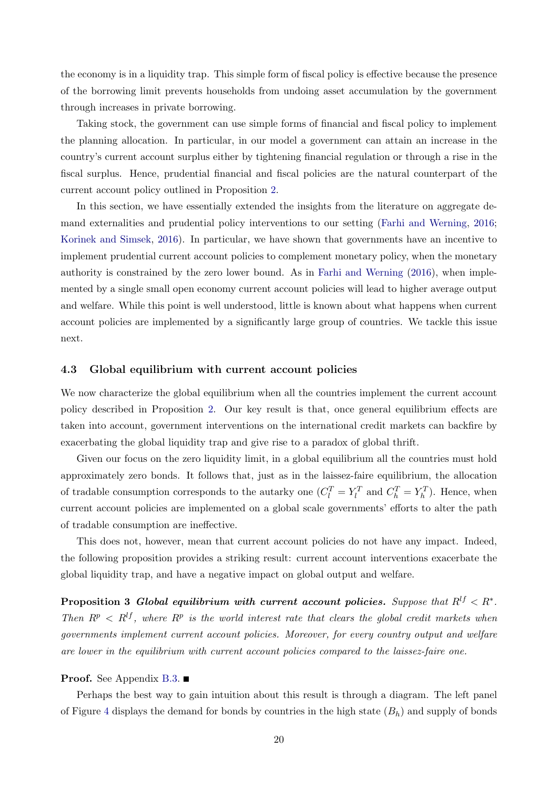the economy is in a liquidity trap. This simple form of fiscal policy is effective because the presence of the borrowing limit prevents households from undoing asset accumulation by the government through increases in private borrowing.

Taking stock, the government can use simple forms of financial and fiscal policy to implement the planning allocation. In particular, in our model a government can attain an increase in the country's current account surplus either by tightening financial regulation or through a rise in the fiscal surplus. Hence, prudential financial and fiscal policies are the natural counterpart of the current account policy outlined in Proposition [2.](#page-18-6)

In this section, we have essentially extended the insights from the literature on aggregate demand externalities and prudential policy interventions to our setting [\(Farhi and Werning,](#page-55-0) [2016;](#page-55-0) [Korinek and Simsek,](#page-55-1) [2016\)](#page-55-1). In particular, we have shown that governments have an incentive to implement prudential current account policies to complement monetary policy, when the monetary authority is constrained by the zero lower bound. As in [Farhi and Werning](#page-55-0) [\(2016\)](#page-55-0), when implemented by a single small open economy current account policies will lead to higher average output and welfare. While this point is well understood, little is known about what happens when current account policies are implemented by a significantly large group of countries. We tackle this issue next.

#### 4.3 Global equilibrium with current account policies

We now characterize the global equilibrium when all the countries implement the current account policy described in Proposition [2.](#page-18-6) Our key result is that, once general equilibrium effects are taken into account, government interventions on the international credit markets can backfire by exacerbating the global liquidity trap and give rise to a paradox of global thrift.

Given our focus on the zero liquidity limit, in a global equilibrium all the countries must hold approximately zero bonds. It follows that, just as in the laissez-faire equilibrium, the allocation of tradable consumption corresponds to the autarky one  $(C_l^T = Y_l^T$  and  $C_h^T = Y_h^T)$ . Hence, when current account policies are implemented on a global scale governments' efforts to alter the path of tradable consumption are ineffective.

This does not, however, mean that current account policies do not have any impact. Indeed, the following proposition provides a striking result: current account interventions exacerbate the global liquidity trap, and have a negative impact on global output and welfare.

<span id="page-21-0"></span>Proposition 3 Global equilibrium with current account policies. Suppose that  $R^{lf} < R^*$ . Then  $R^p \le R^{lf}$ , where  $R^p$  is the world interest rate that clears the global credit markets when governments implement current account policies. Moreover, for every country output and welfare are lower in the equilibrium with current account policies compared to the laissez-faire one.

#### **Proof.** See Appendix [B.3.](#page-41-0) ■

Perhaps the best way to gain intuition about this result is through a diagram. The left panel of Figure [4](#page-22-0) displays the demand for bonds by countries in the high state  $(B_h)$  and supply of bonds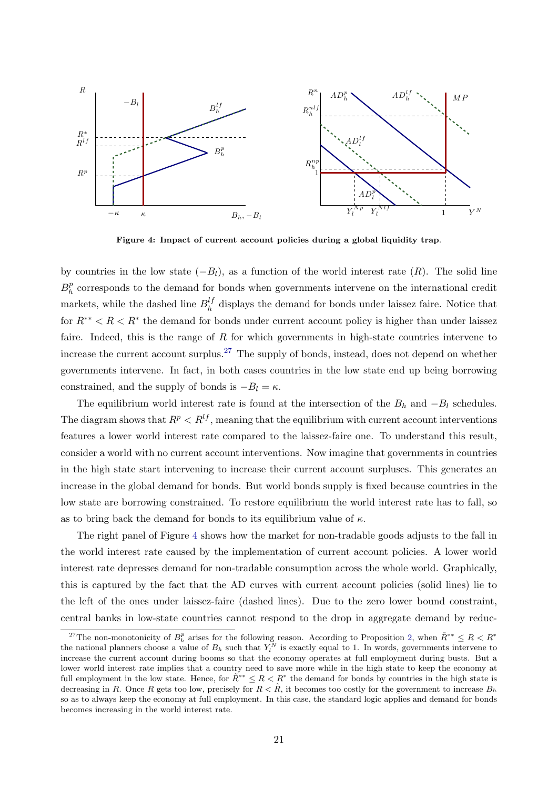<span id="page-22-0"></span>

Figure 4: Impact of current account policies during a global liquidity trap.

by countries in the low state  $(-B_l)$ , as a function of the world interest rate  $(R)$ . The solid line  $B_h^p$  $h<sub>h</sub><sup>p</sup>$  corresponds to the demand for bonds when governments intervene on the international credit markets, while the dashed line  $B_h^{lf}$  $h_h^{(l)}$  displays the demand for bonds under laissez faire. Notice that for  $R^{**} < R < R^*$  the demand for bonds under current account policy is higher than under laissez faire. Indeed, this is the range of  $R$  for which governments in high-state countries intervene to increase the current account surplus.<sup>[27](#page-22-1)</sup> The supply of bonds, instead, does not depend on whether governments intervene. In fact, in both cases countries in the low state end up being borrowing constrained, and the supply of bonds is  $-B_l = \kappa$ .

The equilibrium world interest rate is found at the intersection of the  $B_h$  and  $-B_l$  schedules. The diagram shows that  $R^p < R^{lf}$ , meaning that the equilibrium with current account interventions features a lower world interest rate compared to the laissez-faire one. To understand this result, consider a world with no current account interventions. Now imagine that governments in countries in the high state start intervening to increase their current account surpluses. This generates an increase in the global demand for bonds. But world bonds supply is fixed because countries in the low state are borrowing constrained. To restore equilibrium the world interest rate has to fall, so as to bring back the demand for bonds to its equilibrium value of  $\kappa$ .

The right panel of Figure [4](#page-22-0) shows how the market for non-tradable goods adjusts to the fall in the world interest rate caused by the implementation of current account policies. A lower world interest rate depresses demand for non-tradable consumption across the whole world. Graphically, this is captured by the fact that the AD curves with current account policies (solid lines) lie to the left of the ones under laissez-faire (dashed lines). Due to the zero lower bound constraint, central banks in low-state countries cannot respond to the drop in aggregate demand by reduc-

<span id="page-22-1"></span><sup>&</sup>lt;sup>27</sup>The non-monotonicity of  $B_h^p$  arises for the following reason. According to Proposition [2,](#page-18-6) when  $\tilde{R}^{**} \leq R < R^*$ the national planners choose a value of  $B_h$  such that  $Y_l^N$  is exactly equal to 1. In words, governments intervene to increase the current account during booms so that the economy operates at full employment during busts. But a lower world interest rate implies that a country need to save more while in the high state to keep the economy at full employment in the low state. Hence, for  $\tilde{R}^{**} \leq R < R^*$  the demand for bonds by countries in the high state is decreasing in R. Once R gets too low, precisely for  $R < \tilde{R}$ , it becomes too costly for the government to increase  $B_h$ so as to always keep the economy at full employment. In this case, the standard logic applies and demand for bonds becomes increasing in the world interest rate.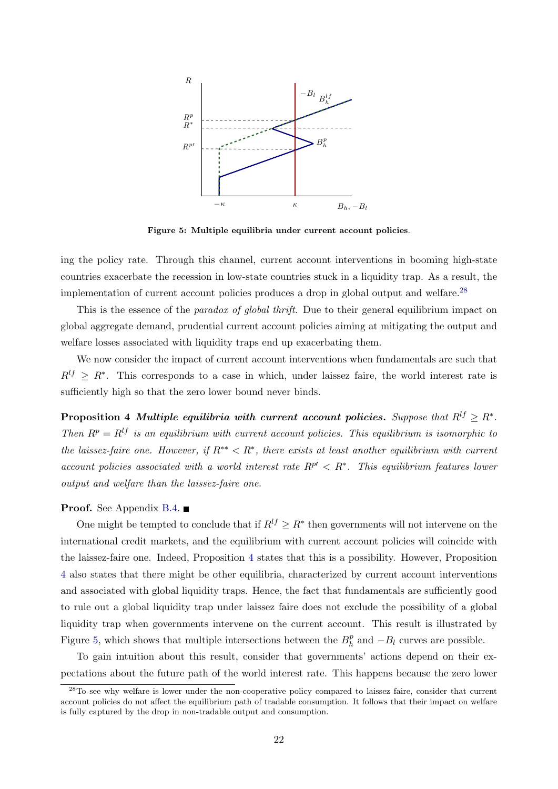<span id="page-23-2"></span>

Figure 5: Multiple equilibria under current account policies.

ing the policy rate. Through this channel, current account interventions in booming high-state countries exacerbate the recession in low-state countries stuck in a liquidity trap. As a result, the implementation of current account policies produces a drop in global output and welfare.[28](#page-23-0)

This is the essence of the *paradox of global thrift*. Due to their general equilibrium impact on global aggregate demand, prudential current account policies aiming at mitigating the output and welfare losses associated with liquidity traps end up exacerbating them.

We now consider the impact of current account interventions when fundamentals are such that  $R^{lf} \geq R^*$ . This corresponds to a case in which, under laissez faire, the world interest rate is sufficiently high so that the zero lower bound never binds.

<span id="page-23-1"></span>Proposition 4 Multiple equilibria with current account policies. Suppose that  $R^{lf} \geq R^*$ . Then  $R^p = R^{lf}$  is an equilibrium with current account policies. This equilibrium is isomorphic to the laissez-faire one. However, if  $R^{**} < R^*$ , there exists at least another equilibrium with current account policies associated with a world interest rate  $R^{p'} < R^*$ . This equilibrium features lower output and welfare than the laissez-faire one.

#### Proof. See Appendix [B.4.](#page-41-1) ■

One might be tempted to conclude that if  $R^{lf} \geq R^*$  then governments will not intervene on the international credit markets, and the equilibrium with current account policies will coincide with the laissez-faire one. Indeed, Proposition [4](#page-23-1) states that this is a possibility. However, Proposition [4](#page-23-1) also states that there might be other equilibria, characterized by current account interventions and associated with global liquidity traps. Hence, the fact that fundamentals are sufficiently good to rule out a global liquidity trap under laissez faire does not exclude the possibility of a global liquidity trap when governments intervene on the current account. This result is illustrated by Figure [5,](#page-23-2) which shows that multiple intersections between the  $B_h^p$  $h<sup>p</sup>$  and  $-B<sub>l</sub>$  curves are possible.

To gain intuition about this result, consider that governments' actions depend on their expectations about the future path of the world interest rate. This happens because the zero lower

<span id="page-23-0"></span><sup>&</sup>lt;sup>28</sup>To see why welfare is lower under the non-cooperative policy compared to laissez faire, consider that current account policies do not affect the equilibrium path of tradable consumption. It follows that their impact on welfare is fully captured by the drop in non-tradable output and consumption.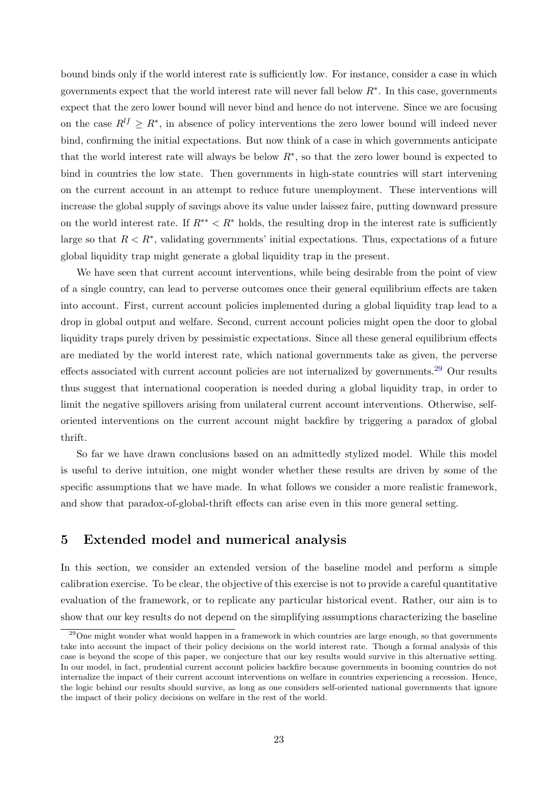bound binds only if the world interest rate is sufficiently low. For instance, consider a case in which governments expect that the world interest rate will never fall below  $R^*$ . In this case, governments expect that the zero lower bound will never bind and hence do not intervene. Since we are focusing on the case  $R^{lf} \geq R^*$ , in absence of policy interventions the zero lower bound will indeed never bind, confirming the initial expectations. But now think of a case in which governments anticipate that the world interest rate will always be below  $R^*$ , so that the zero lower bound is expected to bind in countries the low state. Then governments in high-state countries will start intervening on the current account in an attempt to reduce future unemployment. These interventions will increase the global supply of savings above its value under laissez faire, putting downward pressure on the world interest rate. If  $R^{**} < R^*$  holds, the resulting drop in the interest rate is sufficiently large so that  $R < R^*$ , validating governments' initial expectations. Thus, expectations of a future global liquidity trap might generate a global liquidity trap in the present.

We have seen that current account interventions, while being desirable from the point of view of a single country, can lead to perverse outcomes once their general equilibrium effects are taken into account. First, current account policies implemented during a global liquidity trap lead to a drop in global output and welfare. Second, current account policies might open the door to global liquidity traps purely driven by pessimistic expectations. Since all these general equilibrium effects are mediated by the world interest rate, which national governments take as given, the perverse effects associated with current account policies are not internalized by governments.<sup>[29](#page-24-1)</sup> Our results thus suggest that international cooperation is needed during a global liquidity trap, in order to limit the negative spillovers arising from unilateral current account interventions. Otherwise, selforiented interventions on the current account might backfire by triggering a paradox of global thrift.

So far we have drawn conclusions based on an admittedly stylized model. While this model is useful to derive intuition, one might wonder whether these results are driven by some of the specific assumptions that we have made. In what follows we consider a more realistic framework, and show that paradox-of-global-thrift effects can arise even in this more general setting.

## <span id="page-24-0"></span>5 Extended model and numerical analysis

In this section, we consider an extended version of the baseline model and perform a simple calibration exercise. To be clear, the objective of this exercise is not to provide a careful quantitative evaluation of the framework, or to replicate any particular historical event. Rather, our aim is to show that our key results do not depend on the simplifying assumptions characterizing the baseline

<span id="page-24-1"></span> $^{29}$ One might wonder what would happen in a framework in which countries are large enough, so that governments take into account the impact of their policy decisions on the world interest rate. Though a formal analysis of this case is beyond the scope of this paper, we conjecture that our key results would survive in this alternative setting. In our model, in fact, prudential current account policies backfire because governments in booming countries do not internalize the impact of their current account interventions on welfare in countries experiencing a recession. Hence, the logic behind our results should survive, as long as one considers self-oriented national governments that ignore the impact of their policy decisions on welfare in the rest of the world.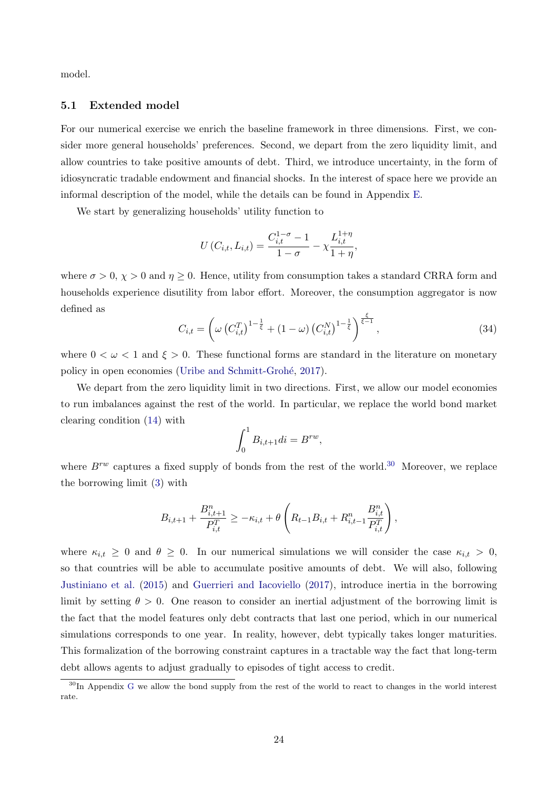model.

#### 5.1 Extended model

For our numerical exercise we enrich the baseline framework in three dimensions. First, we consider more general households' preferences. Second, we depart from the zero liquidity limit, and allow countries to take positive amounts of debt. Third, we introduce uncertainty, in the form of idiosyncratic tradable endowment and financial shocks. In the interest of space here we provide an informal description of the model, while the details can be found in Appendix [E.](#page-44-0)

We start by generalizing households' utility function to

$$
U(C_{i,t}, L_{i,t}) = \frac{C_{i,t}^{1-\sigma} - 1}{1-\sigma} - \chi \frac{L_{i,t}^{1+\eta}}{1+\eta},
$$

where  $\sigma > 0$ ,  $\chi > 0$  and  $\eta \geq 0$ . Hence, utility from consumption takes a standard CRRA form and households experience disutility from labor effort. Moreover, the consumption aggregator is now defined as

$$
C_{i,t} = \left(\omega\left(C_{i,t}^T\right)^{1-\frac{1}{\xi}} + (1-\omega)\left(C_{i,t}^N\right)^{1-\frac{1}{\xi}}\right)^{\frac{\xi}{\xi-1}},\tag{34}
$$

where  $0 < \omega < 1$  and  $\xi > 0$ . These functional forms are standard in the literature on monetary policy in open economies (Uribe and Schmitt-Grohé, [2017\)](#page-56-6).

We depart from the zero liquidity limit in two directions. First, we allow our model economies to run imbalances against the rest of the world. In particular, we replace the world bond market clearing condition [\(14\)](#page-11-2) with

$$
\int_0^1 B_{i,t+1}di = B^{rw},
$$

where  $B^{rw}$  captures a fixed supply of bonds from the rest of the world.<sup>[30](#page-25-0)</sup> Moreover, we replace the borrowing limit [\(3\)](#page-7-1) with

$$
B_{i,t+1} + \frac{B_{i,t+1}^n}{P_{i,t}^T} \ge -\kappa_{i,t} + \theta \left( R_{t-1} B_{i,t} + R_{i,t-1}^n \frac{B_{i,t}^n}{P_{i,t}^T} \right),
$$

where  $\kappa_{i,t} \geq 0$  and  $\theta \geq 0$ . In our numerical simulations we will consider the case  $\kappa_{i,t} > 0$ , so that countries will be able to accumulate positive amounts of debt. We will also, following [Justiniano et al.](#page-55-11) [\(2015\)](#page-55-11) and [Guerrieri and Iacoviello](#page-55-12) [\(2017\)](#page-55-12), introduce inertia in the borrowing limit by setting  $\theta > 0$ . One reason to consider an inertial adjustment of the borrowing limit is the fact that the model features only debt contracts that last one period, which in our numerical simulations corresponds to one year. In reality, however, debt typically takes longer maturities. This formalization of the borrowing constraint captures in a tractable way the fact that long-term debt allows agents to adjust gradually to episodes of tight access to credit.

<span id="page-25-0"></span><sup>&</sup>lt;sup>30</sup>In Appendix [G](#page-50-0) we allow the bond supply from the rest of the world to react to changes in the world interest rate.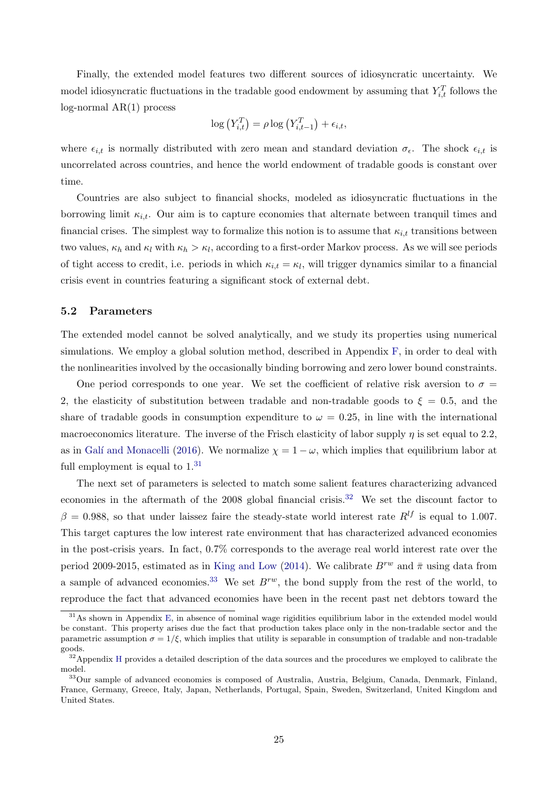Finally, the extended model features two different sources of idiosyncratic uncertainty. We model idiosyncratic fluctuations in the tradable good endowment by assuming that  $Y_{i,t}^T$  follows the log-normal AR(1) process

$$
\log(Y_{i,t}^T) = \rho \log(Y_{i,t-1}^T) + \epsilon_{i,t},
$$

where  $\epsilon_{i,t}$  is normally distributed with zero mean and standard deviation  $\sigma_{\epsilon}$ . The shock  $\epsilon_{i,t}$  is uncorrelated across countries, and hence the world endowment of tradable goods is constant over time.

Countries are also subject to financial shocks, modeled as idiosyncratic fluctuations in the borrowing limit  $\kappa_{i,t}$ . Our aim is to capture economies that alternate between tranquil times and financial crises. The simplest way to formalize this notion is to assume that  $\kappa_{i,t}$  transitions between two values,  $\kappa_h$  and  $\kappa_l$  with  $\kappa_h > \kappa_l$ , according to a first-order Markov process. As we will see periods of tight access to credit, i.e. periods in which  $\kappa_{i,t} = \kappa_l$ , will trigger dynamics similar to a financial crisis event in countries featuring a significant stock of external debt.

#### 5.2 Parameters

The extended model cannot be solved analytically, and we study its properties using numerical simulations. We employ a global solution method, described in Appendix [F,](#page-50-1) in order to deal with the nonlinearities involved by the occasionally binding borrowing and zero lower bound constraints.

One period corresponds to one year. We set the coefficient of relative risk aversion to  $\sigma =$ 2, the elasticity of substitution between tradable and non-tradable goods to  $\xi = 0.5$ , and the share of tradable goods in consumption expenditure to  $\omega = 0.25$ , in line with the international macroeconomics literature. The inverse of the Frisch elasticity of labor supply  $\eta$  is set equal to 2.2, as in Galí and Monacelli [\(2016\)](#page-55-13). We normalize  $\chi = 1 - \omega$ , which implies that equilibrium labor at full employment is equal to  $1<sup>31</sup>$  $1<sup>31</sup>$  $1<sup>31</sup>$ 

The next set of parameters is selected to match some salient features characterizing advanced economies in the aftermath of the 2008 global financial crisis.<sup>[32](#page-26-1)</sup> We set the discount factor to  $\beta = 0.988$ , so that under laissez faire the steady-state world interest rate  $R^{lf}$  is equal to 1.007. This target captures the low interest rate environment that has characterized advanced economies in the post-crisis years. In fact, 0.7% corresponds to the average real world interest rate over the period 2009-2015, estimated as in [King and Low](#page-55-14) [\(2014\)](#page-55-14). We calibrate  $B^{rw}$  and  $\bar{\pi}$  using data from a sample of advanced economies.<sup>[33](#page-26-2)</sup> We set  $B^{rw}$ , the bond supply from the rest of the world, to reproduce the fact that advanced economies have been in the recent past net debtors toward the

<span id="page-26-0"></span><sup>&</sup>lt;sup>31</sup>As shown in Appendix [E,](#page-44-0) in absence of nominal wage rigidities equilibrium labor in the extended model would be constant. This property arises due the fact that production takes place only in the non-tradable sector and the parametric assumption  $\sigma = 1/\xi$ , which implies that utility is separable in consumption of tradable and non-tradable goods.

<span id="page-26-1"></span><sup>&</sup>lt;sup>32</sup> Appendix [H](#page-52-0) provides a detailed description of the data sources and the procedures we employed to calibrate the model.

<span id="page-26-2"></span><sup>33</sup>Our sample of advanced economies is composed of Australia, Austria, Belgium, Canada, Denmark, Finland, France, Germany, Greece, Italy, Japan, Netherlands, Portugal, Spain, Sweden, Switzerland, United Kingdom and United States.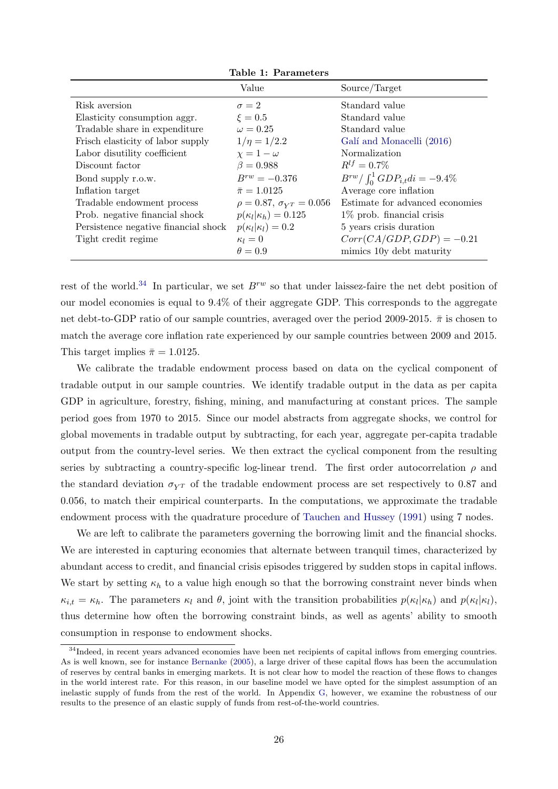|                                      | Value                              | Source/Target                          |
|--------------------------------------|------------------------------------|----------------------------------------|
| Risk aversion                        | $\sigma = 2$                       | Standard value                         |
| Elasticity consumption aggr.         | $\xi=0.5$                          | Standard value                         |
| Tradable share in expenditure        | $\omega = 0.25$                    | Standard value                         |
| Frisch elasticity of labor supply    | $1/\eta = 1/2.2$                   | Galí and Monacelli (2016)              |
| Labor disutility coefficient         | $\chi = 1 - \omega$                | Normalization                          |
| Discount factor                      | $\beta = 0.988$                    | $R^{lf} = 0.7\%$                       |
| Bond supply r.o.w.                   | $B^{rw} = -0.376$                  | $B^{rw}/\int_0^1 GDP_{i,t}di = -9.4\%$ |
| Inflation target                     | $\bar{\pi} = 1.0125$               | Average core inflation                 |
| Tradable endowment process           | $\rho = 0.87, \sigma_{YT} = 0.056$ | Estimate for advanced economies        |
| Prob. negative financial shock       | $p(\kappa_l \kappa_h) = 0.125$     | $1\%$ prob. financial crisis           |
| Persistence negative financial shock | $p(\kappa_l \kappa_l)=0.2$         | 5 years crisis duration                |
| Tight credit regime                  | $\kappa_l=0$                       | $Corr(CA/GDP, GDP) = -0.21$            |
|                                      | $\theta = 0.9$                     | mimics 10y debt maturity               |

rest of the world.<sup>[34](#page-27-0)</sup> In particular, we set  $B^{rw}$  so that under laissez-faire the net debt position of our model economies is equal to  $9.4\%$  of their aggregate GDP. This corresponds to the aggregate net debt-to-GDP ratio of our sample countries, averaged over the period 2009-2015.  $\bar{\pi}$  is chosen to match the average core inflation rate experienced by our sample countries between 2009 and 2015. This target implies  $\bar{\pi} = 1.0125$ .

We calibrate the tradable endowment process based on data on the cyclical component of tradable output in our sample countries. We identify tradable output in the data as per capita GDP in agriculture, forestry, fishing, mining, and manufacturing at constant prices. The sample period goes from 1970 to 2015. Since our model abstracts from aggregate shocks, we control for global movements in tradable output by subtracting, for each year, aggregate per-capita tradable output from the country-level series. We then extract the cyclical component from the resulting series by subtracting a country-specific log-linear trend. The first order autocorrelation  $\rho$  and the standard deviation  $\sigma_{VT}$  of the tradable endowment process are set respectively to 0.87 and 0.056, to match their empirical counterparts. In the computations, we approximate the tradable endowment process with the quadrature procedure of [Tauchen and Hussey](#page-56-7) [\(1991\)](#page-56-7) using 7 nodes.

We are left to calibrate the parameters governing the borrowing limit and the financial shocks. We are interested in capturing economies that alternate between tranquil times, characterized by abundant access to credit, and financial crisis episodes triggered by sudden stops in capital inflows. We start by setting  $\kappa_h$  to a value high enough so that the borrowing constraint never binds when  $\kappa_{i,t} = \kappa_h$ . The parameters  $\kappa_l$  and  $\theta$ , joint with the transition probabilities  $p(\kappa_l|\kappa_h)$  and  $p(\kappa_l|\kappa_l)$ , thus determine how often the borrowing constraint binds, as well as agents' ability to smooth consumption in response to endowment shocks.

<span id="page-27-0"></span><sup>&</sup>lt;sup>34</sup>Indeed, in recent years advanced economies have been net recipients of capital inflows from emerging countries. As is well known, see for instance [Bernanke](#page-54-14) [\(2005\)](#page-54-14), a large driver of these capital flows has been the accumulation of reserves by central banks in emerging markets. It is not clear how to model the reaction of these flows to changes in the world interest rate. For this reason, in our baseline model we have opted for the simplest assumption of an inelastic supply of funds from the rest of the world. In Appendix [G,](#page-50-0) however, we examine the robustness of our results to the presence of an elastic supply of funds from rest-of-the-world countries.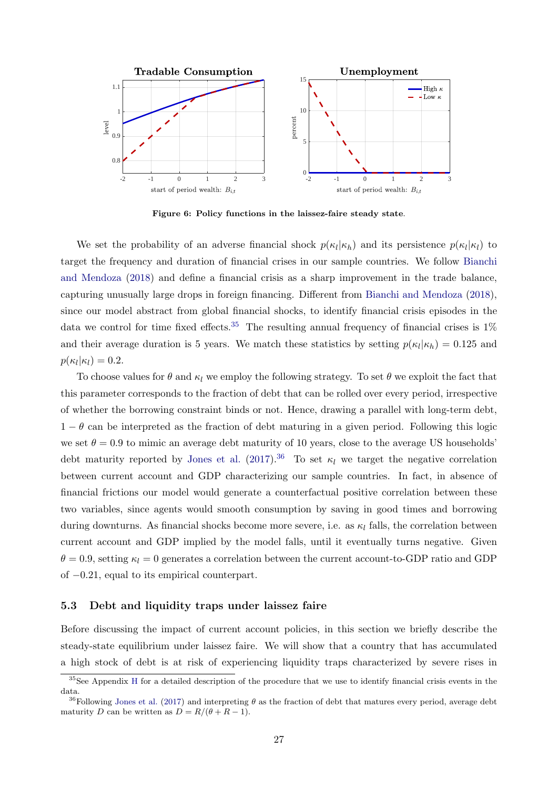<span id="page-28-2"></span>

Figure 6: Policy functions in the laissez-faire steady state.

We set the probability of an adverse financial shock  $p(\kappa_l|\kappa_h)$  and its persistence  $p(\kappa_l|\kappa_l)$  to target the frequency and duration of financial crises in our sample countries. We follow [Bianchi](#page-54-15) [and Mendoza](#page-54-15) [\(2018\)](#page-54-15) and define a financial crisis as a sharp improvement in the trade balance, capturing unusually large drops in foreign financing. Different from [Bianchi and Mendoza](#page-54-15) [\(2018\)](#page-54-15), since our model abstract from global financial shocks, to identify financial crisis episodes in the data we control for time fixed effects.<sup>[35](#page-28-0)</sup> The resulting annual frequency of financial crises is  $1\%$ and their average duration is 5 years. We match these statistics by setting  $p(\kappa_l|\kappa_h) = 0.125$  and  $p(\kappa_l|\kappa_l)=0.2.$ 

To choose values for  $\theta$  and  $\kappa_l$  we employ the following strategy. To set  $\theta$  we exploit the fact that this parameter corresponds to the fraction of debt that can be rolled over every period, irrespective of whether the borrowing constraint binds or not. Hence, drawing a parallel with long-term debt,  $1 - \theta$  can be interpreted as the fraction of debt maturing in a given period. Following this logic we set  $\theta = 0.9$  to mimic an average debt maturity of 10 years, close to the average US households' debt maturity reported by [Jones et al.](#page-55-15) [\(2017\)](#page-55-15).<sup>[36](#page-28-1)</sup> To set  $\kappa_l$  we target the negative correlation between current account and GDP characterizing our sample countries. In fact, in absence of financial frictions our model would generate a counterfactual positive correlation between these two variables, since agents would smooth consumption by saving in good times and borrowing during downturns. As financial shocks become more severe, i.e. as  $\kappa_l$  falls, the correlation between current account and GDP implied by the model falls, until it eventually turns negative. Given  $\theta = 0.9$ , setting  $\kappa_l = 0$  generates a correlation between the current account-to-GDP ratio and GDP of −0.21, equal to its empirical counterpart.

#### 5.3 Debt and liquidity traps under laissez faire

Before discussing the impact of current account policies, in this section we briefly describe the steady-state equilibrium under laissez faire. We will show that a country that has accumulated a high stock of debt is at risk of experiencing liquidity traps characterized by severe rises in

<span id="page-28-0"></span><sup>&</sup>lt;sup>35</sup>See Appendix [H](#page-52-0) for a detailed description of the procedure that we use to identify financial crisis events in the data.

<span id="page-28-1"></span><sup>&</sup>lt;sup>36</sup>Following [Jones et al.](#page-55-15) [\(2017\)](#page-55-15) and interpreting  $\theta$  as the fraction of debt that matures every period, average debt maturity D can be written as  $D = R/(\theta + R - 1)$ .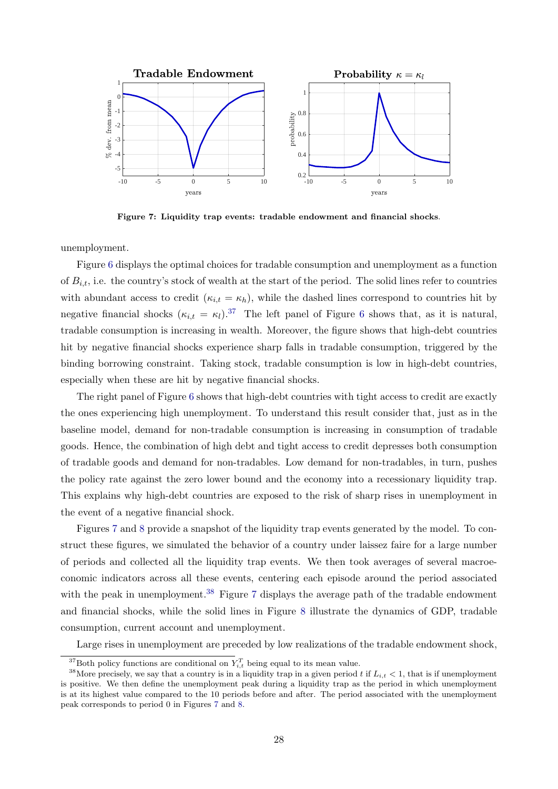<span id="page-29-1"></span>

Figure 7: Liquidity trap events: tradable endowment and financial shocks.

unemployment.

Figure [6](#page-28-2) displays the optimal choices for tradable consumption and unemployment as a function of  $B_{i,t}$ , i.e. the country's stock of wealth at the start of the period. The solid lines refer to countries with abundant access to credit  $(\kappa_{i,t} = \kappa_h)$ , while the dashed lines correspond to countries hit by negative financial shocks  $(\kappa_{i,t} = \kappa_l)^{37}$  $(\kappa_{i,t} = \kappa_l)^{37}$  $(\kappa_{i,t} = \kappa_l)^{37}$  The left panel of Figure [6](#page-28-2) shows that, as it is natural, tradable consumption is increasing in wealth. Moreover, the figure shows that high-debt countries hit by negative financial shocks experience sharp falls in tradable consumption, triggered by the binding borrowing constraint. Taking stock, tradable consumption is low in high-debt countries, especially when these are hit by negative financial shocks.

The right panel of Figure [6](#page-28-2) shows that high-debt countries with tight access to credit are exactly the ones experiencing high unemployment. To understand this result consider that, just as in the baseline model, demand for non-tradable consumption is increasing in consumption of tradable goods. Hence, the combination of high debt and tight access to credit depresses both consumption of tradable goods and demand for non-tradables. Low demand for non-tradables, in turn, pushes the policy rate against the zero lower bound and the economy into a recessionary liquidity trap. This explains why high-debt countries are exposed to the risk of sharp rises in unemployment in the event of a negative financial shock.

Figures [7](#page-29-1) and [8](#page-30-0) provide a snapshot of the liquidity trap events generated by the model. To construct these figures, we simulated the behavior of a country under laissez faire for a large number of periods and collected all the liquidity trap events. We then took averages of several macroeconomic indicators across all these events, centering each episode around the period associated with the peak in unemployment.<sup>[38](#page-29-2)</sup> Figure [7](#page-29-1) displays the average path of the tradable endowment and financial shocks, while the solid lines in Figure [8](#page-30-0) illustrate the dynamics of GDP, tradable consumption, current account and unemployment.

Large rises in unemployment are preceded by low realizations of the tradable endowment shock,

<span id="page-29-2"></span><span id="page-29-0"></span><sup>&</sup>lt;sup>37</sup>Both policy functions are conditional on  $Y_{i,t}^T$  being equal to its mean value.

<sup>&</sup>lt;sup>38</sup>More precisely, we say that a country is in a liquidity trap in a given period t if  $L_{i,t} < 1$ , that is if unemployment is positive. We then define the unemployment peak during a liquidity trap as the period in which unemployment is at its highest value compared to the 10 periods before and after. The period associated with the unemployment peak corresponds to period 0 in Figures [7](#page-29-1) and [8.](#page-30-0)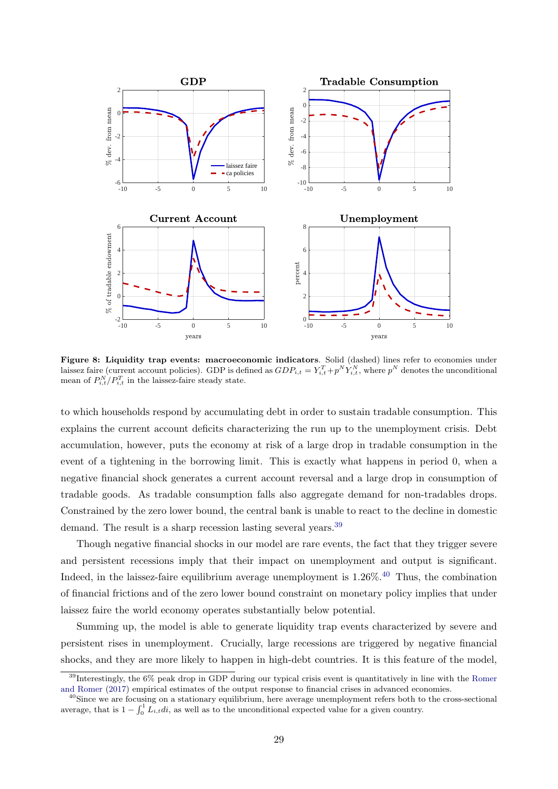<span id="page-30-0"></span>

Figure 8: Liquidity trap events: macroeconomic indicators. Solid (dashed) lines refer to economies under laissez faire (current account policies). GDP is defined as  $GDP_{i,t} = Y_{i,t}^T + p^N Y_{i,t}^N$ , where  $p^N$  denotes the unconditional mean of  $P_{i,t}^N/P_{i,t}^T$  in the laissez-faire steady state.

to which households respond by accumulating debt in order to sustain tradable consumption. This explains the current account deficits characterizing the run up to the unemployment crisis. Debt accumulation, however, puts the economy at risk of a large drop in tradable consumption in the event of a tightening in the borrowing limit. This is exactly what happens in period 0, when a negative financial shock generates a current account reversal and a large drop in consumption of tradable goods. As tradable consumption falls also aggregate demand for non-tradables drops. Constrained by the zero lower bound, the central bank is unable to react to the decline in domestic demand. The result is a sharp recession lasting several years.<sup>[39](#page-30-1)</sup>

Though negative financial shocks in our model are rare events, the fact that they trigger severe and persistent recessions imply that their impact on unemployment and output is significant. Indeed, in the laissez-faire equilibrium average unemployment is 1.26%.<sup>[40](#page-30-2)</sup> Thus, the combination of financial frictions and of the zero lower bound constraint on monetary policy implies that under laissez faire the world economy operates substantially below potential.

Summing up, the model is able to generate liquidity trap events characterized by severe and persistent rises in unemployment. Crucially, large recessions are triggered by negative financial shocks, and they are more likely to happen in high-debt countries. It is this feature of the model,

<span id="page-30-1"></span><sup>&</sup>lt;sup>39</sup>Interestingly, the 6% peak drop in GDP during our typical crisis event is quantitatively in line with the [Romer](#page-56-8) [and Romer](#page-56-8) [\(2017\)](#page-56-8) empirical estimates of the output response to financial crises in advanced economies.

<span id="page-30-2"></span> $^{40}$ Since we are focusing on a stationary equilibrium, here average unemployment refers both to the cross-sectional average, that is  $1 - \int_0^1 L_{i,t} dt$ , as well as to the unconditional expected value for a given country.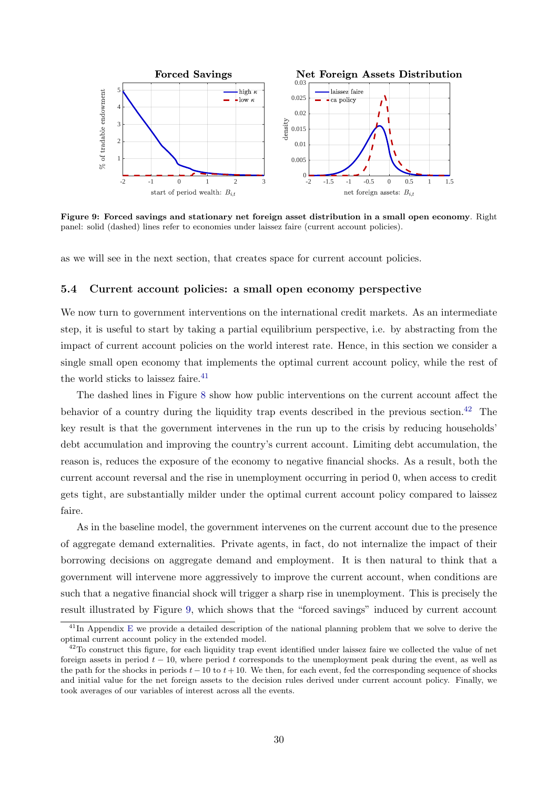<span id="page-31-2"></span>

Figure 9: Forced savings and stationary net foreign asset distribution in a small open economy. Right panel: solid (dashed) lines refer to economies under laissez faire (current account policies).

as we will see in the next section, that creates space for current account policies.

#### 5.4 Current account policies: a small open economy perspective

We now turn to government interventions on the international credit markets. As an intermediate step, it is useful to start by taking a partial equilibrium perspective, i.e. by abstracting from the impact of current account policies on the world interest rate. Hence, in this section we consider a single small open economy that implements the optimal current account policy, while the rest of the world sticks to laissez faire. $41$ 

The dashed lines in Figure [8](#page-30-0) show how public interventions on the current account affect the behavior of a country during the liquidity trap events described in the previous section.<sup>[42](#page-31-1)</sup> The key result is that the government intervenes in the run up to the crisis by reducing households' debt accumulation and improving the country's current account. Limiting debt accumulation, the reason is, reduces the exposure of the economy to negative financial shocks. As a result, both the current account reversal and the rise in unemployment occurring in period 0, when access to credit gets tight, are substantially milder under the optimal current account policy compared to laissez faire.

As in the baseline model, the government intervenes on the current account due to the presence of aggregate demand externalities. Private agents, in fact, do not internalize the impact of their borrowing decisions on aggregate demand and employment. It is then natural to think that a government will intervene more aggressively to improve the current account, when conditions are such that a negative financial shock will trigger a sharp rise in unemployment. This is precisely the result illustrated by Figure [9,](#page-31-2) which shows that the "forced savings" induced by current account

<span id="page-31-0"></span><sup>&</sup>lt;sup>41</sup>In Appendix [E](#page-44-0) we provide a detailed description of the national planning problem that we solve to derive the optimal current account policy in the extended model.

<span id="page-31-1"></span> $42$ To construct this figure, for each liquidity trap event identified under laissez faire we collected the value of net foreign assets in period  $t - 10$ , where period t corresponds to the unemployment peak during the event, as well as the path for the shocks in periods  $t-10$  to  $t+10$ . We then, for each event, fed the corresponding sequence of shocks and initial value for the net foreign assets to the decision rules derived under current account policy. Finally, we took averages of our variables of interest across all the events.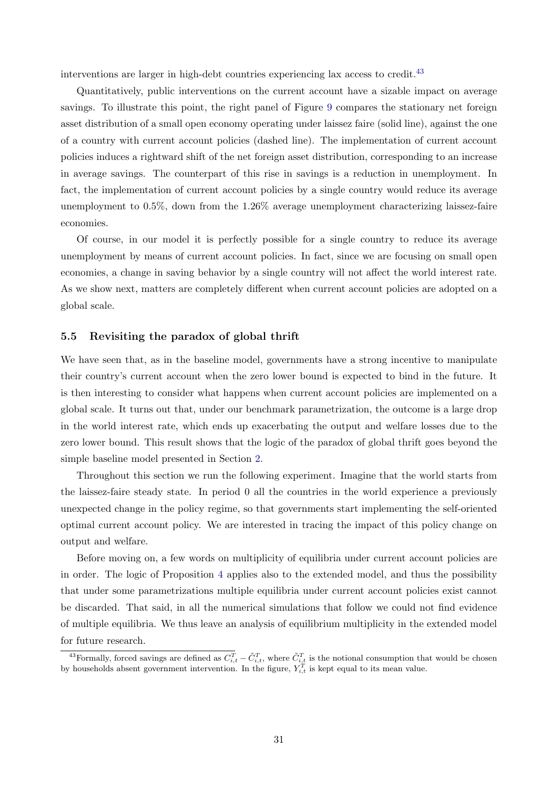interventions are larger in high-debt countries experiencing lax access to credit.[43](#page-32-0)

Quantitatively, public interventions on the current account have a sizable impact on average savings. To illustrate this point, the right panel of Figure [9](#page-31-2) compares the stationary net foreign asset distribution of a small open economy operating under laissez faire (solid line), against the one of a country with current account policies (dashed line). The implementation of current account policies induces a rightward shift of the net foreign asset distribution, corresponding to an increase in average savings. The counterpart of this rise in savings is a reduction in unemployment. In fact, the implementation of current account policies by a single country would reduce its average unemployment to 0.5%, down from the 1.26% average unemployment characterizing laissez-faire economies.

Of course, in our model it is perfectly possible for a single country to reduce its average unemployment by means of current account policies. In fact, since we are focusing on small open economies, a change in saving behavior by a single country will not affect the world interest rate. As we show next, matters are completely different when current account policies are adopted on a global scale.

#### 5.5 Revisiting the paradox of global thrift

We have seen that, as in the baseline model, governments have a strong incentive to manipulate their country's current account when the zero lower bound is expected to bind in the future. It is then interesting to consider what happens when current account policies are implemented on a global scale. It turns out that, under our benchmark parametrization, the outcome is a large drop in the world interest rate, which ends up exacerbating the output and welfare losses due to the zero lower bound. This result shows that the logic of the paradox of global thrift goes beyond the simple baseline model presented in Section [2.](#page-6-2)

Throughout this section we run the following experiment. Imagine that the world starts from the laissez-faire steady state. In period 0 all the countries in the world experience a previously unexpected change in the policy regime, so that governments start implementing the self-oriented optimal current account policy. We are interested in tracing the impact of this policy change on output and welfare.

Before moving on, a few words on multiplicity of equilibria under current account policies are in order. The logic of Proposition [4](#page-23-1) applies also to the extended model, and thus the possibility that under some parametrizations multiple equilibria under current account policies exist cannot be discarded. That said, in all the numerical simulations that follow we could not find evidence of multiple equilibria. We thus leave an analysis of equilibrium multiplicity in the extended model for future research.

<span id="page-32-0"></span><sup>&</sup>lt;sup>43</sup> Formally, forced savings are defined as  $C_{i,t}^T - \tilde{C}_{i,t}^T$ , where  $\tilde{C}_{i,t}^T$  is the notional consumption that would be chosen by households absent government intervention. In the figure,  $Y_{i,t}^T$  is kept equal to its mean value.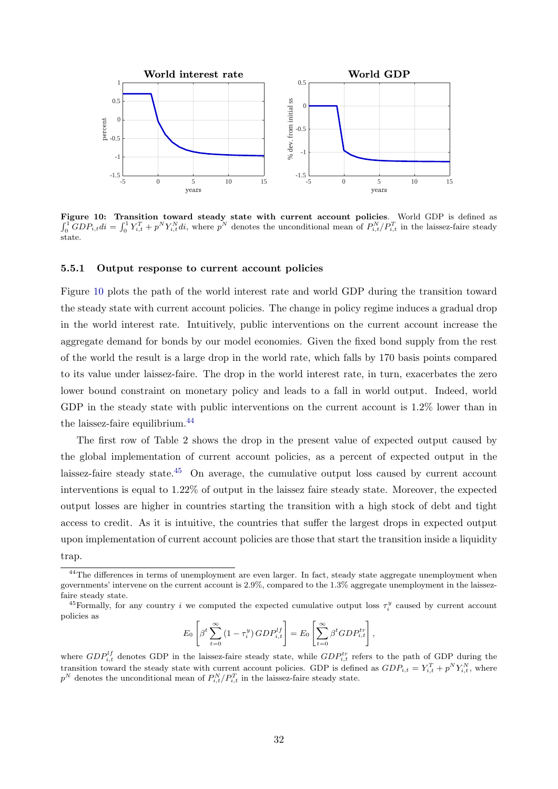<span id="page-33-0"></span>

Figure 10: Transition toward steady state with current account policies. World GDP is defined as  $\int_0^1 GDP_{i,tdi} = \int_0^1 Y_{i,t}^T + p^N Y_{i,t}^N di$ , where  $p^N$  denotes the unconditional mean of  $P_{i,t}^N/P_{i,t}^T$  in the laissez-faire steady state.

#### 5.5.1 Output response to current account policies

Figure [10](#page-33-0) plots the path of the world interest rate and world GDP during the transition toward the steady state with current account policies. The change in policy regime induces a gradual drop in the world interest rate. Intuitively, public interventions on the current account increase the aggregate demand for bonds by our model economies. Given the fixed bond supply from the rest of the world the result is a large drop in the world rate, which falls by 170 basis points compared to its value under laissez-faire. The drop in the world interest rate, in turn, exacerbates the zero lower bound constraint on monetary policy and leads to a fall in world output. Indeed, world GDP in the steady state with public interventions on the current account is 1.2% lower than in the laissez-faire equilibrium.<sup>[44](#page-33-1)</sup>

The first row of Table 2 shows the drop in the present value of expected output caused by the global implementation of current account policies, as a percent of expected output in the laissez-faire steady state.<sup>[45](#page-33-2)</sup> On average, the cumulative output loss caused by current account interventions is equal to 1.22% of output in the laissez faire steady state. Moreover, the expected output losses are higher in countries starting the transition with a high stock of debt and tight access to credit. As it is intuitive, the countries that suffer the largest drops in expected output upon implementation of current account policies are those that start the transition inside a liquidity trap.

$$
E_0\left[\beta^t\sum_{t=0}^{\infty} \left(1-\tau_i^y\right) GDP_{i,t}^{lf}\right] = E_0\left[\sum_{t=0}^{\infty} \beta^t GDP_{i,t}^{tr}\right],
$$

<span id="page-33-1"></span><sup>&</sup>lt;sup>44</sup>The differences in terms of unemployment are even larger. In fact, steady state aggregate unemployment when governments' intervene on the current account is 2.9%, compared to the 1.3% aggregate unemployment in the laissezfaire steady state.

<span id="page-33-2"></span><sup>&</sup>lt;sup>45</sup>Formally, for any country i we computed the expected cumulative output loss  $\tau_i^y$  caused by current account policies as

where  $GDP_{i,t}^{lf}$  denotes GDP in the laissez-faire steady state, while  $GDP_{i,t}^{tr}$  refers to the path of GDP during the transition toward the steady state with current account policies. GDP is defined as  $GDP_{i,t} = Y_{i,t}^T + p^N Y_{i,t}^N$ , where  $p^N$  denotes the unconditional mean of  $P_{i,t}^N/P_{i,t}^T$  in the laissez-faire steady state.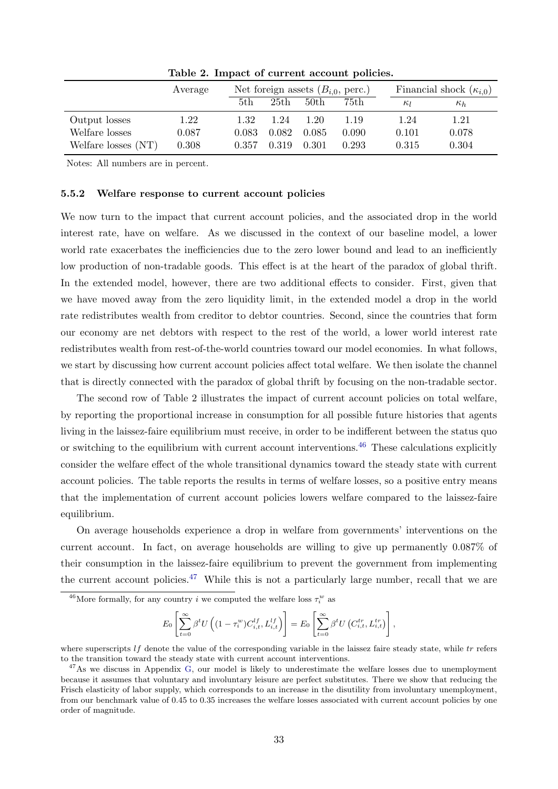|                     | Average |       | Net foreign assets $(B_{i,0}, \text{perc.})$ |                  |       |            | Financial shock $(\kappa_{i,0})$ |  |
|---------------------|---------|-------|----------------------------------------------|------------------|-------|------------|----------------------------------|--|
|                     |         | 5th   | 25th                                         | 50 <sub>th</sub> | 75th  | $\kappa_l$ | $\kappa_h$                       |  |
| Output losses       | 1.22    | 1.32  | 1.24                                         | 1.20             | 1.19  | 1.24       | $1.21\,$                         |  |
| Welfare losses      | 0.087   | 0.083 | 0.082                                        | 0.085            | 0.090 | 0.101      | 0.078                            |  |
| Welfare losses (NT) | 0.308   | 0.357 | 0.319                                        | 0.301            | 0.293 | 0.315      | 0.304                            |  |

Table 2. Impact of current account policies.

Notes: All numbers are in percent.

#### 5.5.2 Welfare response to current account policies

We now turn to the impact that current account policies, and the associated drop in the world interest rate, have on welfare. As we discussed in the context of our baseline model, a lower world rate exacerbates the inefficiencies due to the zero lower bound and lead to an inefficiently low production of non-tradable goods. This effect is at the heart of the paradox of global thrift. In the extended model, however, there are two additional effects to consider. First, given that we have moved away from the zero liquidity limit, in the extended model a drop in the world rate redistributes wealth from creditor to debtor countries. Second, since the countries that form our economy are net debtors with respect to the rest of the world, a lower world interest rate redistributes wealth from rest-of-the-world countries toward our model economies. In what follows, we start by discussing how current account policies affect total welfare. We then isolate the channel that is directly connected with the paradox of global thrift by focusing on the non-tradable sector.

The second row of Table 2 illustrates the impact of current account policies on total welfare, by reporting the proportional increase in consumption for all possible future histories that agents living in the laissez-faire equilibrium must receive, in order to be indifferent between the status quo or switching to the equilibrium with current account interventions.<sup>[46](#page-34-0)</sup> These calculations explicitly consider the welfare effect of the whole transitional dynamics toward the steady state with current account policies. The table reports the results in terms of welfare losses, so a positive entry means that the implementation of current account policies lowers welfare compared to the laissez-faire equilibrium.

On average households experience a drop in welfare from governments' interventions on the current account. In fact, on average households are willing to give up permanently 0.087% of their consumption in the laissez-faire equilibrium to prevent the government from implementing the current account policies.<sup>[47](#page-34-1)</sup> While this is not a particularly large number, recall that we are

$$
E_0\left[\sum_{t=0}^{\infty} \beta^t U\left((1-\tau_i^w)C_{i,t}^{lf}, L_{i,t}^{lf}\right)\right] = E_0\left[\sum_{t=0}^{\infty} \beta^t U\left(C_{i,t}^{tr}, L_{i,t}^{tr}\right)\right],
$$

<span id="page-34-0"></span><sup>&</sup>lt;sup>46</sup>More formally, for any country *i* we computed the welfare loss  $\tau_i^w$  as

where superscripts  $\ell f$  denote the value of the corresponding variable in the laissez faire steady state, while  $tr$  refers to the transition toward the steady state with current account interventions.

<span id="page-34-1"></span> $47\text{As}$  we discuss in Appendix [G,](#page-50-0) our model is likely to underestimate the welfare losses due to unemployment because it assumes that voluntary and involuntary leisure are perfect substitutes. There we show that reducing the Frisch elasticity of labor supply, which corresponds to an increase in the disutility from involuntary unemployment, from our benchmark value of 0.45 to 0.35 increases the welfare losses associated with current account policies by one order of magnitude.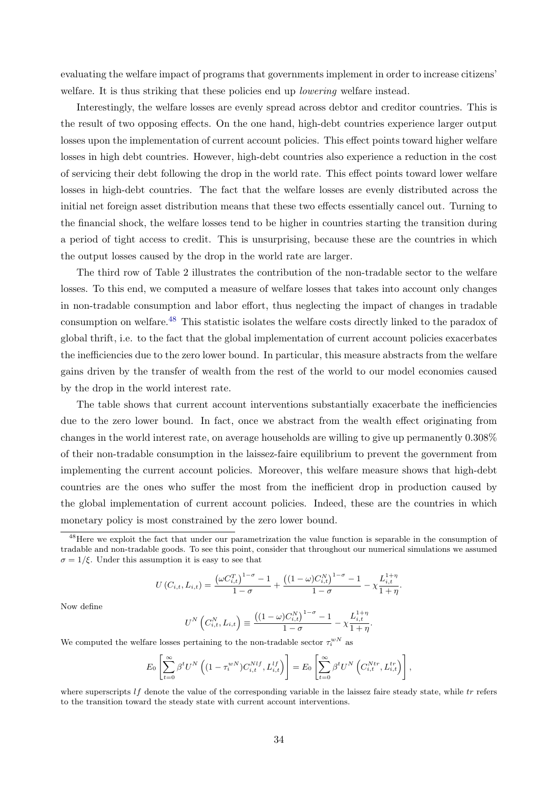evaluating the welfare impact of programs that governments implement in order to increase citizens' welfare. It is thus striking that these policies end up *lowering* welfare instead.

Interestingly, the welfare losses are evenly spread across debtor and creditor countries. This is the result of two opposing effects. On the one hand, high-debt countries experience larger output losses upon the implementation of current account policies. This effect points toward higher welfare losses in high debt countries. However, high-debt countries also experience a reduction in the cost of servicing their debt following the drop in the world rate. This effect points toward lower welfare losses in high-debt countries. The fact that the welfare losses are evenly distributed across the initial net foreign asset distribution means that these two effects essentially cancel out. Turning to the financial shock, the welfare losses tend to be higher in countries starting the transition during a period of tight access to credit. This is unsurprising, because these are the countries in which the output losses caused by the drop in the world rate are larger.

The third row of Table 2 illustrates the contribution of the non-tradable sector to the welfare losses. To this end, we computed a measure of welfare losses that takes into account only changes in non-tradable consumption and labor effort, thus neglecting the impact of changes in tradable consumption on welfare.<sup>[48](#page-35-0)</sup> This statistic isolates the welfare costs directly linked to the paradox of global thrift, i.e. to the fact that the global implementation of current account policies exacerbates the inefficiencies due to the zero lower bound. In particular, this measure abstracts from the welfare gains driven by the transfer of wealth from the rest of the world to our model economies caused by the drop in the world interest rate.

The table shows that current account interventions substantially exacerbate the inefficiencies due to the zero lower bound. In fact, once we abstract from the wealth effect originating from changes in the world interest rate, on average households are willing to give up permanently 0.308% of their non-tradable consumption in the laissez-faire equilibrium to prevent the government from implementing the current account policies. Moreover, this welfare measure shows that high-debt countries are the ones who suffer the most from the inefficient drop in production caused by the global implementation of current account policies. Indeed, these are the countries in which monetary policy is most constrained by the zero lower bound.

$$
U(C_{i,t}, L_{i,t}) = \frac{\left(\omega C_{i,t}^T\right)^{1-\sigma} - 1}{1-\sigma} + \frac{\left((1-\omega)C_{i,t}^N\right)^{1-\sigma} - 1}{1-\sigma} - \chi \frac{L_{i,t}^{1+\eta}}{1+\eta}.
$$

Now define

$$
U^{N}\left(C_{i,t}^{N}, L_{i,t}\right) \equiv \frac{\left((1-\omega)C_{i,t}^{N}\right)^{1-\sigma}-1}{1-\sigma} - \chi \frac{L_{i,t}^{1+\eta}}{1+\eta}.
$$

We computed the welfare losses pertaining to the non-tradable sector  $\tau_i^{wN}$  as

$$
E_0\left[\sum_{t=0}^{\infty}\beta^t U^N\left((1-\tau_i^{wN})C_{i,t}^{Nlf},L_{i,t}^{lf}\right)\right]=E_0\left[\sum_{t=0}^{\infty}\beta^t U^N\left(C_{i,t}^{Ntr},L_{i,t}^{tr}\right)\right],
$$

where superscripts  $l f$  denote the value of the corresponding variable in the laissez faire steady state, while tr refers to the transition toward the steady state with current account interventions.

<span id="page-35-0"></span><sup>&</sup>lt;sup>48</sup>Here we exploit the fact that under our parametrization the value function is separable in the consumption of tradable and non-tradable goods. To see this point, consider that throughout our numerical simulations we assumed  $\sigma = 1/\xi$ . Under this assumption it is easy to see that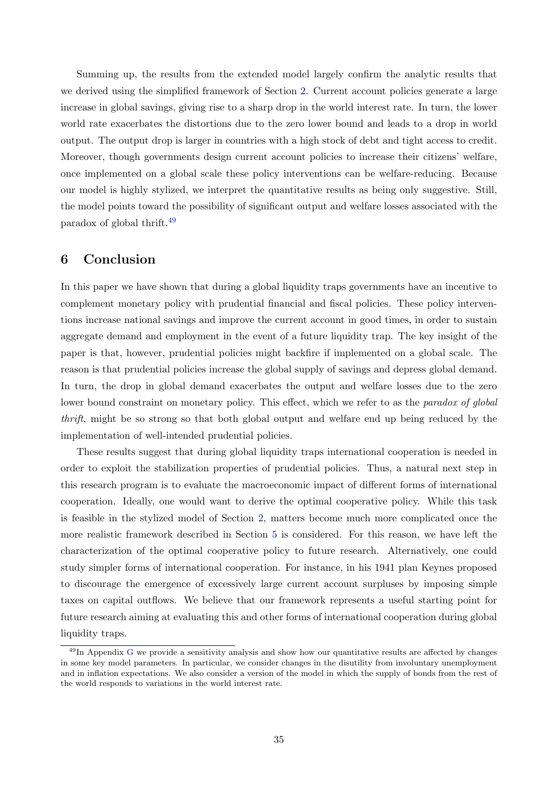Summing up, the results from the extended model largely confirm the analytic results that we derived using the simplified framework of Section [2.](#page-6-2) Current account policies generate a large increase in global savings, giving rise to a sharp drop in the world interest rate. In turn, the lower world rate exacerbates the distortions due to the zero lower bound and leads to a drop in world output. The output drop is larger in countries with a high stock of debt and tight access to credit. Moreover, though governments design current account policies to increase their citizens' welfare, once implemented on a global scale these policy interventions can be welfare-reducing. Because our model is highly stylized, we interpret the quantitative results as being only suggestive. Still, the model points toward the possibility of significant output and welfare losses associated with the paradox of global thrift.[49](#page-36-0)

## 6 Conclusion

In this paper we have shown that during a global liquidity traps governments have an incentive to complement monetary policy with prudential financial and fiscal policies. These policy interventions increase national savings and improve the current account in good times, in order to sustain aggregate demand and employment in the event of a future liquidity trap. The key insight of the paper is that, however, prudential policies might backfire if implemented on a global scale. The reason is that prudential policies increase the global supply of savings and depress global demand. In turn, the drop in global demand exacerbates the output and welfare losses due to the zero lower bound constraint on monetary policy. This effect, which we refer to as the *paradox of global* thrift, might be so strong so that both global output and welfare end up being reduced by the implementation of well-intended prudential policies.

These results suggest that during global liquidity traps international cooperation is needed in order to exploit the stabilization properties of prudential policies. Thus, a natural next step in this research program is to evaluate the macroeconomic impact of different forms of international cooperation. Ideally, one would want to derive the optimal cooperative policy. While this task is feasible in the stylized model of Section [2,](#page-6-2) matters become much more complicated once the more realistic framework described in Section [5](#page-24-0) is considered. For this reason, we have left the characterization of the optimal cooperative policy to future research. Alternatively, one could study simpler forms of international cooperation. For instance, in his 1941 plan Keynes proposed to discourage the emergence of excessively large current account surpluses by imposing simple taxes on capital outflows. We believe that our framework represents a useful starting point for future research aiming at evaluating this and other forms of international cooperation during global liquidity traps.

<span id="page-36-0"></span> $^{49}$ In Appendix [G](#page-50-0) we provide a sensitivity analysis and show how our quantitative results are affected by changes in some key model parameters. In particular, we consider changes in the disutility from involuntary unemployment and in inflation expectations. We also consider a version of the model in which the supply of bonds from the rest of the world responds to variations in the world interest rate.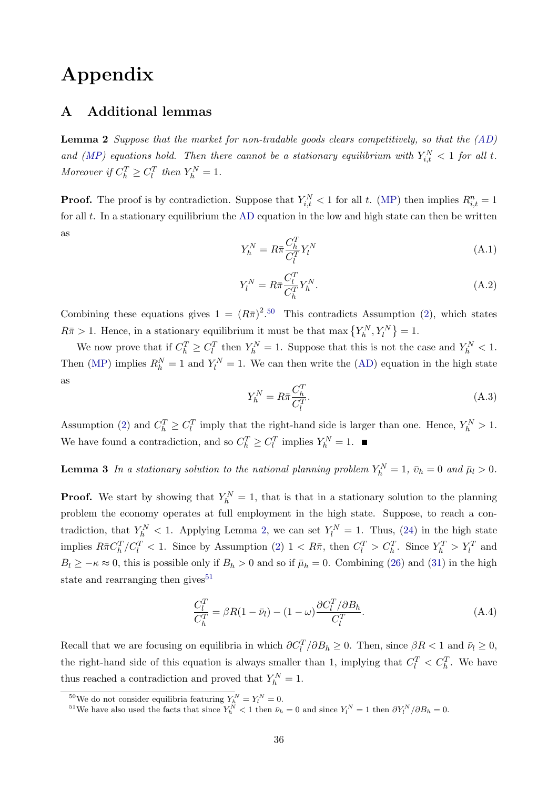# Appendix

# A Additional lemmas

<span id="page-37-1"></span>**Lemma 2** Suppose that the market for non-tradable goods clears competitively, so that the  $(AD)$ and [\(MP\)](#page-10-3) equations hold. Then there cannot be a stationary equilibrium with  $Y_{i,t}^N < 1$  for all t. Moreover if  $C_h^T \geq C_l^T$  then  $Y_h^N = 1$ .

**Proof.** The proof is by contradiction. Suppose that  $Y_{i,t}^N < 1$  for all t. [\(MP\)](#page-10-3) then implies  $R_{i,t}^n = 1$ for all  $t$ . In a stationary equilibrium the [AD](#page-13-0) equation in the low and high state can then be written as

$$
Y_h^N = R\bar{\pi}\frac{C_h^T}{C_l^T}Y_l^N\tag{A.1}
$$

$$
Y_l^N = R\bar{\pi}\frac{C_l^T}{C_h^T}Y_h^N.\tag{A.2}
$$

Combining these equations gives  $1 = (R\bar{\pi})^{2.50}$  $1 = (R\bar{\pi})^{2.50}$  $1 = (R\bar{\pi})^{2.50}$  This contradicts Assumption [\(2\)](#page-13-3), which states  $R\bar{\pi} > 1$ . Hence, in a stationary equilibrium it must be that max  $\{Y_h^N, Y_l^N\} = 1$ .

We now prove that if  $C_h^T \geq C_l^T$  then  $Y_h^N = 1$ . Suppose that this is not the case and  $Y_h^N < 1$ . Then [\(MP\)](#page-10-3) implies  $R_h^N = 1$  and  $Y_l^N = 1$ . We can then write the [\(AD\)](#page-13-0) equation in the high state as

$$
Y_h^N = R\bar{\pi}\frac{C_h^T}{C_l^T}.\tag{A.3}
$$

Assumption [\(2\)](#page-13-3) and  $C_h^T \geq C_l^T$  imply that the right-hand side is larger than one. Hence,  $Y_h^N > 1$ . We have found a contradiction, and so  $C_h^T \geq C_l^T$  implies  $Y_h^N = 1$ .

<span id="page-37-3"></span>**Lemma 3** In a stationary solution to the national planning problem  $Y_h^N = 1$ ,  $\bar{v}_h = 0$  and  $\bar{\mu}_l > 0$ .

**Proof.** We start by showing that  $Y_h^N = 1$ , that is that in a stationary solution to the planning problem the economy operates at full employment in the high state. Suppose, to reach a contradiction, that  $Y_h^N < 1$ . Applying Lemma [2,](#page-37-1) we can set  $Y_l^N = 1$ . Thus, [\(24\)](#page-17-4) in the high state implies  $R\bar{\pi}C_h^T/C_l^T < 1$ . Since by Assumption [\(2\)](#page-13-3)  $1 < R\bar{\pi}$ , then  $C_l^T > C_h^T$ . Since  $Y_h^T > Y_l^T$  and  $B_l \geq -\kappa \approx 0$ , this is possible only if  $B_h > 0$  and so if  $\bar{\mu}_h = 0$ . Combining [\(26\)](#page-17-6) and [\(31\)](#page-18-5) in the high state and rearranging then gives<sup>[51](#page-37-2)</sup>

$$
\frac{C_l^T}{C_h^T} = \beta R (1 - \bar{\nu}_l) - (1 - \omega) \frac{\partial C_l^T / \partial B_h}{C_l^T}.
$$
\n(A.4)

Recall that we are focusing on equilibria in which  $\partial C_l^T / \partial B_h \ge 0$ . Then, since  $\beta R < 1$  and  $\bar{\nu}_l \ge 0$ , the right-hand side of this equation is always smaller than 1, implying that  $C_l^T < C_h^T$ . We have thus reached a contradiction and proved that  $Y_h^N = 1$ .

<span id="page-37-0"></span><sup>&</sup>lt;sup>50</sup>We do not consider equilibria featuring  $Y_h^N = Y_l^N = 0$ .

<span id="page-37-2"></span><sup>&</sup>lt;sup>51</sup>We have also used the facts that since  $Y_h^N < 1$  then  $\bar{\nu}_h = 0$  and since  $Y_l^N = 1$  then  $\partial Y_l^N / \partial B_h = 0$ .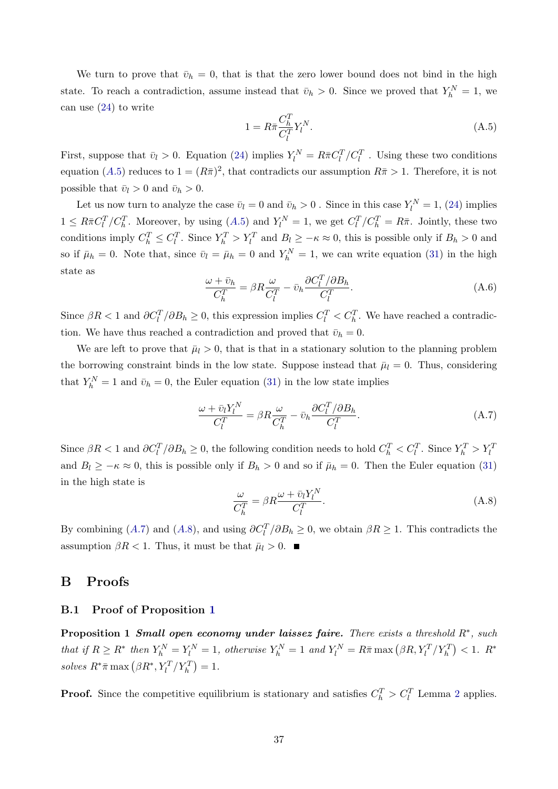We turn to prove that  $\bar{v}_h = 0$ , that is that the zero lower bound does not bind in the high state. To reach a contradiction, assume instead that  $\bar{v}_h > 0$ . Since we proved that  $Y_h^N = 1$ , we can use [\(24\)](#page-17-4) to write

<span id="page-38-1"></span>
$$
1 = R\bar{\pi}\frac{C_R^T}{C_l^T}Y_l^N.\tag{A.5}
$$

First, suppose that  $\bar{v}_l > 0$ . Equation [\(24\)](#page-17-4) implies  $Y_l^N = R\bar{\pi}C_l^T/C_l^T$ . Using these two conditions equation ([A.](#page-38-1)5) reduces to  $1 = (R\bar{\pi})^2$ , that contradicts our assumption  $R\bar{\pi} > 1$ . Therefore, it is not possible that  $\bar{v}_l > 0$  and  $\bar{v}_h > 0$ .

Let us now turn to analyze the case  $\bar{v}_l = 0$  and  $\bar{v}_h > 0$ . Since in this case  $Y_l^N = 1$ , [\(24\)](#page-17-4) implies  $1 \leq R\bar{\pi}C_l^T/C_h^T$ . Moreover, by using  $(A.5)$  $(A.5)$  $(A.5)$  and  $Y_l^N = 1$ , we get  $C_l^T/C_h^T = R\bar{\pi}$ . Jointly, these two conditions imply  $C_h^T \leq C_l^T$ . Since  $Y_h^T > Y_l^T$  and  $B_l \geq -\kappa \approx 0$ , this is possible only if  $B_h > 0$  and so if  $\bar{\mu}_h = 0$ . Note that, since  $\bar{v}_l = \bar{\mu}_h = 0$  and  $Y_h^N = 1$ , we can write equation [\(31\)](#page-18-5) in the high state as

$$
\frac{\omega + \bar{v}_h}{C_h^T} = \beta R \frac{\omega}{C_l^T} - \bar{v}_h \frac{\partial C_l^T / \partial B_h}{C_l^T}.
$$
\n(A.6)

Since  $\beta R < 1$  and  $\partial C_l^T / \partial B_h \ge 0$ , this expression implies  $C_l^T < C_h^T$ . We have reached a contradiction. We have thus reached a contradiction and proved that  $\bar{v}_h = 0$ .

We are left to prove that  $\bar{\mu}_l > 0$ , that is that in a stationary solution to the planning problem the borrowing constraint binds in the low state. Suppose instead that  $\bar{\mu}_l = 0$ . Thus, considering that  $Y_h^N = 1$  and  $\bar{v}_h = 0$ , the Euler equation [\(31\)](#page-18-5) in the low state implies

<span id="page-38-2"></span>
$$
\frac{\omega + \bar{v}_l Y_l^N}{C_l^T} = \beta R \frac{\omega}{C_h^T} - \bar{v}_h \frac{\partial C_l^T / \partial B_h}{C_l^T}.
$$
\n(A.7)

Since  $\beta R < 1$  and  $\partial C_l^T / \partial B_h \ge 0$ , the following condition needs to hold  $C_h^T < C_l^T$ . Since  $Y_h^T > Y_l^T$ and  $B_l \geq -\kappa \approx 0$ , this is possible only if  $B_h > 0$  and so if  $\bar{\mu}_h = 0$ . Then the Euler equation [\(31\)](#page-18-5) in the high state is

<span id="page-38-3"></span>
$$
\frac{\omega}{C_h^T} = \beta R \frac{\omega + \bar{v}_l Y_l^N}{C_l^T}.
$$
\n(A.8)

By combining ([A.](#page-38-3)7) and (A.8), and using  $\partial C_l^T / \partial B_h \ge 0$ , we obtain  $\beta R \ge 1$ . This contradicts the assumption  $\beta R < 1$ . Thus, it must be that  $\bar{\mu}_l > 0$ .

## B Proofs

#### <span id="page-38-0"></span>B.1 Proof of Proposition [1](#page-13-2)

**Proposition 1 Small open economy under laissez faire.** There exists a threshold  $R^*$ , such that if  $R \ge R^*$  then  $Y_h^N = Y_l^N = 1$ , otherwise  $Y_h^N = 1$  and  $Y_l^N = R\bar{\pi} \max(\beta R, Y_l^T / Y_h^T) < 1$ .  $R^*$ solves  $R^*\bar{\pi}$  max  $(\beta R^*, Y_l^T/Y_h^T) = 1$ .

**Proof.** Since the competitive equilibrium is stationary and satisfies  $C_h^T > C_l^T$  Lemma [2](#page-37-1) applies.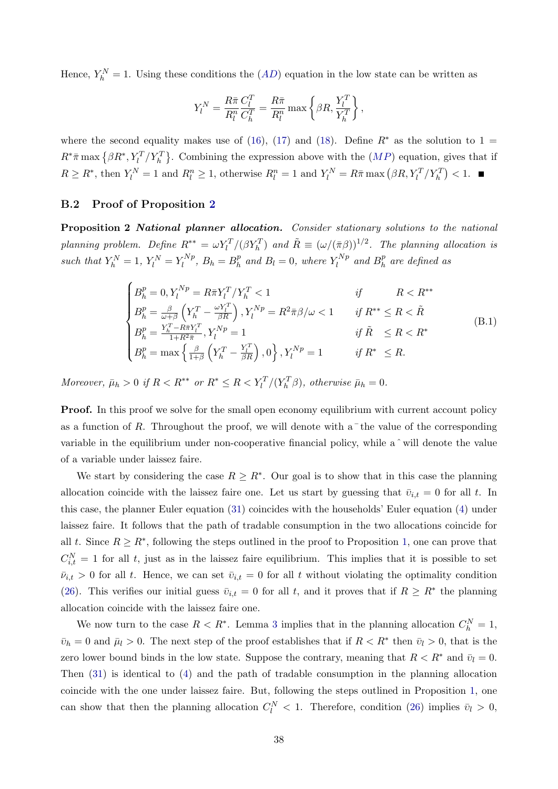Hence,  $Y_h^N = 1$ . Using these conditions the  $(AD)$  $(AD)$  $(AD)$  equation in the low state can be written as

$$
Y_l^N = \frac{R\bar{\pi}}{R_l^n}\frac{C_l^T}{C_h^T} = \frac{R\bar{\pi}}{R_l^n}\max\left\{\beta R, \frac{Y_l^T}{Y_h^T}\right\},
$$

where the second equality makes use of [\(16\)](#page-12-2), [\(17\)](#page-13-5) and [\(18\)](#page-13-6). Define  $R^*$  as the solution to 1 =  $R^*\bar{\pi}$  max  $\{\beta R^*, Y_l^T/Y_h^T\}$ . Combining the expression above with the  $(MP)$  $(MP)$  $(MP)$  equation, gives that if  $R \ge R^*$ , then  $Y_l^N = 1$  and  $R_l^n \ge 1$ , otherwise  $R_l^n = 1$  and  $Y_l^N = R\bar{\pi} \max(\beta R, Y_l^T / Y_h^T) < 1$ .

#### <span id="page-39-0"></span>B.2 Proof of Proposition [2](#page-18-6)

Proposition 2 National planner allocation. Consider stationary solutions to the national planning problem. Define  $R^{**} = \omega Y_l^T/(\beta Y_h^T)$  and  $\tilde{R} \equiv (\omega/(\bar{\pi}\beta))^{1/2}$ . The planning allocation is such that  $Y_h^N = 1$ ,  $Y_l^N = Y_l^{Np}$  $l_l^{Np}, B_h = B_h^p$  $h_l^p$  and  $B_l = 0$ , where  $Y_l^{Np}$  $l_l^{Np}$  and  $B_h^p$  $\frac{p}{h}$  are defined as

$$
\begin{cases}\nB_h^p = 0, Y_l^{Np} = R\bar{\pi}Y_l^T/Y_h^T < 1 & \text{if } R < R^{**} \\
B_h^p = \frac{\beta}{\omega + \beta} \left( Y_h^T - \frac{\omega Y_l^T}{\beta R} \right), Y_l^{Np} = R^2 \bar{\pi}\beta/\omega < 1 & \text{if } R^{**} \le R < \tilde{R} \\
B_h^p = \frac{Y_h^T - R\bar{\pi}Y_l^T}{1 + R^2 \bar{\pi}}, Y_l^{Np} = 1 & \text{if } \tilde{R} \le R < R^* \\
B_h^p = \max \left\{ \frac{\beta}{1 + \beta} \left( Y_h^T - \frac{Y_l^T}{\beta R} \right), 0 \right\}, Y_l^{Np} = 1 & \text{if } R^* \le R.\n\end{cases} \tag{B.1}
$$

Moreover,  $\bar{\mu}_h > 0$  if  $R < R^{**}$  or  $R^* \leq R < Y_l^T/(Y_h^T \beta)$ , otherwise  $\bar{\mu}_h = 0$ .

**Proof.** In this proof we solve for the small open economy equilibrium with current account policy as a function of R. Throughout the proof, we will denote with  $a^-$  the value of the corresponding variable in the equilibrium under non-cooperative financial policy, while a  $\hat{ }$  will denote the value of a variable under laissez faire.

We start by considering the case  $R \geq R^*$ . Our goal is to show that in this case the planning allocation coincide with the laissez faire one. Let us start by guessing that  $\bar{v}_{i,t} = 0$  for all t. In this case, the planner Euler equation [\(31\)](#page-18-5) coincides with the households' Euler equation [\(4\)](#page-7-2) under laissez faire. It follows that the path of tradable consumption in the two allocations coincide for all t. Since  $R \ge R^*$ , following the steps outlined in the proof to Proposition [1,](#page-13-2) one can prove that  $C_{i,t}^N = 1$  for all t, just as in the laissez faire equilibrium. This implies that it is possible to set  $\bar{v}_{i,t} > 0$  for all t. Hence, we can set  $\bar{v}_{i,t} = 0$  for all t without violating the optimality condition [\(26\)](#page-17-6). This verifies our initial guess  $\bar{v}_{i,t} = 0$  for all t, and it proves that if  $R \geq R^*$  the planning allocation coincide with the laissez faire one.

We now turn to the case  $R < R^*$ . Lemma [3](#page-37-3) implies that in the planning allocation  $C_h^N = 1$ ,  $\bar{v}_h = 0$  and  $\bar{\mu}_l > 0$ . The next step of the proof establishes that if  $R < R^*$  then  $\bar{v}_l > 0$ , that is the zero lower bound binds in the low state. Suppose the contrary, meaning that  $R < R^*$  and  $\bar{v}_l = 0$ . Then [\(31\)](#page-18-5) is identical to [\(4\)](#page-7-2) and the path of tradable consumption in the planning allocation coincide with the one under laissez faire. But, following the steps outlined in Proposition [1,](#page-13-2) one can show that then the planning allocation  $C_l^N < 1$ . Therefore, condition [\(26\)](#page-17-6) implies  $\bar{v}_l > 0$ ,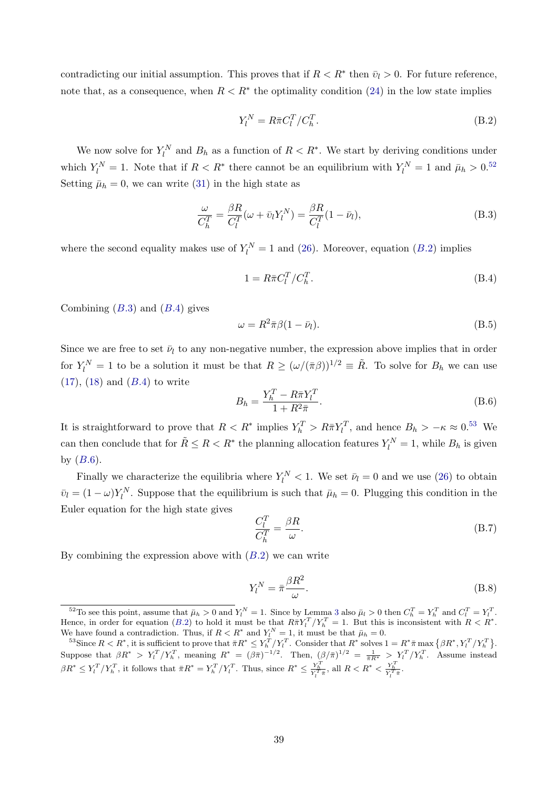contradicting our initial assumption. This proves that if  $R < R^*$  then  $\bar{v}_l > 0$ . For future reference, note that, as a consequence, when  $R < R^*$  the optimality condition [\(24\)](#page-17-4) in the low state implies

<span id="page-40-1"></span>
$$
Y_l^N = R\bar{\pi}C_l^T/C_h^T.
$$
\n(B.2)

We now solve for  $Y_l^N$  and  $B_h$  as a function of  $R < R^*$ . We start by deriving conditions under which  $Y_l^N = 1$ . Note that if  $R < R^*$  there cannot be an equilibrium with  $Y_l^N = 1$  and  $\bar{\mu}_h > 0.52$  $\bar{\mu}_h > 0.52$ Setting  $\bar{\mu}_h = 0$ , we can write [\(31\)](#page-18-5) in the high state as

<span id="page-40-2"></span>
$$
\frac{\omega}{C_h^T} = \frac{\beta R}{C_l^T} (\omega + \bar{v}_l Y_l^N) = \frac{\beta R}{C_l^T} (1 - \bar{\nu}_l),
$$
\n(B.3)

where the second equality makes use of  $Y_l^N = 1$  and [\(26\)](#page-17-6). Moreover, equation ([B.](#page-40-1)2) implies

<span id="page-40-3"></span>
$$
1 = R\bar{\pi}C_l^T/C_h^T.
$$
\n(B.4)

Combining  $(B.3)$  $(B.3)$  $(B.3)$  and  $(B.4)$  gives

$$
\omega = R^2 \bar{\pi} \beta (1 - \bar{\nu}_l). \tag{B.5}
$$

Since we are free to set  $\bar{\nu}_l$  to any non-negative number, the expression above implies that in order for  $Y_l^N = 1$  to be a solution it must be that  $R \ge (\omega/(\bar{\pi}\beta))^{1/2} \equiv \tilde{R}$ . To solve for  $B_h$  we can use  $(17)$ ,  $(18)$  and  $(B.4)$  $(B.4)$  $(B.4)$  to write

<span id="page-40-5"></span>
$$
B_h = \frac{Y_h^T - R\bar{\pi}Y_l^T}{1 + R^2\bar{\pi}}.\tag{B.6}
$$

It is straightforward to prove that  $R < R^*$  implies  $Y_h^T > R\overline{\pi}Y_l^T$ , and hence  $B_h > -\kappa \approx 0.53$  $B_h > -\kappa \approx 0.53$  We can then conclude that for  $\tilde{R} \le R < R^*$  the planning allocation features  $Y_l^N = 1$ , while  $B_h$  is given by  $(B.6)$  $(B.6)$  $(B.6)$ .

Finally we characterize the equilibria where  $Y_l^N < 1$ . We set  $\bar{\nu}_l = 0$  and we use [\(26\)](#page-17-6) to obtain  $\bar{v}_l = (1 - \omega) Y_l^N$ . Suppose that the equilibrium is such that  $\bar{\mu}_h = 0$ . Plugging this condition in the Euler equation for the high state gives

<span id="page-40-6"></span>
$$
\frac{C_l^T}{C_h^T} = \frac{\beta R}{\omega}.\tag{B.7}
$$

By combining the expression above with  $(B.2)$  $(B.2)$  $(B.2)$  we can write

$$
Y_l^N = \bar{\pi} \frac{\beta R^2}{\omega}.
$$
\n(B.8)

<span id="page-40-0"></span><sup>&</sup>lt;sup>52</sup>To see this point, assume that  $\bar{\mu}_h > 0$  and  $Y_l^N = 1$ . Since by Lemma [3](#page-37-3) also  $\bar{\mu}_l > 0$  then  $C_h^T = Y_h^T$  and  $C_l^T = Y_l^T$ . Hence, in order for equation ([B.](#page-40-1)2) to hold it must be that  $R\bar{\pi}Y_l^T/Y_h^T=1$ . But this is inconsistent with  $R < R^*$ . We have found a contradiction. Thus, if  $R < R^*$  and  $Y_l^N = 1$ , it must be that  $\bar{\mu}_h = 0$ .

<span id="page-40-4"></span><sup>&</sup>lt;sup>53</sup>Since  $R < R^*$ , it is sufficient to prove that  $\bar{\pi}R^* \leq Y_h^T/Y_l^T$ . Consider that  $R^*$  solves  $1 = R^*\bar{\pi} \max\{\beta R^*, Y_l^T/Y_h^T\}$ . Suppose that  $\beta R^* > Y_l^T/Y_h^T$ , meaning  $R^* = (\beta \bar{\pi})^{-1/2}$ . Then,  $(\beta/\bar{\pi})^{1/2} = \frac{1}{\bar{\pi}R^*} > Y_l^T/Y_h^T$ . Assume instead  $\beta R^* \leq Y_l^T / Y_h^T$ , it follows that  $\bar{\pi} R^* = Y_h^T / Y_l^T$ . Thus, since  $R^* \leq \frac{Y_h^T}{Y_l^T \bar{\pi}}$ , all  $R < R^* < \frac{Y_h^T}{Y_l^T \bar{\pi}}$ .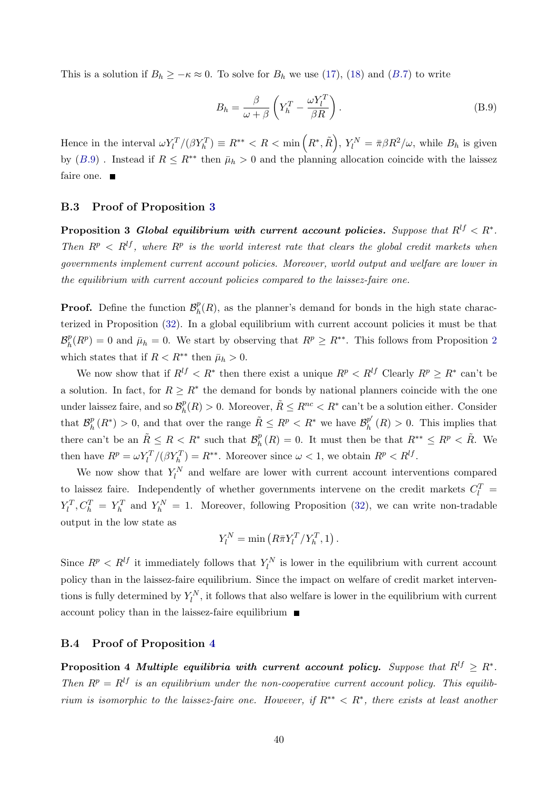This is a solution if  $B_h \geq -\kappa \approx 0$ . To solve for  $B_h$  we use [\(17\)](#page-13-5), [\(18\)](#page-13-6) and ([B.](#page-40-6)7) to write

<span id="page-41-2"></span>
$$
B_h = \frac{\beta}{\omega + \beta} \left( Y_h^T - \frac{\omega Y_l^T}{\beta R} \right). \tag{B.9}
$$

Hence in the interval  $\omega Y_l^T/(\beta Y_h^T) \equiv R^{**} < R < \min\left(R^*, \tilde{R}\right), Y_l^N = \bar{\pi} \beta R^2/\omega$ , while  $B_h$  is given by ([B.](#page-41-2)9). Instead if  $R \leq R^{**}$  then  $\bar{\mu}_h > 0$  and the planning allocation coincide with the laissez faire one.

#### <span id="page-41-0"></span>B.3 Proof of Proposition [3](#page-21-0)

Proposition 3 Global equilibrium with current account policies. Suppose that  $R^{lf} < R^*$ . Then  $R^p \le R^{lf}$ , where  $R^p$  is the world interest rate that clears the global credit markets when governments implement current account policies. Moreover, world output and welfare are lower in the equilibrium with current account policies compared to the laissez-faire one.

**Proof.** Define the function  $\mathcal{B}_h^p$  $_{h}^{p}(R)$ , as the planner's demand for bonds in the high state characterized in Proposition [\(32\)](#page-19-4). In a global equilibrium with current account policies it must be that  $\mathcal{B}_h^p$  $h(R^p) = 0$  and  $\bar{\mu}_h = 0$ . We start by observing that  $R^p \geq R^{**}$ . This follows from Proposition [2](#page-18-6) which states that if  $R < R^{**}$  then  $\bar{\mu}_h > 0$ .

We now show that if  $R^{lf} < R^*$  then there exist a unique  $R^p < R^{lf}$  Clearly  $R^p \ge R^*$  can't be a solution. In fact, for  $R \geq R^*$  the demand for bonds by national planners coincide with the one under laissez faire, and so  $\mathcal{B}_h^p$  $h(R) > 0$ . Moreover,  $\tilde{R} \leq R^{nc} < R^*$  can't be a solution either. Consider that  $\mathcal{B}_h^p$  $\tilde{h}_h^p(R^*)$  > 0, and that over the range  $\tilde{R} \leq R^p < R^*$  we have  $\mathcal{B}_h^{p'}$  $_{h}^{p}$  (R) > 0. This implies that there can't be an  $\tilde{R} \leq R < R^*$  such that  $\mathcal{B}_h^p$  $h_R^p(R) = 0$ . It must then be that  $R^{**} \leq R^p < \tilde{R}$ . We then have  $R^p = \omega Y_l^T / (\beta Y_h^T) = R^{**}$ . Moreover since  $\omega < 1$ , we obtain  $R^p < R^{lf}$ .

We now show that  $Y_l^N$  and welfare are lower with current account interventions compared to laissez faire. Independently of whether governments intervene on the credit markets  $C_l^T$  =  $Y_l^T, C_h^T = Y_h^T$  and  $Y_h^N = 1$ . Moreover, following Proposition [\(32\)](#page-19-4), we can write non-tradable output in the low state as

$$
Y_l^N = \min\left(R\bar{\pi}Y_l^T/Y_h^T, 1\right).
$$

Since  $R^p < R^{lf}$  it immediately follows that  $Y_l^N$  is lower in the equilibrium with current account policy than in the laissez-faire equilibrium. Since the impact on welfare of credit market interventions is fully determined by  $Y_l^N$ , it follows that also welfare is lower in the equilibrium with current account policy than in the laissez-faire equilibrium

#### <span id="page-41-1"></span>B.4 Proof of Proposition [4](#page-23-1)

Proposition 4 Multiple equilibria with current account policy. Suppose that  $R^{lf} \geq R^*$ . Then  $R^p = R^{lf}$  is an equilibrium under the non-cooperative current account policy. This equilibrium is isomorphic to the laissez-faire one. However, if  $R^{**} < R^*$ , there exists at least another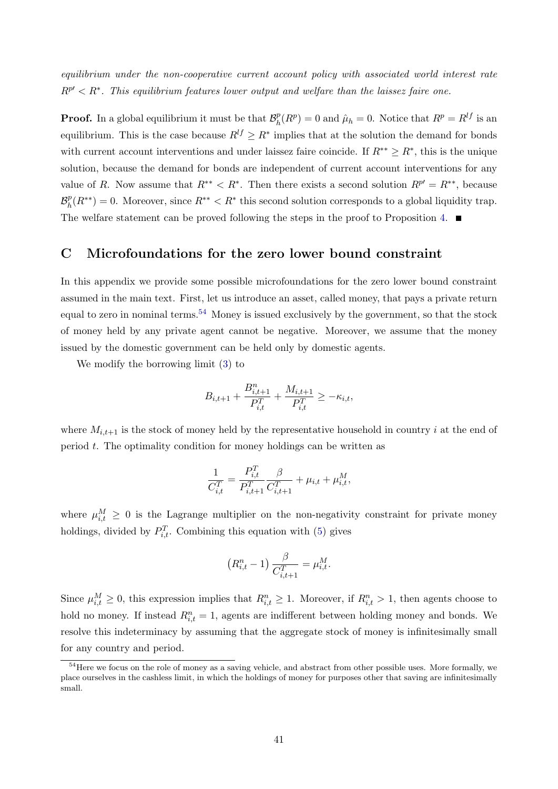equilibrium under the non-cooperative current account policy with associated world interest rate  $R^{p'} < R^*$ . This equilibrium features lower output and welfare than the laissez faire one.

**Proof.** In a global equilibrium it must be that  $\mathcal{B}_h^p$  $h_R^p(R^p) = 0$  and  $\hat{\mu}_h = 0$ . Notice that  $R^p = R^{lf}$  is an equilibrium. This is the case because  $R^{lf} \geq R^*$  implies that at the solution the demand for bonds with current account interventions and under laissez faire coincide. If  $R^{**} \geq R^*$ , this is the unique solution, because the demand for bonds are independent of current account interventions for any value of R. Now assume that  $R^{**} < R^*$ . Then there exists a second solution  $R^{p'} = R^{**}$ , because  $\mathcal{B}_h^p$  $h(R^{**}) = 0$ . Moreover, since  $R^{**} < R^*$  this second solution corresponds to a global liquidity trap. The welfare statement can be proved following the steps in the proof to Proposition [4.](#page-23-1)  $\blacksquare$ 

## <span id="page-42-0"></span>C Microfoundations for the zero lower bound constraint

In this appendix we provide some possible microfoundations for the zero lower bound constraint assumed in the main text. First, let us introduce an asset, called money, that pays a private return equal to zero in nominal terms.<sup>[54](#page-42-1)</sup> Money is issued exclusively by the government, so that the stock of money held by any private agent cannot be negative. Moreover, we assume that the money issued by the domestic government can be held only by domestic agents.

We modify the borrowing limit [\(3\)](#page-7-1) to

$$
B_{i,t+1} + \frac{B_{i,t+1}^n}{P_{i,t}^T} + \frac{M_{i,t+1}}{P_{i,t}^T} \ge -\kappa_{i,t},
$$

where  $M_{i,t+1}$  is the stock of money held by the representative household in country i at the end of period t. The optimality condition for money holdings can be written as

$$
\frac{1}{C_{i,t}^T} = \frac{P_{i,t}^T}{P_{i,t+1}^T} \frac{\beta}{C_{i,t+1}^T} + \mu_{i,t} + \mu_{i,t}^M,
$$

where  $\mu_{i,t}^M \geq 0$  is the Lagrange multiplier on the non-negativity constraint for private money holdings, divided by  $P_{i,t}^T$ . Combining this equation with [\(5\)](#page-7-3) gives

$$
(R_{i,t}^n - 1) \frac{\beta}{C_{i,t+1}^T} = \mu_{i,t}^M.
$$

Since  $\mu_{i,t}^M \geq 0$ , this expression implies that  $R_{i,t}^n \geq 1$ . Moreover, if  $R_{i,t}^n > 1$ , then agents choose to hold no money. If instead  $R_{i,t}^n = 1$ , agents are indifferent between holding money and bonds. We resolve this indeterminacy by assuming that the aggregate stock of money is infinitesimally small for any country and period.

<span id="page-42-1"></span><sup>&</sup>lt;sup>54</sup>Here we focus on the role of money as a saving vehicle, and abstract from other possible uses. More formally, we place ourselves in the cashless limit, in which the holdings of money for purposes other that saving are infinitesimally small.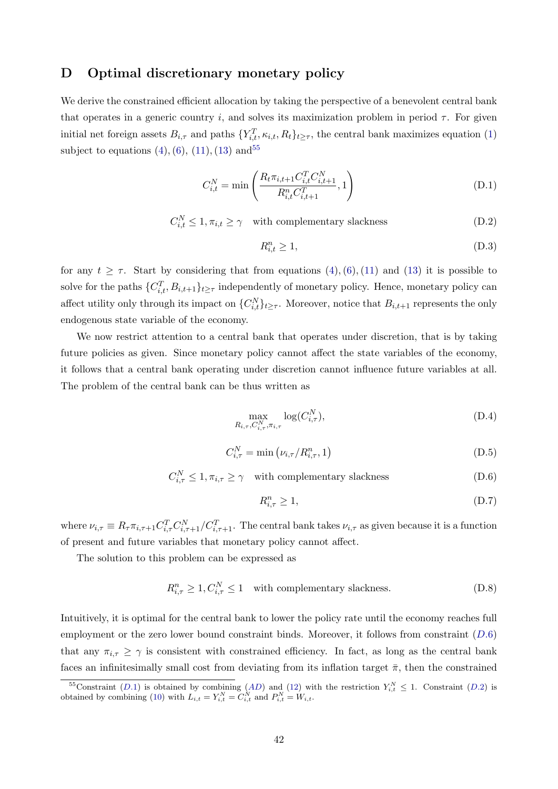## <span id="page-43-0"></span>D Optimal discretionary monetary policy

We derive the constrained efficient allocation by taking the perspective of a benevolent central bank that operates in a generic country i, and solves its maximization problem in period  $\tau$ . For given initial net foreign assets  $B_{i,\tau}$  and paths  $\{Y_{i,t}^T, \kappa_{i,t}, R_t\}_{t\geq \tau}$ , the central bank maximizes equation [\(1\)](#page-6-1) subject to equations  $(4)$ ,  $(6)$ ,  $(11)$ ,  $(13)$  and  $55$ 

<span id="page-43-3"></span>
$$
C_{i,t}^{N} = \min\left(\frac{R_t \pi_{i,t+1} C_{i,t}^{T} C_{i,t+1}^{N}}{R_{i,t}^{n} C_{i,t+1}^{T}}, 1\right)
$$
(D.1)

<span id="page-43-4"></span> $C_{i,t}^N \leq 1, \pi_{i,t} \geq \gamma$  with complementary slackness (D.2)

$$
R_{i,t}^n \ge 1,\tag{D.3}
$$

for any  $t \geq \tau$ . Start by considering that from equations  $(4)$ ,  $(6)$ ,  $(11)$  and  $(13)$  it is possible to solve for the paths  $\{C_{i,t}^T, B_{i,t+1}\}_{t\geq \tau}$  independently of monetary policy. Hence, monetary policy can affect utility only through its impact on  $\{C_{i,t}^{N}\}_{t\geq \tau}$ . Moreover, notice that  $B_{i,t+1}$  represents the only endogenous state variable of the economy.

We now restrict attention to a central bank that operates under discretion, that is by taking future policies as given. Since monetary policy cannot affect the state variables of the economy, it follows that a central bank operating under discretion cannot influence future variables at all. The problem of the central bank can be thus written as

$$
\max_{R_{i,\tau}, C_{i,\tau}^N, \pi_{i,\tau}} \log(C_{i,\tau}^N),\tag{D.4}
$$

$$
C_{i,\tau}^N = \min\left(\nu_{i,\tau}/R_{i,\tau}^n, 1\right) \tag{D.5}
$$

<span id="page-43-2"></span> $C_{i,\tau}^N \leq 1, \pi_{i,\tau} \geq \gamma$  with complementary slackness (D.6)

$$
R_{i,\tau}^n \ge 1,\tag{D.7}
$$

where  $\nu_{i,\tau} \equiv R_{\tau} \pi_{i,\tau+1} C_{i,\tau+1}^T C_{i,\tau+1}^T C_{i,\tau+1}^T$ . The central bank takes  $\nu_{i,\tau}$  as given because it is a function of present and future variables that monetary policy cannot affect.

The solution to this problem can be expressed as

$$
R_{i,\tau}^n \ge 1, C_{i,\tau}^N \le 1 \quad \text{with complementary slackness.} \tag{D.8}
$$

Intuitively, it is optimal for the central bank to lower the policy rate until the economy reaches full employment or the zero lower bound constraint binds. Moreover, it follows from constraint  $(D.6)$  $(D.6)$  $(D.6)$ that any  $\pi_{i,\tau} \geq \gamma$  is consistent with constrained efficiency. In fact, as long as the central bank faces an infinitesimally small cost from deviating from its inflation target  $\bar{\pi}$ , then the constrained

<span id="page-43-1"></span><sup>&</sup>lt;sup>55</sup>Constraint ([D.](#page-43-4)1) is obtained by combining ([AD](#page-13-0)) and [\(12\)](#page-11-0) with the restriction  $Y_{i,t}^N \leq 1$ . Constraint (D.2) is obtained by combining [\(10\)](#page-9-0) with  $L_{i,t} = Y_{i,t}^N = C_{i,t}^N$  and  $P_{i,t}^N = W_{i,t}$ .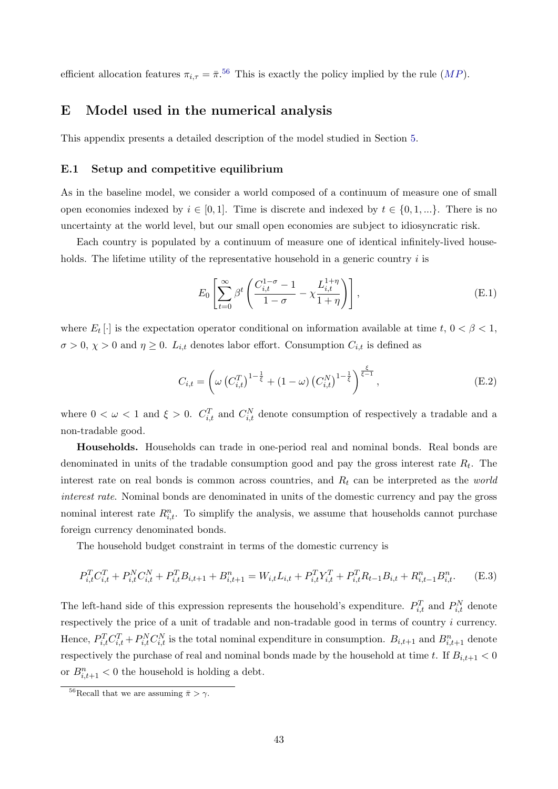efficient allocation features  $\pi_{i,\tau} = \bar{\pi}^{.56}$  $\pi_{i,\tau} = \bar{\pi}^{.56}$  $\pi_{i,\tau} = \bar{\pi}^{.56}$  This is exactly the policy implied by the rule  $(MP)$  $(MP)$  $(MP)$ .

## <span id="page-44-0"></span>E Model used in the numerical analysis

This appendix presents a detailed description of the model studied in Section [5.](#page-24-0)

#### E.1 Setup and competitive equilibrium

As in the baseline model, we consider a world composed of a continuum of measure one of small open economies indexed by  $i \in [0,1]$ . Time is discrete and indexed by  $t \in \{0,1,...\}$ . There is no uncertainty at the world level, but our small open economies are subject to idiosyncratic risk.

Each country is populated by a continuum of measure one of identical infinitely-lived households. The lifetime utility of the representative household in a generic country  $i$  is

<span id="page-44-2"></span>
$$
E_0 \left[ \sum_{t=0}^{\infty} \beta^t \left( \frac{C_{i,t}^{1-\sigma} - 1}{1-\sigma} - \chi \frac{L_{i,t}^{1+\eta}}{1+\eta} \right) \right],
$$
 (E.1)

where  $E_t$  [·] is the expectation operator conditional on information available at time  $t, 0 < \beta < 1$ ,  $\sigma > 0$ ,  $\chi > 0$  and  $\eta \geq 0$ .  $L_{i,t}$  denotes labor effort. Consumption  $C_{i,t}$  is defined as

<span id="page-44-4"></span>
$$
C_{i,t} = \left(\omega \left(C_{i,t}^T\right)^{1-\frac{1}{\xi}} + (1-\omega) \left(C_{i,t}^N\right)^{1-\frac{1}{\xi}}\right)^{\frac{\xi}{\xi-1}},\tag{E.2}
$$

where  $0 < \omega < 1$  and  $\xi > 0$ .  $C_{i,t}^T$  and  $C_{i,t}^N$  denote consumption of respectively a tradable and a non-tradable good.

Households. Households can trade in one-period real and nominal bonds. Real bonds are denominated in units of the tradable consumption good and pay the gross interest rate  $R_t$ . The interest rate on real bonds is common across countries, and  $R_t$  can be interpreted as the *world* interest rate. Nominal bonds are denominated in units of the domestic currency and pay the gross nominal interest rate  $R_{i,t}^n$ . To simplify the analysis, we assume that households cannot purchase foreign currency denominated bonds.

The household budget constraint in terms of the domestic currency is

<span id="page-44-3"></span>
$$
P_{i,t}^T C_{i,t}^T + P_{i,t}^N C_{i,t}^N + P_{i,t}^T B_{i,t+1} + B_{i,t+1}^n = W_{i,t} L_{i,t} + P_{i,t}^T Y_{i,t}^T + P_{i,t}^T R_{t-1} B_{i,t} + R_{i,t-1}^n B_{i,t}^n.
$$
 (E.3)

The left-hand side of this expression represents the household's expenditure.  $P_{i,t}^T$  and  $P_{i,t}^N$  denote respectively the price of a unit of tradable and non-tradable good in terms of country i currency. Hence,  $P_{i,t}^T C_{i,t}^T + P_{i,t}^N C_{i,t}^N$  is the total nominal expenditure in consumption.  $B_{i,t+1}$  and  $B_{i,t+1}^n$  denote respectively the purchase of real and nominal bonds made by the household at time t. If  $B_{i,t+1} < 0$ or  $B_{i,t+1}^n < 0$  the household is holding a debt.

<span id="page-44-1"></span><sup>&</sup>lt;sup>56</sup>Recall that we are assuming  $\bar{\pi} > \gamma$ .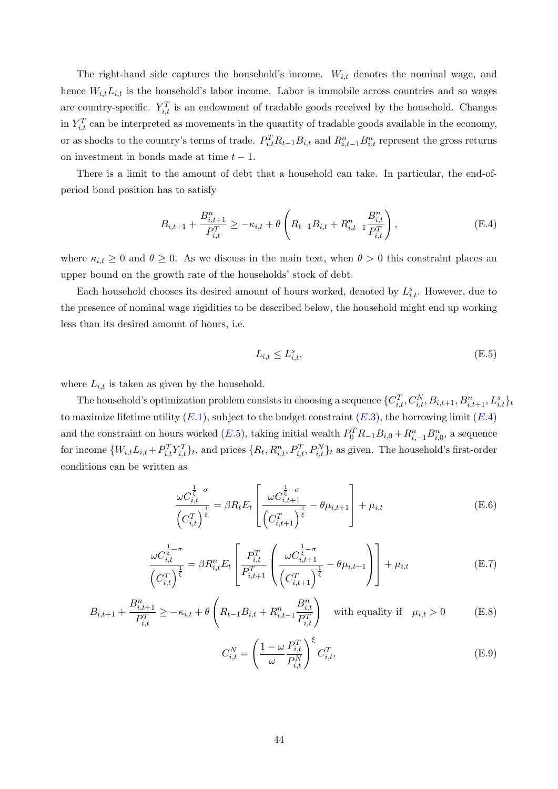The right-hand side captures the household's income.  $W_{i,t}$  denotes the nominal wage, and hence  $W_{i,t}L_{i,t}$  is the household's labor income. Labor is immobile across countries and so wages are country-specific.  $Y_{i,t}^T$  is an endowment of tradable goods received by the household. Changes in  $Y_{i,t}^T$  can be interpreted as movements in the quantity of tradable goods available in the economy, or as shocks to the country's terms of trade.  $P_{i,t}^T R_{t-1} B_{i,t}$  and  $R_{i,t-1}^n B_{i,t}^n$  represent the gross returns on investment in bonds made at time  $t - 1$ .

There is a limit to the amount of debt that a household can take. In particular, the end-ofperiod bond position has to satisfy

<span id="page-45-0"></span>
$$
B_{i,t+1} + \frac{B_{i,t+1}^n}{P_{i,t}^T} \ge -\kappa_{i,t} + \theta \left( R_{t-1} B_{i,t} + R_{i,t-1}^n \frac{B_{i,t}^n}{P_{i,t}^T} \right),
$$
(E.4)

where  $\kappa_{i,t} \geq 0$  and  $\theta \geq 0$ . As we discuss in the main text, when  $\theta > 0$  this constraint places an upper bound on the growth rate of the households' stock of debt.

Each household chooses its desired amount of hours worked, denoted by  $L_{i,t}^s$ . However, due to the presence of nominal wage rigidities to be described below, the household might end up working less than its desired amount of hours, i.e.

<span id="page-45-1"></span>
$$
L_{i,t} \le L_{i,t}^s,\tag{E.5}
$$

where  $L_{i,t}$  is taken as given by the household.

The household's optimization problem consists in choosing a sequence  $\{C_{i,t}^T, C_{i,t}^N, B_{i,t+1}, B_{i,t+1}^n, L_{i,t}^s\}$ to maximize lifetime utility  $(E.1)$  $(E.1)$  $(E.1)$ , subject to the budget constraint  $(E.3)$ , the borrowing limit  $(E.4)$ and the constraint on hours worked  $(E.5)$  $(E.5)$  $(E.5)$ , taking initial wealth  $P_0^T R_{-1} B_{i,0} + R_{i,-1}^n B_{i,0}^n$ , a sequence for income  $\{W_{i,t}L_{i,t}+P_{i,t}^TY_{i,t}^T\}_t$ , and prices  $\{R_t, R_{i,t}^n, P_{i,t}^T, P_{i,t}^N\}_t$  as given. The household's first-order conditions can be written as

<span id="page-45-2"></span>
$$
\frac{\omega C_{i,t}^{\frac{1}{\xi}-\sigma}}{\left(C_{i,t}^T\right)^{\frac{1}{\xi}}} = \beta R_t E_t \left[\frac{\omega C_{i,t+1}^{\frac{1}{\xi}-\sigma}}{\left(C_{i,t+1}^T\right)^{\frac{1}{\xi}}} - \theta \mu_{i,t+1}\right] + \mu_{i,t}
$$
(E.6)

<span id="page-45-3"></span>
$$
\frac{\omega C_{i,t}^{\frac{1}{\xi}-\sigma}}{\left(C_{i,t}^T\right)^{\frac{1}{\xi}}} = \beta R_{i,t}^n E_t \left[ \frac{P_{i,t}^T}{P_{i,t+1}^T} \left( \frac{\omega C_{i,t+1}^{\frac{1}{\xi}-\sigma}}{\left(C_{i,t+1}^T\right)^{\frac{1}{\xi}}} - \theta \mu_{i,t+1} \right) \right] + \mu_{i,t}
$$
(E.7)

<span id="page-45-4"></span>
$$
B_{i,t+1} + \frac{B_{i,t+1}^n}{P_{i,t}^T} \ge -\kappa_{i,t} + \theta \left( R_{t-1} B_{i,t} + R_{i,t-1}^n \frac{B_{i,t}^n}{P_{i,t}^T} \right) \text{ with equality if } \mu_{i,t} > 0 \tag{E.8}
$$

<span id="page-45-5"></span>
$$
C_{i,t}^N = \left(\frac{1-\omega}{\omega} \frac{P_{i,t}^T}{P_{i,t}^N}\right)^{\xi} C_{i,t}^T,
$$
\n(E.9)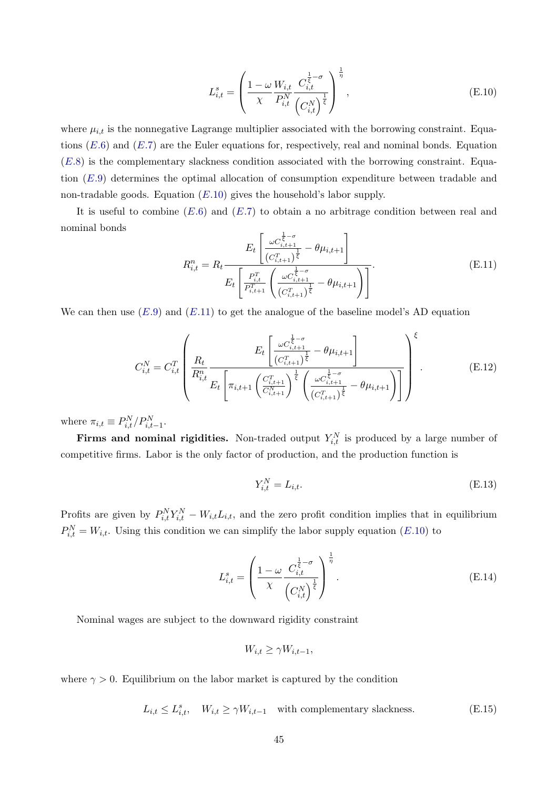<span id="page-46-0"></span>
$$
L_{i,t}^{s} = \left(\frac{1-\omega}{\chi} \frac{W_{i,t}}{P_{i,t}^{N}} \frac{C_{i,t}^{\frac{1}{\xi}-\sigma}}{\left(C_{i,t}^{N}\right)^{\frac{1}{\xi}}}\right)^{\frac{1}{\eta}},
$$
(E.10)

where  $\mu_{i,t}$  is the nonnegative Lagrange multiplier associated with the borrowing constraint. Equations  $(E.6)$  $(E.6)$  $(E.6)$  and  $(E.7)$  are the Euler equations for, respectively, real and nominal bonds. Equation  $(E.8)$  $(E.8)$  $(E.8)$  is the complementary slackness condition associated with the borrowing constraint. Equation ([E.](#page-45-5)9) determines the optimal allocation of consumption expenditure between tradable and non-tradable goods. Equation  $(E.10)$  $(E.10)$  $(E.10)$  gives the household's labor supply.

It is useful to combine  $(E.6)$  $(E.6)$  $(E.6)$  and  $(E.7)$  to obtain a no arbitrage condition between real and nominal bonds

<span id="page-46-1"></span>
$$
R_{i,t}^{n} = R_{t} \frac{E_{t} \left[ \frac{\omega C_{i,t+1}^{\frac{1}{\xi}-\sigma}}{(C_{i,t+1}^{T})^{\frac{1}{\xi}}} - \theta \mu_{i,t+1} \right]}{E_{t} \left[ \frac{P_{i,t}^{T}}{P_{i,t+1}^{T}} \left( \frac{\omega C_{i,t+1}^{\frac{1}{\xi}-\sigma}}{(C_{i,t+1}^{T})^{\frac{1}{\xi}}} - \theta \mu_{i,t+1} \right) \right]}.
$$
(E.11)

We can then use  $(E.9)$  $(E.9)$  $(E.9)$  and  $(E.11)$  $(E.11)$  to get the analogue of the baseline model's AD equation

<span id="page-46-2"></span>
$$
C_{i,t}^{N} = C_{i,t}^{T} \left( \frac{R_t}{R_{i,t}^{n}} \frac{E_t \left[ \frac{\omega C_{i,t+1}^{\frac{1}{\xi} - \sigma}}{(C_{i,t+1}^{T})^{\frac{1}{\xi}}} - \theta \mu_{i,t+1} \right]}{E_t \left[ \pi_{i,t+1} \left( \frac{C_{i,t+1}^{T}}{C_{i,t+1}^{N}} \right)^{\frac{1}{\xi}} \left( \frac{\omega C_{i,t+1}^{\frac{1}{\xi} - \sigma}}{(C_{i,t+1}^{T})^{\frac{1}{\xi}}} - \theta \mu_{i,t+1} \right) \right]} \right)^{\xi}.
$$
(E.12)

where  $\pi_{i,t} \equiv P_{i,t}^N / P_{i,t-1}^N$ .

**Firms and nominal rigidities.** Non-traded output  $Y_{i,t}^N$  is produced by a large number of competitive firms. Labor is the only factor of production, and the production function is

<span id="page-46-3"></span>
$$
Y_{i,t}^N = L_{i,t}.\tag{E.13}
$$

Profits are given by  $P_{i,t}^N Y_{i,t}^N - W_{i,t} L_{i,t}$ , and the zero profit condition implies that in equilibrium  $P_{i,t}^{N} = W_{i,t}$ . Using this condition we can simplify the labor supply equation ([E.](#page-46-0)10) to

<span id="page-46-4"></span>
$$
L_{i,t}^{s} = \left(\frac{1-\omega}{\chi} \frac{C_{i,t}^{\frac{1}{\overline{\xi}}-\sigma}}{\left(C_{i,t}^{N}\right)^{\frac{1}{\overline{\xi}}}}\right)^{\frac{1}{\eta}}.
$$
\n(E.14)

Nominal wages are subject to the downward rigidity constraint

$$
W_{i,t} \ge \gamma W_{i,t-1},
$$

where  $\gamma > 0$ . Equilibrium on the labor market is captured by the condition

 $L_{i,t} \leq L_{i,t}^s$ ,  $W_{i,t} \geq \gamma W_{i,t-1}$  with complementary slackness. (E.15)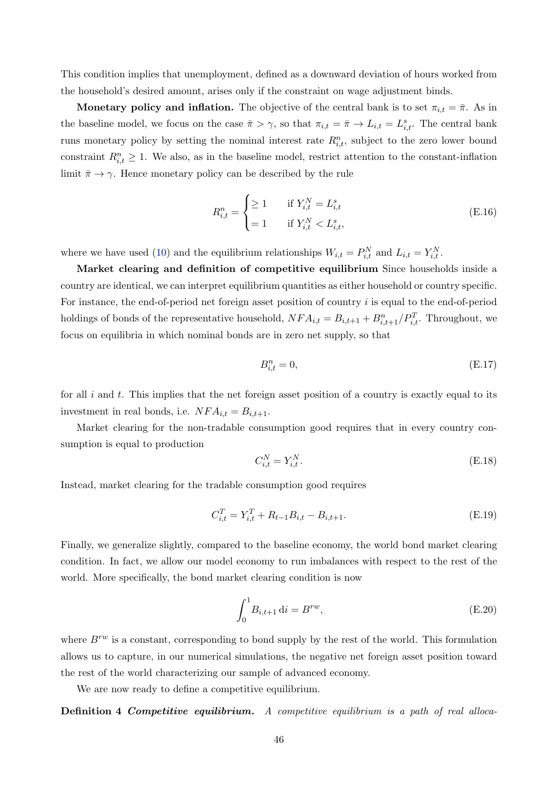This condition implies that unemployment, defined as a downward deviation of hours worked from the household's desired amount, arises only if the constraint on wage adjustment binds.

Monetary policy and inflation. The objective of the central bank is to set  $\pi_{i,t} = \bar{\pi}$ . As in the baseline model, we focus on the case  $\bar{\pi} > \gamma$ , so that  $\pi_{i,t} = \bar{\pi} \to L_{i,t} = L_{i,t}^s$ . The central bank runs monetary policy by setting the nominal interest rate  $R_{i,t}^n$ , subject to the zero lower bound constraint  $R_{i,t}^n \geq 1$ . We also, as in the baseline model, restrict attention to the constant-inflation limit  $\bar{\pi} \to \gamma$ . Hence monetary policy can be described by the rule

<span id="page-47-0"></span>
$$
R_{i,t}^{n} = \begin{cases} \geq 1 & \text{if } Y_{i,t}^{N} = L_{i,t}^{s} \\ = 1 & \text{if } Y_{i,t}^{N} < L_{i,t}^{s}, \end{cases} \tag{E.16}
$$

where we have used [\(10\)](#page-9-0) and the equilibrium relationships  $W_{i,t} = P_{i,t}^N$  and  $L_{i,t} = Y_{i,t}^N$ .

Market clearing and definition of competitive equilibrium Since households inside a country are identical, we can interpret equilibrium quantities as either household or country specific. For instance, the end-of-period net foreign asset position of country i is equal to the end-of-period holdings of bonds of the representative household,  $NFA_{i,t} = B_{i,t+1} + B_{i,t+1}^n / P_{i,t}^T$ . Throughout, we focus on equilibria in which nominal bonds are in zero net supply, so that

<span id="page-47-1"></span>
$$
B_{i,t}^n = 0,\t\t (E.17)
$$

for all  $i$  and  $t$ . This implies that the net foreign asset position of a country is exactly equal to its investment in real bonds, i.e.  $NFA_{i,t} = B_{i,t+1}.$ 

Market clearing for the non-tradable consumption good requires that in every country consumption is equal to production

<span id="page-47-2"></span>
$$
C_{i,t}^N = Y_{i,t}^N. \tag{E.18}
$$

Instead, market clearing for the tradable consumption good requires

<span id="page-47-3"></span>
$$
C_{i,t}^T = Y_{i,t}^T + R_{t-1}B_{i,t} - B_{i,t+1}.
$$
\n(E.19)

Finally, we generalize slightly, compared to the baseline economy, the world bond market clearing condition. In fact, we allow our model economy to run imbalances with respect to the rest of the world. More specifically, the bond market clearing condition is now

<span id="page-47-4"></span>
$$
\int_{0}^{1} B_{i,t+1} \, \mathrm{d}i = B^{rw},\tag{E.20}
$$

where  $B^{rw}$  is a constant, corresponding to bond supply by the rest of the world. This formulation allows us to capture, in our numerical simulations, the negative net foreign asset position toward the rest of the world characterizing our sample of advanced economy.

We are now ready to define a competitive equilibrium.

Definition 4 Competitive equilibrium. A competitive equilibrium is a path of real alloca-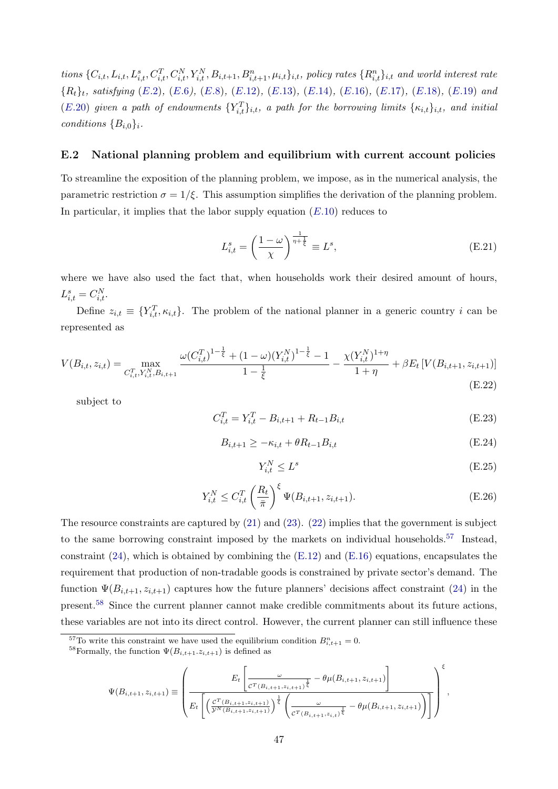tions  $\{C_{i,t}, L_{i,t}, L_{i,t}^s, C_{i,t}^T, C_{i,t}^N, Y_{i,t}^N, B_{i,t+1}, B_{i,t+1}^n, \mu_{i,t}\}_{i,t}$ , policy rates  $\{R_{i,t}^n\}_{i,t}$  and world interest rate  ${R_t}_t$ , satisfying ([E.](#page-47-2)2), (E.6), (E.8), (E.[12\)](#page-46-2), (E.[13\)](#page-46-3), (E.[14\)](#page-46-4), (E.16), (E.[17\)](#page-47-1), (E.18), (E.[19\)](#page-47-3) and (E.[20\)](#page-47-4) given a path of endowments  $\{Y_{i,t}^T\}_{i,t}$ , a path for the borrowing limits  $\{\kappa_{i,t}\}_{i,t}$ , and initial conditions  ${B_{i,0}}_i$ .

#### E.2 National planning problem and equilibrium with current account policies

To streamline the exposition of the planning problem, we impose, as in the numerical analysis, the parametric restriction  $\sigma = 1/\xi$ . This assumption simplifies the derivation of the planning problem. In particular, it implies that the labor supply equation  $(E.10)$  $(E.10)$  reduces to

$$
L_{i,t}^s = \left(\frac{1-\omega}{\chi}\right)^{\frac{1}{\eta+\frac{1}{\xi}}} \equiv L^s,
$$
\n(E.21)

where we have also used the fact that, when households work their desired amount of hours,  $L_{i,t}^s = C_{i,t}^N$ .

Define  $z_{i,t} \equiv \{Y_{i,t}^T, \kappa_{i,t}\}.$  The problem of the national planner in a generic country i can be represented as

$$
V(B_{i,t}, z_{i,t}) = \max_{C_{i,t}^T, Y_{i,t}^N, B_{i,t+1}} \frac{\omega(C_{i,t}^T)^{1-\frac{1}{\xi}} + (1-\omega)(Y_{i,t}^N)^{1-\frac{1}{\xi}} - 1}{1-\frac{1}{\xi}} - \frac{\chi(Y_{i,t}^N)^{1+\eta}}{1+\eta} + \beta E_t \left[ V(B_{i,t+1}, z_{i,t+1}) \right]
$$
(E.22)

subject to

<span id="page-48-3"></span>
$$
C_{i,t}^T = Y_{i,t}^T - B_{i,t+1} + R_{t-1}B_{i,t}
$$
\n(E.23)

<span id="page-48-4"></span>
$$
B_{i,t+1} \ge -\kappa_{i,t} + \theta R_{t-1} B_{i,t} \tag{E.24}
$$

<span id="page-48-2"></span>
$$
Y_{i,t}^N \le L^s \tag{E.25}
$$

<span id="page-48-5"></span>
$$
Y_{i,t}^N \le C_{i,t}^T \left(\frac{R_t}{\bar{\pi}}\right)^{\xi} \Psi(B_{i,t+1}, z_{i,t+1}).
$$
 (E.26)

The resource constraints are captured by [\(21\)](#page-17-0) and [\(23\)](#page-17-1). [\(22\)](#page-17-2) implies that the government is subject to the same borrowing constraint imposed by the markets on individual households.<sup>[57](#page-48-0)</sup> Instead, constraint  $(24)$ , which is obtained by combining the  $(E.12)$  and  $(E.16)$  equations, encapsulates the requirement that production of non-tradable goods is constrained by private sector's demand. The function  $\Psi(B_{i,t+1}, z_{i,t+1})$  captures how the future planners' decisions affect constraint [\(24\)](#page-17-4) in the present.[58](#page-48-1) Since the current planner cannot make credible commitments about its future actions, these variables are not into its direct control. However, the current planner can still influence these

$$
\Psi(B_{i,t+1}, z_{i,t+1}) \equiv \left(\frac{E_t \left[ \frac{\omega}{c^T (B_{i,t+1}, z_{i,t+1})^{\frac{1}{\xi}}} - \theta \mu(B_{i,t+1}, z_{i,t+1}) \right]}{E_t \left[ \left( \frac{c^T (B_{i,t+1}, z_{i,t+1})}{\gamma^N (B_{i,t+1}, z_{i,t+1})} \right)^{\frac{1}{\xi}} \left( \frac{\omega}{c^T (B_{i,t+1}, z_{i,t})^{\frac{1}{\xi}}} - \theta \mu(B_{i,t+1}, z_{i,t+1}) \right) \right]} \right)^{\xi},
$$

<span id="page-48-0"></span><sup>&</sup>lt;sup>57</sup>To write this constraint we have used the equilibrium condition  $B_{i,t+1}^n = 0$ .

<span id="page-48-1"></span><sup>&</sup>lt;sup>58</sup>Formally, the function  $\Psi(B_{i,t+1}.z_{i,t+1})$  is defined as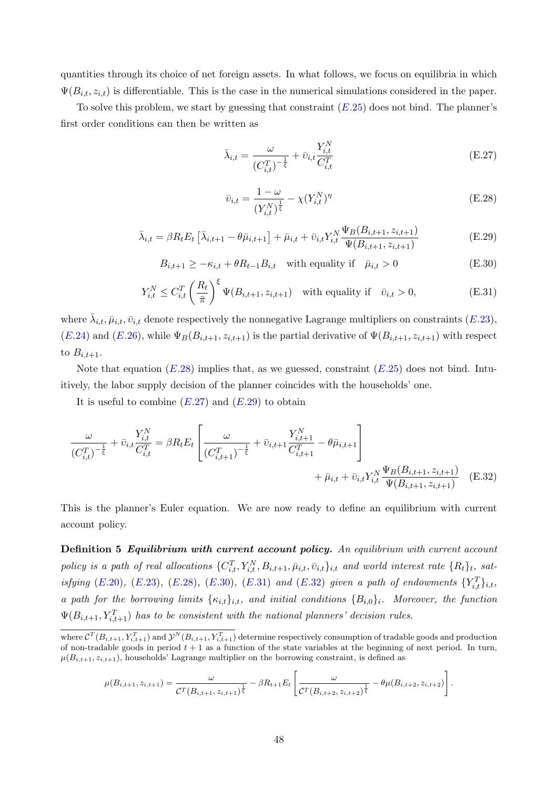quantities through its choice of net foreign assets. In what follows, we focus on equilibria in which  $\Psi(B_{i,t}, z_{i,t})$  is differentiable. This is the case in the numerical simulations considered in the paper.

To solve this problem, we start by guessing that constraint  $(E.25)$  $(E.25)$  does not bind. The planner's first order conditions can then be written as

<span id="page-49-1"></span>
$$
\bar{\lambda}_{i,t} = \frac{\omega}{(C_{i,t}^T)^{-\frac{1}{\xi}}} + \bar{v}_{i,t} \frac{Y_{i,t}^N}{C_{i,t}^T}
$$
(E.27)

<span id="page-49-5"></span><span id="page-49-0"></span>
$$
\bar{v}_{i,t} = \frac{1 - \omega}{(Y_{i,t}^N)^{\frac{1}{\xi}}} - \chi(Y_{i,t}^N)^{\eta}
$$
\n(E.28)

<span id="page-49-2"></span>
$$
\bar{\lambda}_{i,t} = \beta R_t E_t \left[ \bar{\lambda}_{i,t+1} - \theta \bar{\mu}_{i,t+1} \right] + \bar{\mu}_{i,t} + \bar{v}_{i,t} Y_{i,t}^N \frac{\Psi_B(B_{i,t+1}, z_{i,t+1})}{\Psi(B_{i,t+1}, z_{i,t+1})}
$$
(E.29)

<span id="page-49-3"></span>
$$
B_{i,t+1} \ge -\kappa_{i,t} + \theta R_{t-1} B_{i,t} \quad \text{with equality if} \quad \bar{\mu}_{i,t} > 0 \tag{E.30}
$$

<span id="page-49-4"></span>
$$
Y_{i,t}^N \le C_{i,t}^T \left(\frac{R_t}{\bar{\pi}}\right)^{\xi} \Psi(B_{i,t+1}, z_{i,t+1}) \quad \text{with equality if} \quad \bar{v}_{i,t} > 0,
$$
\n(E.31)

where  $\bar{\lambda}_{i,t}, \bar{\mu}_{i,t}, \bar{\nu}_{i,t}$  denote respectively the nonnegative Lagrange multipliers on constraints  $(E.23)$  $(E.23)$ ,  $(E.24)$  $(E.24)$  and  $(E.26)$  $(E.26)$ , while  $\Psi_B(B_{i,t+1}, z_{i,t+1})$  is the partial derivative of  $\Psi(B_{i,t+1}, z_{i,t+1})$  with respect to  $B_{i,t+1}$ .

Note that equation  $(E.28)$  $(E.28)$  $(E.28)$  implies that, as we guessed, constraint  $(E.25)$  $(E.25)$  does not bind. Intuitively, the labor supply decision of the planner coincides with the households' one.

It is useful to combine  $(E.27)$  $(E.27)$  and  $(E.29)$  $(E.29)$  to obtain

$$
\frac{\omega}{(C_{i,t}^T)^{-\frac{1}{\xi}}} + \bar{v}_{i,t} \frac{Y_{i,t}^N}{C_{i,t}^T} = \beta R_t E_t \left[ \frac{\omega}{(C_{i,t+1}^T)^{-\frac{1}{\xi}}} + \bar{v}_{i,t+1} \frac{Y_{i,t+1}^N}{C_{i,t+1}^T} - \theta \bar{\mu}_{i,t+1} + \bar{\mu}_{i,t} + \bar{v}_{i,t} Y_{i,t}^N \frac{\Psi_B(B_{i,t+1}, z_{i,t+1})}{\Psi(B_{i,t+1}, z_{i,t+1})} \right]
$$
(E.32)

This is the planner's Euler equation. We are now ready to define an equilibrium with current account policy.

Definition 5 Equilibrium with current account policy. An equilibrium with current account policy is a path of real allocations  $\{C_{i,t}^T, Y_{i,t}^N, B_{i,t+1}, \bar{\mu}_{i,t}, \bar{v}_{i,t}\}_{i,t}$  and world interest rate  $\{R_t\}_t$ , satisfying  $(E.20)$  $(E.20)$  $(E.20)$ ,  $(E.23)$  $(E.23)$ ,  $(E.28)$  $(E.28)$ ,  $(E.30)$  $(E.30)$ ,  $(E.31)$  $(E.31)$  and  $(E.32)$  $(E.32)$  given a path of endowments  ${Y_{i,t}^T}_{i,t}$ , a path for the borrowing limits  $\{\kappa_{i,t}\}_{i,t}$ , and initial conditions  $\{B_{i,0}\}_i$ . Moreover, the function  $\Psi(B_{i,t+1}, Y_{i,t+1}^T)$  has to be consistent with the national planners' decision rules.

$$
\mu(B_{i,t+1}, z_{i,t+1}) = \frac{\omega}{\mathcal{C}^T(B_{i,t+1}, z_{i,t+1})^{\frac{1}{\xi}}} - \beta R_{t+1} E_t \left[ \frac{\omega}{\mathcal{C}^T(B_{i,t+2}, z_{i,t+2})^{\frac{1}{\xi}}} - \theta \mu(B_{i,t+2}, z_{i,t+2}) \right].
$$

where  $\mathcal{C}^T(B_{i,t+1}, Y_{i,t+1}^T)$  and  $\mathcal{Y}^N(B_{i,t+1}, Y_{i,t+1}^T)$  determine respectively consumption of tradable goods and production of non-tradable goods in period  $t + 1$  as a function of the state variables at the beginning of next period. In turn,  $\mu(B_{i,t+1}, z_{i,t+1})$ , households' Lagrange multiplier on the borrowing constraint, is defined as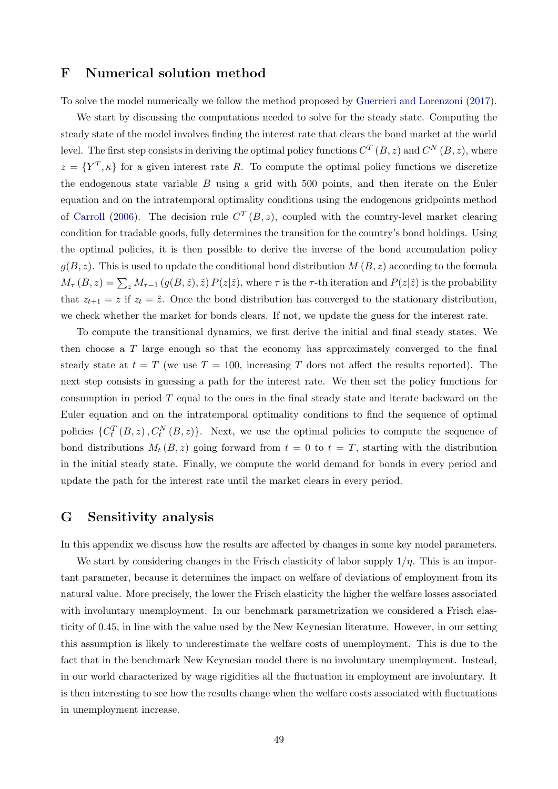## <span id="page-50-1"></span>F Numerical solution method

To solve the model numerically we follow the method proposed by [Guerrieri and Lorenzoni](#page-55-7) [\(2017\)](#page-55-7).

We start by discussing the computations needed to solve for the steady state. Computing the steady state of the model involves finding the interest rate that clears the bond market at the world level. The first step consists in deriving the optimal policy functions  $C^{T}(B, z)$  and  $C^{N}(B, z)$ , where  $z = \{Y^T, \kappa\}$  for a given interest rate R. To compute the optimal policy functions we discretize the endogenous state variable  $B$  using a grid with 500 points, and then iterate on the Euler equation and on the intratemporal optimality conditions using the endogenous gridpoints method of [Carroll](#page-54-16) [\(2006\)](#page-54-16). The decision rule  $C^{T}(B, z)$ , coupled with the country-level market clearing condition for tradable goods, fully determines the transition for the country's bond holdings. Using the optimal policies, it is then possible to derive the inverse of the bond accumulation policy  $g(B, z)$ . This is used to update the conditional bond distribution  $M(B, z)$  according to the formula  $M_{\tau}(B, z) = \sum_{z} M_{\tau-1}(g(B, \tilde{z}), \tilde{z}) P(z|\tilde{z})$ , where  $\tau$  is the  $\tau$ -th iteration and  $P(z|\tilde{z})$  is the probability that  $z_{t+1} = z$  if  $z_t = \tilde{z}$ . Once the bond distribution has converged to the stationary distribution, we check whether the market for bonds clears. If not, we update the guess for the interest rate.

To compute the transitional dynamics, we first derive the initial and final steady states. We then choose a T large enough so that the economy has approximately converged to the final steady state at  $t = T$  (we use  $T = 100$ , increasing T does not affect the results reported). The next step consists in guessing a path for the interest rate. We then set the policy functions for consumption in period  $T$  equal to the ones in the final steady state and iterate backward on the Euler equation and on the intratemporal optimality conditions to find the sequence of optimal policies  $\{C_t^T(B, z), C_t^N(B, z)\}.$  Next, we use the optimal policies to compute the sequence of bond distributions  $M_t (B, z)$  going forward from  $t = 0$  to  $t = T$ , starting with the distribution in the initial steady state. Finally, we compute the world demand for bonds in every period and update the path for the interest rate until the market clears in every period.

### <span id="page-50-0"></span>G Sensitivity analysis

In this appendix we discuss how the results are affected by changes in some key model parameters.

We start by considering changes in the Frisch elasticity of labor supply  $1/\eta$ . This is an important parameter, because it determines the impact on welfare of deviations of employment from its natural value. More precisely, the lower the Frisch elasticity the higher the welfare losses associated with involuntary unemployment. In our benchmark parametrization we considered a Frisch elasticity of 0.45, in line with the value used by the New Keynesian literature. However, in our setting this assumption is likely to underestimate the welfare costs of unemployment. This is due to the fact that in the benchmark New Keynesian model there is no involuntary unemployment. Instead, in our world characterized by wage rigidities all the fluctuation in employment are involuntary. It is then interesting to see how the results change when the welfare costs associated with fluctuations in unemployment increase.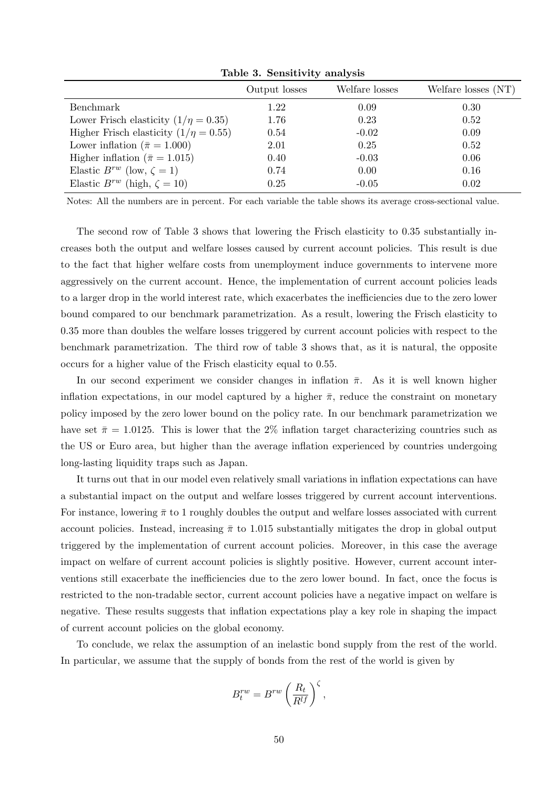|                                            | Output losses | Welfare losses | Welfare losses (NT) |
|--------------------------------------------|---------------|----------------|---------------------|
| Benchmark                                  | 1.22          | 0.09           | 0.30                |
| Lower Frisch elasticity $(1/\eta = 0.35)$  | 1.76          | 0.23           | 0.52                |
| Higher Frisch elasticity $(1/\eta = 0.55)$ | 0.54          | $-0.02$        | 0.09                |
| Lower inflation ( $\bar{\pi} = 1.000$ )    | 2.01          | 0.25           | 0.52                |
| Higher inflation ( $\bar{\pi} = 1.015$ )   | 0.40          | $-0.03$        | 0.06                |
| Elastic $B^{rw}$ (low, $\zeta = 1$ )       | 0.74          | 0.00           | 0.16                |
| Elastic $B^{rw}$ (high, $\zeta = 10$ )     | 0.25          | $-0.05$        | 0.02                |

Table 3. Sensitivity analysis

Notes: All the numbers are in percent. For each variable the table shows its average cross-sectional value.

The second row of Table 3 shows that lowering the Frisch elasticity to 0.35 substantially increases both the output and welfare losses caused by current account policies. This result is due to the fact that higher welfare costs from unemployment induce governments to intervene more aggressively on the current account. Hence, the implementation of current account policies leads to a larger drop in the world interest rate, which exacerbates the inefficiencies due to the zero lower bound compared to our benchmark parametrization. As a result, lowering the Frisch elasticity to 0.35 more than doubles the welfare losses triggered by current account policies with respect to the benchmark parametrization. The third row of table 3 shows that, as it is natural, the opposite occurs for a higher value of the Frisch elasticity equal to 0.55.

In our second experiment we consider changes in inflation  $\bar{\pi}$ . As it is well known higher inflation expectations, in our model captured by a higher  $\bar{\pi}$ , reduce the constraint on monetary policy imposed by the zero lower bound on the policy rate. In our benchmark parametrization we have set  $\bar{\pi} = 1.0125$ . This is lower that the 2% inflation target characterizing countries such as the US or Euro area, but higher than the average inflation experienced by countries undergoing long-lasting liquidity traps such as Japan.

It turns out that in our model even relatively small variations in inflation expectations can have a substantial impact on the output and welfare losses triggered by current account interventions. For instance, lowering  $\bar{\pi}$  to 1 roughly doubles the output and welfare losses associated with current account policies. Instead, increasing  $\bar{\pi}$  to 1.015 substantially mitigates the drop in global output triggered by the implementation of current account policies. Moreover, in this case the average impact on welfare of current account policies is slightly positive. However, current account interventions still exacerbate the inefficiencies due to the zero lower bound. In fact, once the focus is restricted to the non-tradable sector, current account policies have a negative impact on welfare is negative. These results suggests that inflation expectations play a key role in shaping the impact of current account policies on the global economy.

To conclude, we relax the assumption of an inelastic bond supply from the rest of the world. In particular, we assume that the supply of bonds from the rest of the world is given by

$$
B_t^{rw} = B^{rw} \left(\frac{R_t}{R^{lf}}\right)^{\zeta},
$$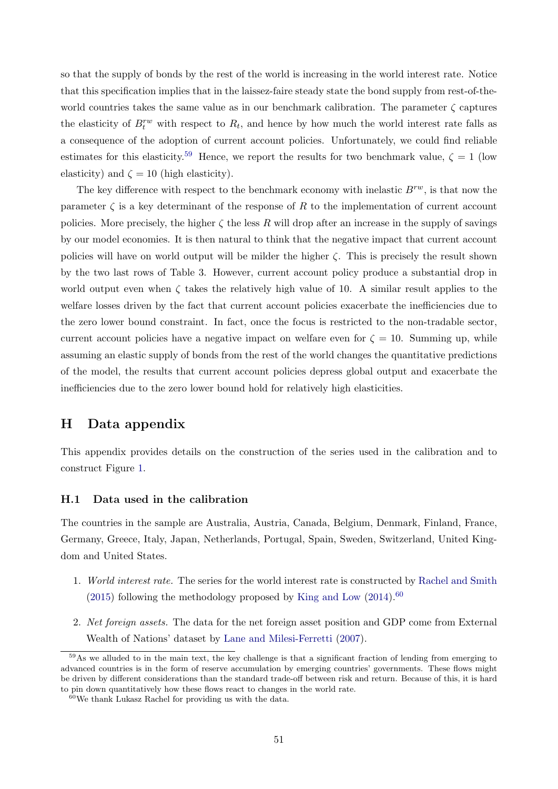so that the supply of bonds by the rest of the world is increasing in the world interest rate. Notice that this specification implies that in the laissez-faire steady state the bond supply from rest-of-theworld countries takes the same value as in our benchmark calibration. The parameter  $\zeta$  captures the elasticity of  $B_t^{rw}$  with respect to  $R_t$ , and hence by how much the world interest rate falls as a consequence of the adoption of current account policies. Unfortunately, we could find reliable estimates for this elasticity.<sup>[59](#page-52-1)</sup> Hence, we report the results for two benchmark value,  $\zeta = 1$  (low elasticity) and  $\zeta = 10$  (high elasticity).

The key difference with respect to the benchmark economy with inelastic  $B^{rw}$ , is that now the parameter  $\zeta$  is a key determinant of the response of R to the implementation of current account policies. More precisely, the higher  $\zeta$  the less R will drop after an increase in the supply of savings by our model economies. It is then natural to think that the negative impact that current account policies will have on world output will be milder the higher  $\zeta$ . This is precisely the result shown by the two last rows of Table 3. However, current account policy produce a substantial drop in world output even when  $\zeta$  takes the relatively high value of 10. A similar result applies to the welfare losses driven by the fact that current account policies exacerbate the inefficiencies due to the zero lower bound constraint. In fact, once the focus is restricted to the non-tradable sector, current account policies have a negative impact on welfare even for  $\zeta = 10$ . Summing up, while assuming an elastic supply of bonds from the rest of the world changes the quantitative predictions of the model, the results that current account policies depress global output and exacerbate the inefficiencies due to the zero lower bound hold for relatively high elasticities.

## <span id="page-52-0"></span>H Data appendix

This appendix provides details on the construction of the series used in the calibration and to construct Figure [1.](#page-3-0)

#### H.1 Data used in the calibration

The countries in the sample are Australia, Austria, Canada, Belgium, Denmark, Finland, France, Germany, Greece, Italy, Japan, Netherlands, Portugal, Spain, Sweden, Switzerland, United Kingdom and United States.

- 1. World interest rate. The series for the world interest rate is constructed by [Rachel and Smith](#page-56-9) [\(2015\)](#page-56-9) following the methodology proposed by [King and Low](#page-55-14)  $(2014)$ .<sup>[60](#page-52-2)</sup>
- 2. Net foreign assets. The data for the net foreign asset position and GDP come from External Wealth of Nations' dataset by [Lane and Milesi-Ferretti](#page-55-16) [\(2007\)](#page-55-16).

<span id="page-52-1"></span> $59\text{As}$  we alluded to in the main text, the key challenge is that a significant fraction of lending from emerging to advanced countries is in the form of reserve accumulation by emerging countries' governments. These flows might be driven by different considerations than the standard trade-off between risk and return. Because of this, it is hard to pin down quantitatively how these flows react to changes in the world rate.

<span id="page-52-2"></span> $60$ We thank Lukasz Rachel for providing us with the data.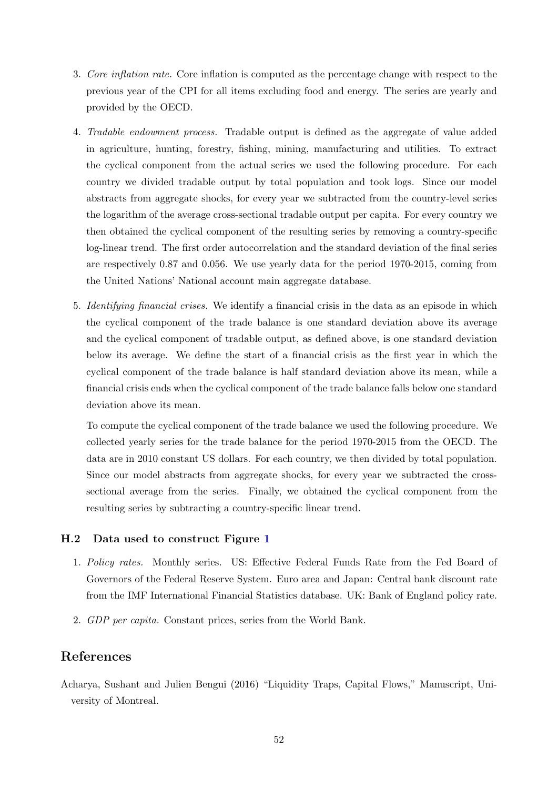- 3. Core inflation rate. Core inflation is computed as the percentage change with respect to the previous year of the CPI for all items excluding food and energy. The series are yearly and provided by the OECD.
- 4. Tradable endowment process. Tradable output is defined as the aggregate of value added in agriculture, hunting, forestry, fishing, mining, manufacturing and utilities. To extract the cyclical component from the actual series we used the following procedure. For each country we divided tradable output by total population and took logs. Since our model abstracts from aggregate shocks, for every year we subtracted from the country-level series the logarithm of the average cross-sectional tradable output per capita. For every country we then obtained the cyclical component of the resulting series by removing a country-specific log-linear trend. The first order autocorrelation and the standard deviation of the final series are respectively 0.87 and 0.056. We use yearly data for the period 1970-2015, coming from the United Nations' National account main aggregate database.
- 5. Identifying financial crises. We identify a financial crisis in the data as an episode in which the cyclical component of the trade balance is one standard deviation above its average and the cyclical component of tradable output, as defined above, is one standard deviation below its average. We define the start of a financial crisis as the first year in which the cyclical component of the trade balance is half standard deviation above its mean, while a financial crisis ends when the cyclical component of the trade balance falls below one standard deviation above its mean.

To compute the cyclical component of the trade balance we used the following procedure. We collected yearly series for the trade balance for the period 1970-2015 from the OECD. The data are in 2010 constant US dollars. For each country, we then divided by total population. Since our model abstracts from aggregate shocks, for every year we subtracted the crosssectional average from the series. Finally, we obtained the cyclical component from the resulting series by subtracting a country-specific linear trend.

### H.2 Data used to construct Figure [1](#page-3-0)

- 1. Policy rates. Monthly series. US: Effective Federal Funds Rate from the Fed Board of Governors of the Federal Reserve System. Euro area and Japan: Central bank discount rate from the IMF International Financial Statistics database. UK: Bank of England policy rate.
- 2. GDP per capita. Constant prices, series from the World Bank.

# References

<span id="page-53-0"></span>Acharya, Sushant and Julien Bengui (2016) "Liquidity Traps, Capital Flows," Manuscript, University of Montreal.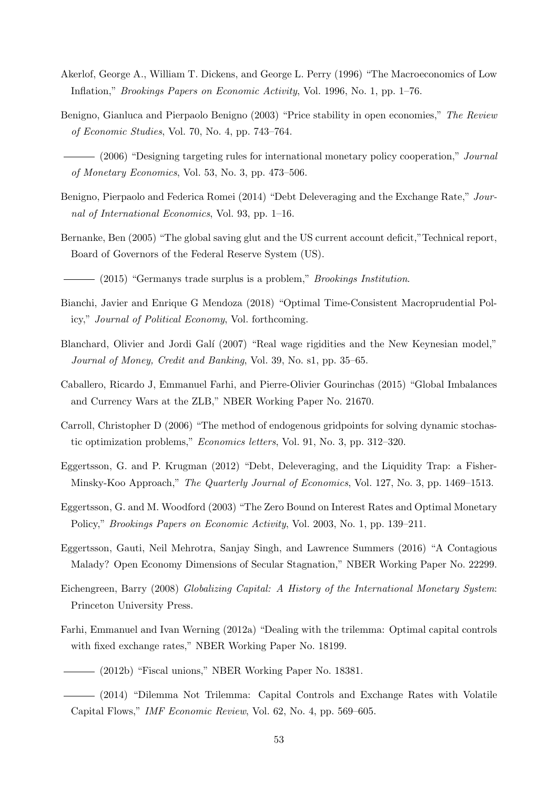- <span id="page-54-11"></span>Akerlof, George A., William T. Dickens, and George L. Perry (1996) "The Macroeconomics of Low Inflation," Brookings Papers on Economic Activity, Vol. 1996, No. 1, pp. 1–76.
- <span id="page-54-5"></span>Benigno, Gianluca and Pierpaolo Benigno (2003) "Price stability in open economies," The Review of Economic Studies, Vol. 70, No. 4, pp. 743–764.

<span id="page-54-6"></span>(2006) "Designing targeting rules for international monetary policy cooperation," Journal of Monetary Economics, Vol. 53, No. 3, pp. 473–506.

- <span id="page-54-7"></span>Benigno, Pierpaolo and Federica Romei (2014) "Debt Deleveraging and the Exchange Rate," Journal of International Economics, Vol. 93, pp. 1–16.
- <span id="page-54-14"></span>Bernanke, Ben (2005) "The global saving glut and the US current account deficit,"Technical report, Board of Governors of the Federal Reserve System (US).
- <span id="page-54-2"></span> $-$  (2015) "Germanys trade surplus is a problem," *Brookings Institution*.
- <span id="page-54-15"></span>Bianchi, Javier and Enrique G Mendoza (2018) "Optimal Time-Consistent Macroprudential Policy," Journal of Political Economy, Vol. forthcoming.
- <span id="page-54-12"></span>Blanchard, Olivier and Jordi Galí (2007) "Real wage rigidities and the New Keynesian model," Journal of Money, Credit and Banking, Vol. 39, No. s1, pp. 35–65.
- <span id="page-54-0"></span>Caballero, Ricardo J, Emmanuel Farhi, and Pierre-Olivier Gourinchas (2015) "Global Imbalances and Currency Wars at the ZLB," NBER Working Paper No. 21670.
- <span id="page-54-16"></span>Carroll, Christopher D (2006) "The method of endogenous gridpoints for solving dynamic stochastic optimization problems," Economics letters, Vol. 91, No. 3, pp. 312–320.
- <span id="page-54-4"></span>Eggertsson, G. and P. Krugman (2012) "Debt, Deleveraging, and the Liquidity Trap: a Fisher-Minsky-Koo Approach," The Quarterly Journal of Economics, Vol. 127, No. 3, pp. 1469–1513.
- <span id="page-54-13"></span>Eggertsson, G. and M. Woodford (2003) "The Zero Bound on Interest Rates and Optimal Monetary Policy," Brookings Papers on Economic Activity, Vol. 2003, No. 1, pp. 139–211.
- <span id="page-54-1"></span>Eggertsson, Gauti, Neil Mehrotra, Sanjay Singh, and Lawrence Summers (2016) "A Contagious Malady? Open Economy Dimensions of Secular Stagnation," NBER Working Paper No. 22299.
- <span id="page-54-3"></span>Eichengreen, Barry (2008) Globalizing Capital: A History of the International Monetary System: Princeton University Press.
- <span id="page-54-9"></span><span id="page-54-8"></span>Farhi, Emmanuel and Ivan Werning (2012a) "Dealing with the trilemma: Optimal capital controls with fixed exchange rates," NBER Working Paper No. 18199.
	- (2012b) "Fiscal unions," NBER Working Paper No. 18381.
- <span id="page-54-10"></span>(2014) "Dilemma Not Trilemma: Capital Controls and Exchange Rates with Volatile Capital Flows," IMF Economic Review, Vol. 62, No. 4, pp. 569–605.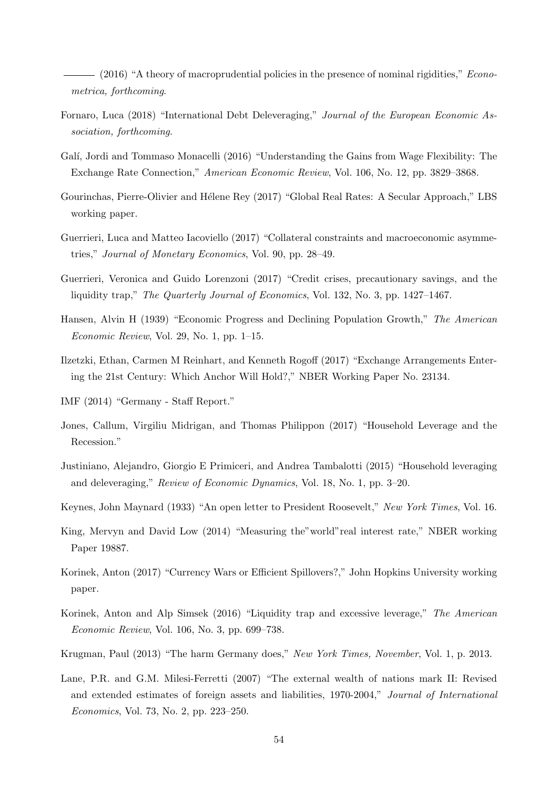<span id="page-55-0"></span> $-$  (2016) "A theory of macroprudential policies in the presence of nominal rigidities," *Econo*metrica, forthcoming.

- <span id="page-55-8"></span>Fornaro, Luca (2018) "International Debt Deleveraging," Journal of the European Economic Association, forthcoming.
- <span id="page-55-13"></span>Galí, Jordi and Tommaso Monacelli (2016) "Understanding the Gains from Wage Flexibility: The Exchange Rate Connection," American Economic Review, Vol. 106, No. 12, pp. 3829–3868.
- <span id="page-55-2"></span>Gourinchas, Pierre-Olivier and Hélene Rey (2017) "Global Real Rates: A Secular Approach," LBS working paper.
- <span id="page-55-12"></span>Guerrieri, Luca and Matteo Iacoviello (2017) "Collateral constraints and macroeconomic asymmetries," Journal of Monetary Economics, Vol. 90, pp. 28–49.
- <span id="page-55-7"></span>Guerrieri, Veronica and Guido Lorenzoni (2017) "Credit crises, precautionary savings, and the liquidity trap," The Quarterly Journal of Economics, Vol. 132, No. 3, pp. 1427–1467.
- <span id="page-55-3"></span>Hansen, Alvin H (1939) "Economic Progress and Declining Population Growth," The American Economic Review, Vol. 29, No. 1, pp. 1–15.
- <span id="page-55-10"></span>Ilzetzki, Ethan, Carmen M Reinhart, and Kenneth Rogoff (2017) "Exchange Arrangements Entering the 21st Century: Which Anchor Will Hold?," NBER Working Paper No. 23134.
- <span id="page-55-5"></span>IMF (2014) "Germany - Staff Report."
- <span id="page-55-15"></span>Jones, Callum, Virgiliu Midrigan, and Thomas Philippon (2017) "Household Leverage and the Recession."
- <span id="page-55-11"></span>Justiniano, Alejandro, Giorgio E Primiceri, and Andrea Tambalotti (2015) "Household leveraging and deleveraging," Review of Economic Dynamics, Vol. 18, No. 1, pp. 3–20.
- <span id="page-55-4"></span>Keynes, John Maynard (1933) "An open letter to President Roosevelt," New York Times, Vol. 16.
- <span id="page-55-14"></span>King, Mervyn and David Low (2014) "Measuring the"world"real interest rate," NBER working Paper 19887.
- <span id="page-55-9"></span>Korinek, Anton (2017) "Currency Wars or Efficient Spillovers?," John Hopkins University working paper.
- <span id="page-55-1"></span>Korinek, Anton and Alp Simsek (2016) "Liquidity trap and excessive leverage," The American Economic Review, Vol. 106, No. 3, pp. 699–738.
- <span id="page-55-6"></span>Krugman, Paul (2013) "The harm Germany does," New York Times, November, Vol. 1, p. 2013.
- <span id="page-55-16"></span>Lane, P.R. and G.M. Milesi-Ferretti (2007) "The external wealth of nations mark II: Revised and extended estimates of foreign assets and liabilities, 1970-2004," Journal of International Economics, Vol. 73, No. 2, pp. 223–250.